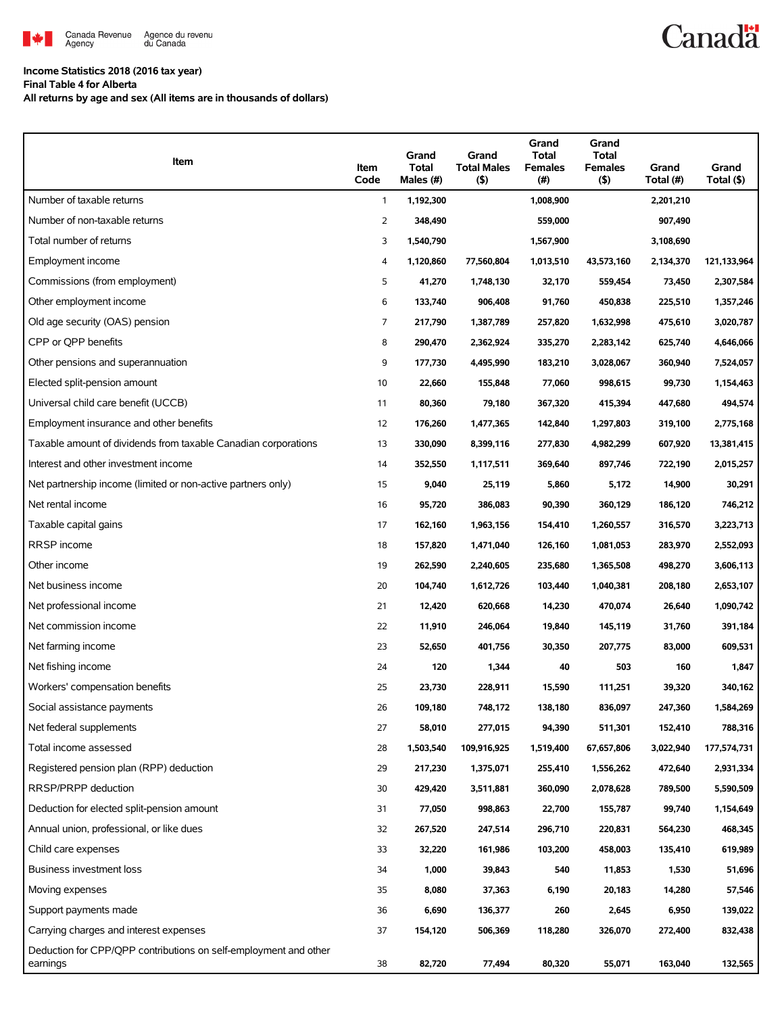

## **Income Statistics 2018 (2016 tax year)**

**Final Table 4 for Alberta**

**All returns by age and sex (All items are in thousands of dollars)**

| Item                                                                         | Item<br>Code   | Grand<br>Total<br>Males (#) | Grand<br><b>Total Males</b><br>$($ \$) | Grand<br><b>Total</b><br><b>Females</b><br>(#) | Grand<br><b>Total</b><br><b>Females</b><br>$($ \$) | Grand<br>Total (#) | Grand<br>Total (\$) |
|------------------------------------------------------------------------------|----------------|-----------------------------|----------------------------------------|------------------------------------------------|----------------------------------------------------|--------------------|---------------------|
| Number of taxable returns                                                    | 1              | 1,192,300                   |                                        | 1,008,900                                      |                                                    | 2,201,210          |                     |
| Number of non-taxable returns                                                | $\overline{2}$ | 348,490                     |                                        | 559,000                                        |                                                    | 907,490            |                     |
| Total number of returns                                                      | 3              | 1,540,790                   |                                        | 1,567,900                                      |                                                    | 3,108,690          |                     |
| Employment income                                                            | 4              | 1,120,860                   | 77,560,804                             | 1,013,510                                      | 43,573,160                                         | 2,134,370          | 121,133,964         |
| Commissions (from employment)                                                | 5              | 41,270                      | 1,748,130                              | 32,170                                         | 559,454                                            | 73,450             | 2,307,584           |
| Other employment income                                                      | 6              | 133,740                     | 906,408                                | 91,760                                         | 450,838                                            | 225,510            | 1,357,246           |
| Old age security (OAS) pension                                               | 7              | 217,790                     | 1,387,789                              | 257,820                                        | 1,632,998                                          | 475,610            | 3,020,787           |
| CPP or QPP benefits                                                          | 8              | 290,470                     | 2,362,924                              | 335,270                                        | 2,283,142                                          | 625,740            | 4,646,066           |
| Other pensions and superannuation                                            | 9              | 177,730                     | 4,495,990                              | 183,210                                        | 3,028,067                                          | 360,940            | 7,524,057           |
| Elected split-pension amount                                                 | 10             | 22,660                      | 155,848                                | 77,060                                         | 998,615                                            | 99,730             | 1,154,463           |
| Universal child care benefit (UCCB)                                          | 11             | 80,360                      | 79,180                                 | 367,320                                        | 415,394                                            | 447,680            | 494,574             |
| Employment insurance and other benefits                                      | 12             | 176,260                     | 1,477,365                              | 142,840                                        | 1,297,803                                          | 319,100            | 2,775,168           |
| Taxable amount of dividends from taxable Canadian corporations               | 13             | 330,090                     | 8,399,116                              | 277,830                                        | 4,982,299                                          | 607,920            | 13,381,415          |
| Interest and other investment income                                         | 14             | 352,550                     | 1,117,511                              | 369,640                                        | 897,746                                            | 722,190            | 2,015,257           |
| Net partnership income (limited or non-active partners only)                 | 15             | 9,040                       | 25,119                                 | 5,860                                          | 5,172                                              | 14,900             | 30,291              |
| Net rental income                                                            | 16             | 95,720                      | 386,083                                | 90,390                                         | 360,129                                            | 186,120            | 746,212             |
| Taxable capital gains                                                        | 17             | 162,160                     | 1,963,156                              | 154,410                                        | 1,260,557                                          | 316,570            | 3,223,713           |
| RRSP income                                                                  | 18             | 157,820                     | 1,471,040                              | 126,160                                        | 1,081,053                                          | 283,970            | 2,552,093           |
| Other income                                                                 | 19             | 262,590                     | 2,240,605                              | 235,680                                        | 1,365,508                                          | 498,270            | 3,606,113           |
| Net business income                                                          | 20             | 104,740                     | 1,612,726                              | 103,440                                        | 1,040,381                                          | 208,180            | 2,653,107           |
| Net professional income                                                      | 21             | 12,420                      | 620,668                                | 14,230                                         | 470,074                                            | 26,640             | 1,090,742           |
| Net commission income                                                        | 22             | 11,910                      | 246,064                                | 19,840                                         | 145,119                                            | 31,760             | 391,184             |
| Net farming income                                                           | 23             | 52,650                      | 401.756                                | 30,350                                         | 207,775                                            | 83,000             | 609,531             |
| Net fishing income                                                           | 24             | 120                         | 1,344                                  | 40                                             | 503                                                | 160                | 1,847               |
| Workers' compensation benefits                                               | 25             | 23,730                      | 228,911                                | 15,590                                         | 111,251                                            | 39,320             | 340,162             |
| Social assistance payments                                                   | 26             | 109,180                     | 748,172                                | 138,180                                        | 836,097                                            | 247,360            | 1,584,269           |
| Net federal supplements                                                      | 27             | 58,010                      | 277,015                                | 94,390                                         | 511,301                                            | 152,410            | 788,316             |
| Total income assessed                                                        | 28             | 1,503,540                   | 109,916,925                            | 1,519,400                                      | 67,657,806                                         | 3,022,940          | 177,574,731         |
| Registered pension plan (RPP) deduction                                      | 29             | 217,230                     | 1,375,071                              | 255,410                                        | 1,556,262                                          | 472,640            | 2,931,334           |
| RRSP/PRPP deduction                                                          | 30             | 429,420                     | 3,511,881                              | 360,090                                        | 2,078,628                                          | 789,500            | 5,590,509           |
| Deduction for elected split-pension amount                                   | 31             | 77,050                      | 998,863                                | 22,700                                         | 155,787                                            | 99,740             | 1,154,649           |
| Annual union, professional, or like dues                                     | 32             | 267,520                     | 247,514                                | 296,710                                        | 220,831                                            | 564,230            | 468,345             |
| Child care expenses                                                          | 33             | 32,220                      | 161,986                                | 103,200                                        | 458,003                                            | 135,410            | 619,989             |
| <b>Business investment loss</b>                                              | 34             | 1,000                       | 39,843                                 | 540                                            | 11,853                                             | 1,530              | 51,696              |
| Moving expenses                                                              | 35             | 8,080                       | 37,363                                 | 6,190                                          | 20,183                                             | 14,280             | 57,546              |
| Support payments made                                                        | 36             | 6,690                       | 136,377                                | 260                                            | 2,645                                              | 6,950              | 139,022             |
| Carrying charges and interest expenses                                       | 37             | 154,120                     | 506,369                                | 118,280                                        | 326,070                                            | 272,400            | 832,438             |
| Deduction for CPP/QPP contributions on self-employment and other<br>earnings | 38             | 82,720                      | 77,494                                 | 80,320                                         | 55,071                                             | 163,040            | 132,565             |

**Canadä**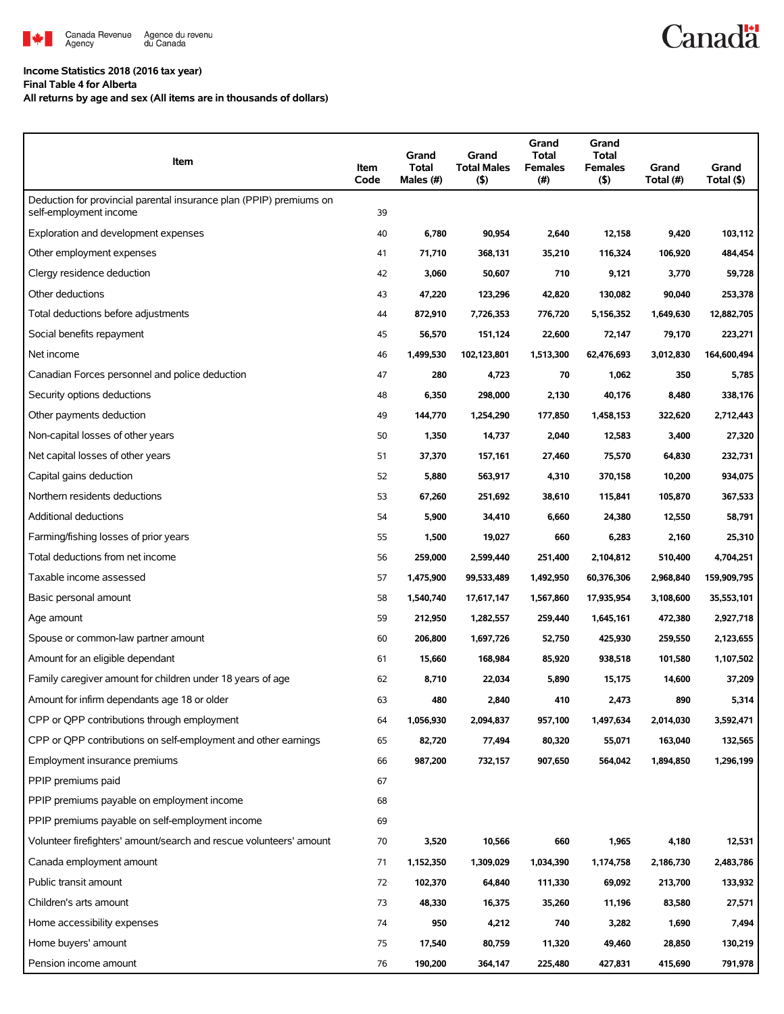

## **Income Statistics 2018 (2016 tax year)**

**Final Table 4 for Alberta**

**All returns by age and sex (All items are in thousands of dollars)**

| Item                                                                                          | Item<br>Code | Grand<br><b>Total</b><br>Males (#) | Grand<br><b>Total Males</b><br>(5) | Grand<br>Total<br><b>Females</b><br>(#) | Grand<br>Total<br><b>Females</b><br>$($ \$) | Grand<br>Total (#) | Grand<br>Total (\$) |
|-----------------------------------------------------------------------------------------------|--------------|------------------------------------|------------------------------------|-----------------------------------------|---------------------------------------------|--------------------|---------------------|
| Deduction for provincial parental insurance plan (PPIP) premiums on<br>self-employment income | 39           |                                    |                                    |                                         |                                             |                    |                     |
| Exploration and development expenses                                                          | 40           | 6,780                              | 90,954                             | 2,640                                   | 12,158                                      | 9,420              | 103,112             |
| Other employment expenses                                                                     | 41           | 71,710                             | 368,131                            | 35,210                                  | 116,324                                     | 106,920            | 484,454             |
| Clergy residence deduction                                                                    | 42           | 3,060                              | 50,607                             | 710                                     | 9,121                                       | 3,770              | 59,728              |
| Other deductions                                                                              | 43           | 47,220                             | 123,296                            | 42,820                                  | 130,082                                     | 90,040             | 253,378             |
| Total deductions before adjustments                                                           | 44           | 872,910                            | 7,726,353                          | 776,720                                 | 5,156,352                                   | 1,649,630          | 12,882,705          |
| Social benefits repayment                                                                     | 45           | 56,570                             | 151,124                            | 22,600                                  | 72,147                                      | 79,170             | 223,271             |
| Net income                                                                                    | 46           | 1,499,530                          | 102,123,801                        | 1,513,300                               | 62,476,693                                  | 3,012,830          | 164,600,494         |
| Canadian Forces personnel and police deduction                                                | 47           | 280                                | 4,723                              | 70                                      | 1,062                                       | 350                | 5,785               |
| Security options deductions                                                                   | 48           | 6,350                              | 298,000                            | 2,130                                   | 40,176                                      | 8,480              | 338,176             |
| Other payments deduction                                                                      | 49           | 144,770                            | 1,254,290                          | 177,850                                 | 1,458,153                                   | 322,620            | 2,712,443           |
| Non-capital losses of other years                                                             | 50           | 1,350                              | 14,737                             | 2,040                                   | 12,583                                      | 3,400              | 27,320              |
| Net capital losses of other years                                                             | 51           | 37,370                             | 157,161                            | 27,460                                  | 75,570                                      | 64,830             | 232,731             |
| Capital gains deduction                                                                       | 52           | 5,880                              | 563,917                            | 4,310                                   | 370,158                                     | 10,200             | 934,075             |
| Northern residents deductions                                                                 | 53           | 67,260                             | 251,692                            | 38,610                                  | 115,841                                     | 105,870            | 367,533             |
| Additional deductions                                                                         | 54           | 5,900                              | 34,410                             | 6,660                                   | 24,380                                      | 12,550             | 58,791              |
| Farming/fishing losses of prior years                                                         | 55           | 1,500                              | 19,027                             | 660                                     | 6,283                                       | 2,160              | 25,310              |
| Total deductions from net income                                                              | 56           | 259,000                            | 2,599,440                          | 251,400                                 | 2,104,812                                   | 510,400            | 4,704,251           |
| Taxable income assessed                                                                       | 57           | 1,475,900                          | 99,533,489                         | 1,492,950                               | 60,376,306                                  | 2,968,840          | 159,909,795         |
| Basic personal amount                                                                         | 58           | 1,540,740                          | 17,617,147                         | 1,567,860                               | 17,935,954                                  | 3,108,600          | 35,553,101          |
| Age amount                                                                                    | 59           | 212,950                            | 1,282,557                          | 259,440                                 | 1,645,161                                   | 472,380            | 2,927,718           |
| Spouse or common-law partner amount                                                           | 60           | 206,800                            | 1,697,726                          | 52,750                                  | 425,930                                     | 259,550            | 2,123,655           |
| Amount for an eligible dependant                                                              | 61           | 15,660                             | 168,984                            | 85,920                                  | 938,518                                     | 101,580            | 1,107,502           |
| Family caregiver amount for children under 18 years of age                                    | 62           | 8,710                              | 22,034                             | 5,890                                   | 15,175                                      | 14,600             | 37,209              |
| Amount for infirm dependants age 18 or older                                                  | 63           | 480                                | 2,840                              | 410                                     | 2,473                                       | 890                | 5,314               |
| CPP or QPP contributions through employment                                                   | 64           | 1,056,930                          | 2,094,837                          | 957,100                                 | 1,497,634                                   | 2,014,030          | 3,592,471           |
| CPP or QPP contributions on self-employment and other earnings                                | 65           | 82,720                             | 77,494                             | 80,320                                  | 55,071                                      | 163,040            | 132,565             |
| Employment insurance premiums                                                                 | 66           | 987,200                            | 732,157                            | 907,650                                 | 564,042                                     | 1,894,850          | 1,296,199           |
| PPIP premiums paid                                                                            | 67           |                                    |                                    |                                         |                                             |                    |                     |
| PPIP premiums payable on employment income                                                    | 68           |                                    |                                    |                                         |                                             |                    |                     |
| PPIP premiums payable on self-employment income                                               | 69           |                                    |                                    |                                         |                                             |                    |                     |
| Volunteer firefighters' amount/search and rescue volunteers' amount                           | 70           | 3,520                              | 10,566                             | 660                                     | 1,965                                       | 4,180              | 12,531              |
| Canada employment amount                                                                      | 71           | 1,152,350                          | 1,309,029                          | 1,034,390                               | 1,174,758                                   | 2,186,730          | 2,483,786           |
| Public transit amount                                                                         | 72           | 102,370                            | 64,840                             | 111,330                                 | 69,092                                      | 213,700            | 133,932             |
| Children's arts amount                                                                        | 73           | 48,330                             | 16,375                             | 35,260                                  | 11,196                                      | 83,580             | 27,571              |
| Home accessibility expenses                                                                   | 74           | 950                                | 4,212                              | 740                                     | 3,282                                       | 1,690              | 7,494               |
| Home buyers' amount                                                                           | 75           | 17,540                             | 80,759                             | 11,320                                  | 49,460                                      | 28,850             | 130,219             |
| Pension income amount                                                                         | 76           | 190,200                            | 364,147                            | 225,480                                 | 427,831                                     | 415,690            | 791,978             |

**Canadä**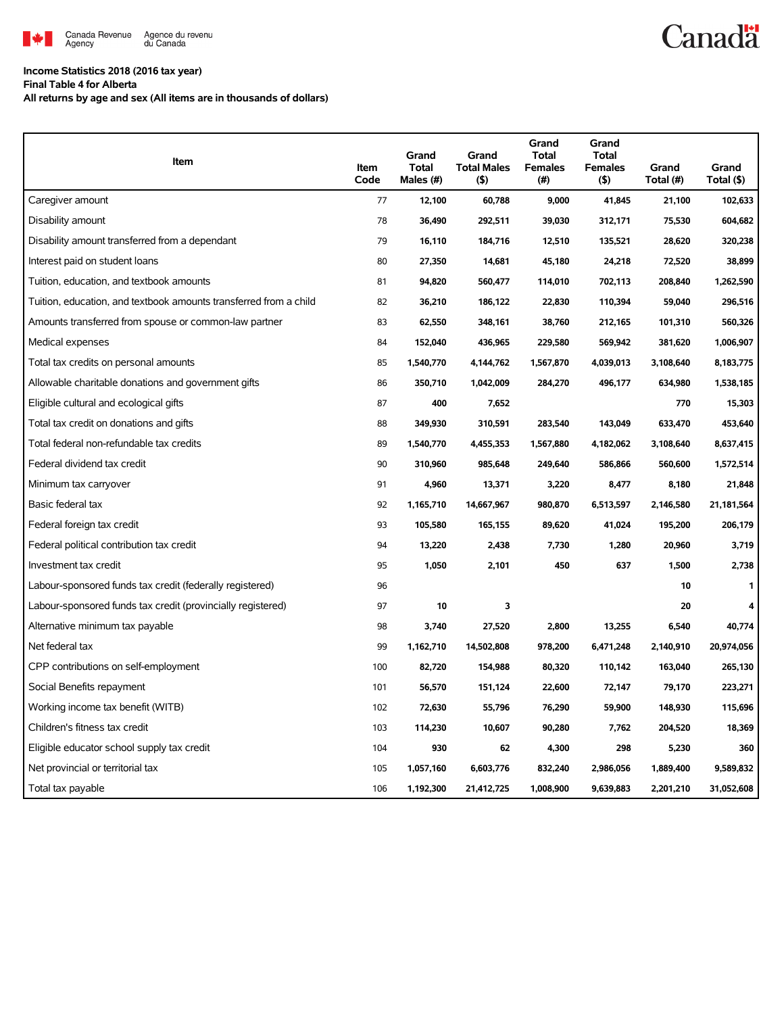

## **Canadä**

## **Income Statistics 2018 (2016 tax year)**

**Final Table 4 for Alberta**

**All returns by age and sex (All items are in thousands of dollars)**

| Item                                                              | Item<br>Code | Grand<br><b>Total</b><br>Males (#) | Grand<br><b>Total Males</b><br>(5) | Grand<br><b>Total</b><br><b>Females</b><br>(#) | Grand<br><b>Total</b><br><b>Females</b><br>(5) | Grand<br>Total (#) | Grand<br>Total (\$) |
|-------------------------------------------------------------------|--------------|------------------------------------|------------------------------------|------------------------------------------------|------------------------------------------------|--------------------|---------------------|
| Caregiver amount                                                  | 77           | 12,100                             | 60,788                             | 9,000                                          | 41,845                                         | 21,100             | 102,633             |
| Disability amount                                                 | 78           | 36,490                             | 292,511                            | 39,030                                         | 312,171                                        | 75,530             | 604,682             |
| Disability amount transferred from a dependant                    | 79           | 16,110                             | 184,716                            | 12,510                                         | 135,521                                        | 28,620             | 320,238             |
| Interest paid on student loans                                    | 80           | 27,350                             | 14,681                             | 45,180                                         | 24,218                                         | 72,520             | 38,899              |
| Tuition, education, and textbook amounts                          | 81           | 94,820                             | 560,477                            | 114,010                                        | 702,113                                        | 208,840            | 1,262,590           |
| Tuition, education, and textbook amounts transferred from a child | 82           | 36,210                             | 186,122                            | 22,830                                         | 110,394                                        | 59,040             | 296,516             |
| Amounts transferred from spouse or common-law partner             | 83           | 62,550                             | 348,161                            | 38,760                                         | 212,165                                        | 101,310            | 560,326             |
| Medical expenses                                                  | 84           | 152,040                            | 436,965                            | 229,580                                        | 569,942                                        | 381,620            | 1,006,907           |
| Total tax credits on personal amounts                             | 85           | 1,540,770                          | 4,144,762                          | 1,567,870                                      | 4,039,013                                      | 3,108,640          | 8,183,775           |
| Allowable charitable donations and government gifts               | 86           | 350,710                            | 1,042,009                          | 284,270                                        | 496,177                                        | 634,980            | 1,538,185           |
| Eligible cultural and ecological gifts                            | 87           | 400                                | 7,652                              |                                                |                                                | 770                | 15,303              |
| Total tax credit on donations and gifts                           | 88           | 349,930                            | 310,591                            | 283,540                                        | 143,049                                        | 633,470            | 453,640             |
| Total federal non-refundable tax credits                          | 89           | 1,540,770                          | 4,455,353                          | 1,567,880                                      | 4,182,062                                      | 3,108,640          | 8,637,415           |
| Federal dividend tax credit                                       | 90           | 310,960                            | 985,648                            | 249,640                                        | 586,866                                        | 560,600            | 1,572,514           |
| Minimum tax carryover                                             | 91           | 4,960                              | 13,371                             | 3,220                                          | 8,477                                          | 8,180              | 21,848              |
| Basic federal tax                                                 | 92           | 1,165,710                          | 14,667,967                         | 980,870                                        | 6,513,597                                      | 2,146,580          | 21,181,564          |
| Federal foreign tax credit                                        | 93           | 105,580                            | 165,155                            | 89,620                                         | 41,024                                         | 195,200            | 206,179             |
| Federal political contribution tax credit                         | 94           | 13,220                             | 2,438                              | 7,730                                          | 1,280                                          | 20,960             | 3,719               |
| Investment tax credit                                             | 95           | 1,050                              | 2,101                              | 450                                            | 637                                            | 1,500              | 2,738               |
| Labour-sponsored funds tax credit (federally registered)          | 96           |                                    |                                    |                                                |                                                | 10                 | 1                   |
| Labour-sponsored funds tax credit (provincially registered)       | 97           | 10                                 | 3                                  |                                                |                                                | 20                 | 4                   |
| Alternative minimum tax payable                                   | 98           | 3,740                              | 27,520                             | 2,800                                          | 13,255                                         | 6,540              | 40,774              |
| Net federal tax                                                   | 99           | 1,162,710                          | 14,502,808                         | 978,200                                        | 6,471,248                                      | 2,140,910          | 20,974,056          |
| CPP contributions on self-employment                              | 100          | 82,720                             | 154,988                            | 80,320                                         | 110,142                                        | 163,040            | 265,130             |
| Social Benefits repayment                                         | 101          | 56,570                             | 151,124                            | 22,600                                         | 72,147                                         | 79,170             | 223,271             |
| Working income tax benefit (WITB)                                 | 102          | 72,630                             | 55,796                             | 76,290                                         | 59,900                                         | 148,930            | 115,696             |
| Children's fitness tax credit                                     | 103          | 114,230                            | 10,607                             | 90,280                                         | 7,762                                          | 204,520            | 18,369              |
| Eligible educator school supply tax credit                        | 104          | 930                                | 62                                 | 4,300                                          | 298                                            | 5,230              | 360                 |
| Net provincial or territorial tax                                 | 105          | 1,057,160                          | 6,603,776                          | 832,240                                        | 2,986,056                                      | 1,889,400          | 9,589,832           |
| Total tax payable                                                 | 106          | 1,192,300                          | 21,412,725                         | 1,008,900                                      | 9,639,883                                      | 2,201,210          | 31,052,608          |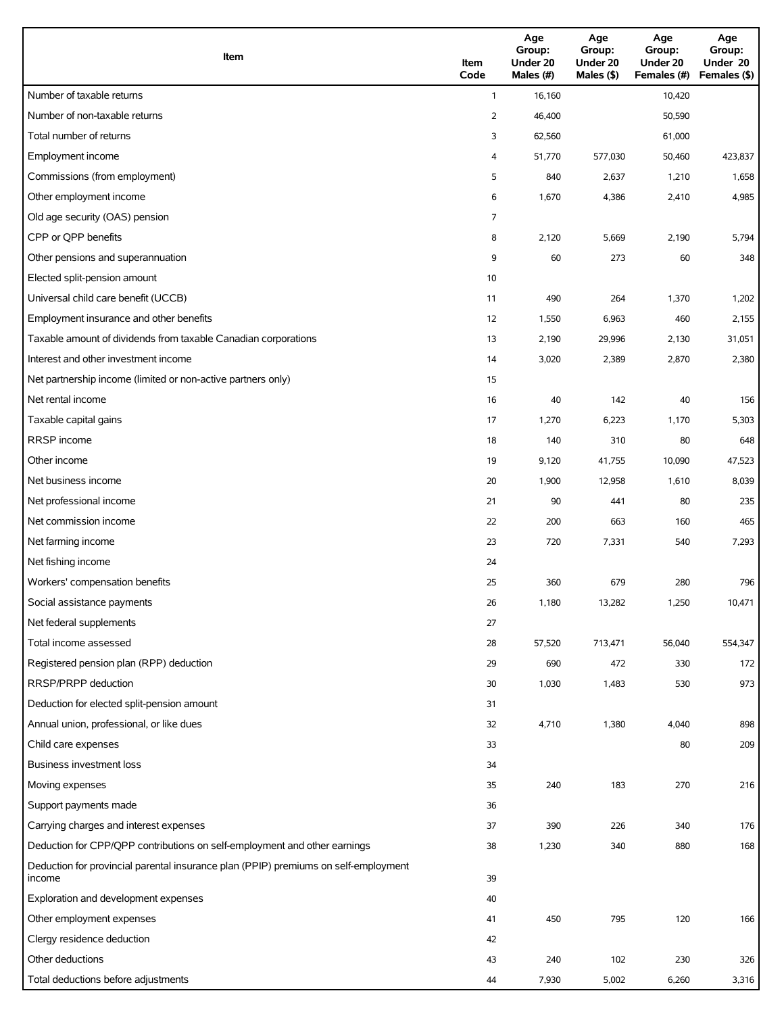| Item                                                                                          | Item<br>Code   | Age<br>Group:<br>Under 20<br>Males (#) | Age<br>Group:<br>Under 20<br>Males (\$) | Age<br>Group:<br>Under 20<br>Females (#) | Age<br>Group:<br>Under 20<br>Females (\$) |
|-----------------------------------------------------------------------------------------------|----------------|----------------------------------------|-----------------------------------------|------------------------------------------|-------------------------------------------|
| Number of taxable returns                                                                     | $\mathbf{1}$   | 16,160                                 |                                         | 10,420                                   |                                           |
| Number of non-taxable returns                                                                 | $\overline{2}$ | 46,400                                 |                                         | 50,590                                   |                                           |
| Total number of returns                                                                       | 3              | 62,560                                 |                                         | 61,000                                   |                                           |
| Employment income                                                                             | 4              | 51,770                                 | 577,030                                 | 50,460                                   | 423,837                                   |
| Commissions (from employment)                                                                 | 5              | 840                                    | 2,637                                   | 1,210                                    | 1,658                                     |
| Other employment income                                                                       | 6              | 1,670                                  | 4,386                                   | 2,410                                    | 4,985                                     |
| Old age security (OAS) pension                                                                | 7              |                                        |                                         |                                          |                                           |
| CPP or QPP benefits                                                                           | 8              | 2,120                                  | 5,669                                   | 2,190                                    | 5,794                                     |
| Other pensions and superannuation                                                             | 9              | 60                                     | 273                                     | 60                                       | 348                                       |
| Elected split-pension amount                                                                  | 10             |                                        |                                         |                                          |                                           |
| Universal child care benefit (UCCB)                                                           | 11             | 490                                    | 264                                     | 1,370                                    | 1,202                                     |
| Employment insurance and other benefits                                                       | 12             | 1,550                                  | 6,963                                   | 460                                      | 2,155                                     |
| Taxable amount of dividends from taxable Canadian corporations                                | 13             | 2,190                                  | 29,996                                  | 2,130                                    | 31,051                                    |
| Interest and other investment income                                                          | 14             | 3,020                                  | 2,389                                   | 2,870                                    | 2,380                                     |
| Net partnership income (limited or non-active partners only)                                  | 15             |                                        |                                         |                                          |                                           |
| Net rental income                                                                             | 16             | 40                                     | 142                                     | 40                                       | 156                                       |
| Taxable capital gains                                                                         | 17             | 1,270                                  | 6,223                                   | 1,170                                    | 5,303                                     |
| <b>RRSP</b> income                                                                            | 18             | 140                                    | 310                                     | 80                                       | 648                                       |
| Other income                                                                                  | 19             | 9,120                                  | 41,755                                  | 10,090                                   | 47,523                                    |
| Net business income                                                                           | 20             | 1,900                                  | 12,958                                  | 1,610                                    | 8,039                                     |
| Net professional income                                                                       | 21             | 90                                     | 441                                     | 80                                       | 235                                       |
| Net commission income                                                                         | 22             | 200                                    | 663                                     | 160                                      | 465                                       |
| Net farming income                                                                            | 23             | 720                                    | 7,331                                   | 540                                      | 7,293                                     |
| Net fishing income                                                                            | 24             |                                        |                                         |                                          |                                           |
| Workers' compensation benefits                                                                | 25             | 360                                    | 679                                     | 280                                      | 796                                       |
| Social assistance payments                                                                    | 26             | 1,180                                  | 13,282                                  | 1,250                                    | 10,471                                    |
| Net federal supplements                                                                       | 27             |                                        |                                         |                                          |                                           |
| Total income assessed                                                                         | 28             | 57,520                                 | 713,471                                 | 56,040                                   | 554,347                                   |
| Registered pension plan (RPP) deduction                                                       | 29             | 690                                    | 472                                     | 330                                      | 172                                       |
| RRSP/PRPP deduction                                                                           | 30             | 1,030                                  | 1,483                                   | 530                                      | 973                                       |
| Deduction for elected split-pension amount                                                    | 31             |                                        |                                         |                                          |                                           |
| Annual union, professional, or like dues                                                      | 32             | 4,710                                  | 1,380                                   | 4,040                                    | 898                                       |
| Child care expenses                                                                           | 33             |                                        |                                         | 80                                       | 209                                       |
| Business investment loss                                                                      | 34             |                                        |                                         |                                          |                                           |
| Moving expenses                                                                               | 35             | 240                                    | 183                                     | 270                                      | 216                                       |
| Support payments made                                                                         | 36             |                                        |                                         |                                          |                                           |
| Carrying charges and interest expenses                                                        | 37             | 390                                    | 226                                     | 340                                      | 176                                       |
| Deduction for CPP/QPP contributions on self-employment and other earnings                     | 38             | 1,230                                  | 340                                     | 880                                      | 168                                       |
| Deduction for provincial parental insurance plan (PPIP) premiums on self-employment<br>income | 39             |                                        |                                         |                                          |                                           |
| Exploration and development expenses                                                          | 40             |                                        |                                         |                                          |                                           |
| Other employment expenses                                                                     | 41             | 450                                    | 795                                     | 120                                      | 166                                       |
| Clergy residence deduction                                                                    | 42             |                                        |                                         |                                          |                                           |
| Other deductions                                                                              | 43             | 240                                    | 102                                     | 230                                      | 326                                       |
| Total deductions before adjustments                                                           | 44             | 7,930                                  | 5,002                                   | 6,260                                    | 3,316                                     |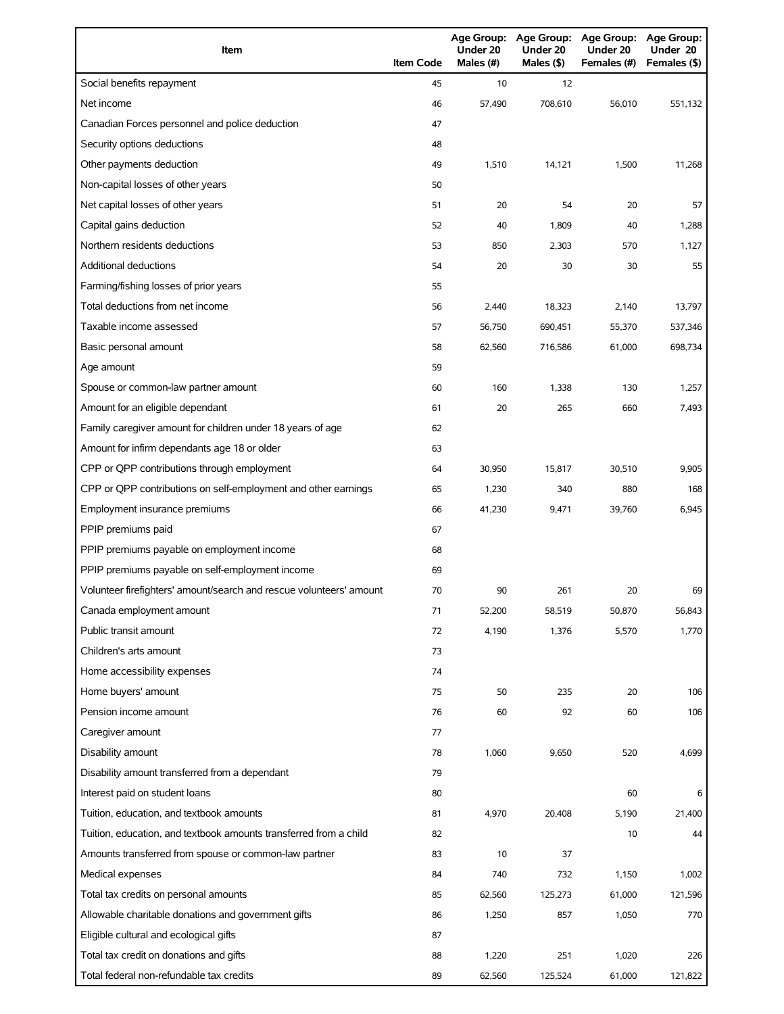| Item                                                                | <b>Item Code</b> | Under 20<br>Males (#) | Under 20<br>Males (\$) | Age Group: Age Group: Age Group:<br>Under 20<br>Females (#) | Age Group:<br>Under 20<br>Females (\$) |
|---------------------------------------------------------------------|------------------|-----------------------|------------------------|-------------------------------------------------------------|----------------------------------------|
| Social benefits repayment                                           | 45               | 10                    | 12                     |                                                             |                                        |
| Net income                                                          | 46               | 57,490                | 708,610                | 56.010                                                      | 551,132                                |
| Canadian Forces personnel and police deduction                      | 47               |                       |                        |                                                             |                                        |
| Security options deductions                                         | 48               |                       |                        |                                                             |                                        |
| Other payments deduction                                            | 49               | 1,510                 | 14,121                 | 1,500                                                       | 11,268                                 |
| Non-capital losses of other years                                   | 50               |                       |                        |                                                             |                                        |
| Net capital losses of other years                                   | 51               | 20                    | 54                     | 20                                                          | 57                                     |
| Capital gains deduction                                             | 52               | 40                    | 1,809                  | 40                                                          | 1,288                                  |
| Northern residents deductions                                       | 53               | 850                   | 2,303                  | 570                                                         | 1,127                                  |
| Additional deductions                                               | 54               | 20                    | 30                     | 30                                                          | 55                                     |
| Farming/fishing losses of prior years                               | 55               |                       |                        |                                                             |                                        |
| Total deductions from net income                                    | 56               | 2,440                 | 18,323                 | 2,140                                                       | 13,797                                 |
| Taxable income assessed                                             | 57               | 56,750                | 690,451                | 55,370                                                      | 537,346                                |
| Basic personal amount                                               | 58               | 62,560                | 716,586                | 61,000                                                      | 698,734                                |
| Age amount                                                          | 59               |                       |                        |                                                             |                                        |
| Spouse or common-law partner amount                                 | 60               | 160                   | 1,338                  | 130                                                         | 1,257                                  |
| Amount for an eligible dependant                                    | 61               | 20                    | 265                    | 660                                                         | 7,493                                  |
| Family caregiver amount for children under 18 years of age          | 62               |                       |                        |                                                             |                                        |
| Amount for infirm dependants age 18 or older                        | 63               |                       |                        |                                                             |                                        |
| CPP or QPP contributions through employment                         | 64               | 30,950                | 15,817                 | 30,510                                                      | 9,905                                  |
| CPP or QPP contributions on self-employment and other earnings      | 65               | 1,230                 | 340                    | 880                                                         | 168                                    |
| Employment insurance premiums                                       | 66               | 41,230                | 9,471                  | 39,760                                                      | 6,945                                  |
| PPIP premiums paid                                                  | 67               |                       |                        |                                                             |                                        |
| PPIP premiums payable on employment income                          | 68               |                       |                        |                                                             |                                        |
| PPIP premiums payable on self-employment income                     | 69               |                       |                        |                                                             |                                        |
| Volunteer firefighters' amount/search and rescue volunteers' amount | 70               | 90                    | 261                    | 20                                                          | 69                                     |
| Canada employment amount                                            | 71               | 52,200                | 58,519                 | 50,870                                                      | 56,843                                 |
| Public transit amount                                               | 72               | 4,190                 | 1,376                  | 5,570                                                       | 1,770                                  |
| Children's arts amount                                              | 73               |                       |                        |                                                             |                                        |
| Home accessibility expenses                                         | 74               |                       |                        |                                                             |                                        |
| Home buyers' amount                                                 | 75               | 50                    | 235                    | 20                                                          | 106                                    |
| Pension income amount                                               | 76               | 60                    | 92                     | 60                                                          | 106                                    |
| Caregiver amount                                                    | 77               |                       |                        |                                                             |                                        |
| Disability amount                                                   | 78               | 1,060                 | 9,650                  | 520                                                         | 4,699                                  |
| Disability amount transferred from a dependant                      | 79               |                       |                        |                                                             |                                        |
| Interest paid on student loans                                      | 80               |                       |                        | 60                                                          | 6                                      |
| Tuition, education, and textbook amounts                            | 81               | 4,970                 | 20,408                 | 5,190                                                       | 21,400                                 |
| Tuition, education, and textbook amounts transferred from a child   | 82               |                       |                        | 10                                                          | 44                                     |
| Amounts transferred from spouse or common-law partner               | 83               | 10                    | 37                     |                                                             |                                        |
| Medical expenses                                                    | 84               | 740                   | 732                    | 1,150                                                       | 1,002                                  |
| Total tax credits on personal amounts                               | 85               | 62,560                | 125,273                | 61,000                                                      | 121,596                                |
| Allowable charitable donations and government gifts                 | 86               | 1,250                 | 857                    | 1,050                                                       | 770                                    |
| Eligible cultural and ecological gifts                              | 87               |                       |                        |                                                             |                                        |
| Total tax credit on donations and gifts                             | 88               | 1,220                 | 251                    | 1,020                                                       | 226                                    |
| Total federal non-refundable tax credits                            | 89               | 62,560                | 125,524                | 61,000                                                      | 121,822                                |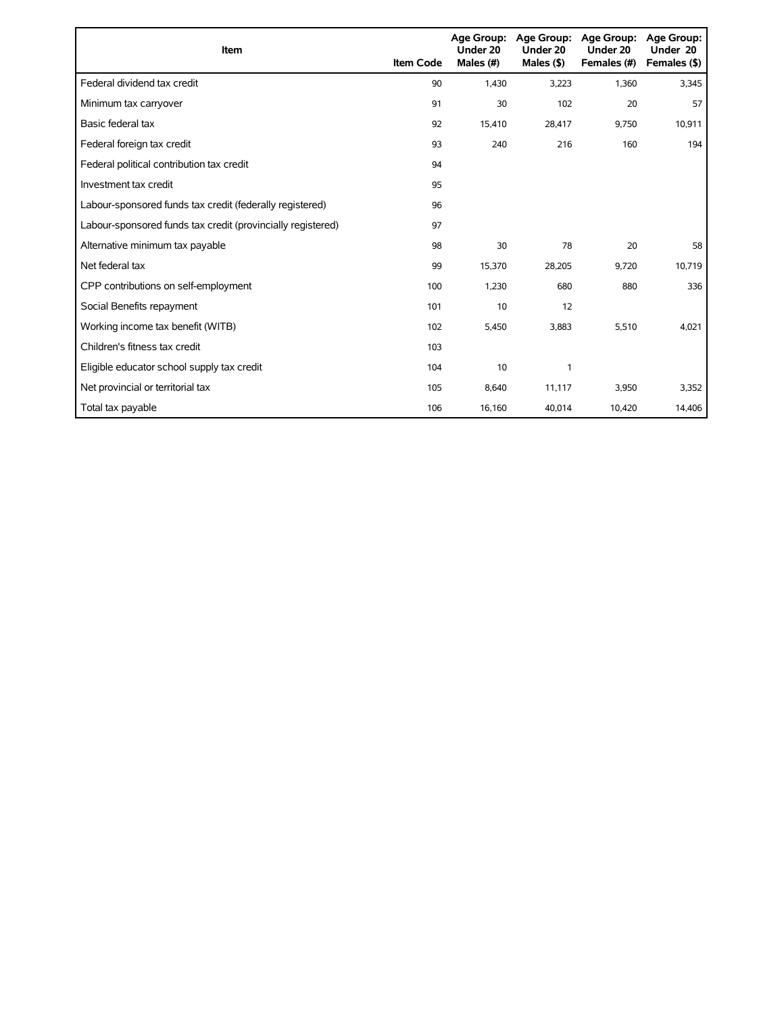| Item                                                        | <b>Item Code</b> | <b>Age Group:</b><br>Under 20<br>Males (#) | Age Group:<br>Under 20<br>Males $($ \$) | <b>Age Group:</b><br>Under 20<br>Females (#) | <b>Age Group:</b><br>Under 20<br>Females (\$) |
|-------------------------------------------------------------|------------------|--------------------------------------------|-----------------------------------------|----------------------------------------------|-----------------------------------------------|
| Federal dividend tax credit                                 | 90               | 1,430                                      | 3,223                                   | 1,360                                        | 3,345                                         |
| Minimum tax carryover                                       | 91               | 30                                         | 102                                     | 20                                           | 57                                            |
| Basic federal tax                                           | 92               | 15,410                                     | 28,417                                  | 9,750                                        | 10,911                                        |
| Federal foreign tax credit                                  | 93               | 240                                        | 216                                     | 160                                          | 194                                           |
| Federal political contribution tax credit                   | 94               |                                            |                                         |                                              |                                               |
| Investment tax credit                                       | 95               |                                            |                                         |                                              |                                               |
| Labour-sponsored funds tax credit (federally registered)    | 96               |                                            |                                         |                                              |                                               |
| Labour-sponsored funds tax credit (provincially registered) | 97               |                                            |                                         |                                              |                                               |
| Alternative minimum tax payable                             | 98               | 30                                         | 78                                      | 20                                           | 58                                            |
| Net federal tax                                             | 99               | 15,370                                     | 28,205                                  | 9,720                                        | 10,719                                        |
| CPP contributions on self-employment                        | 100              | 1,230                                      | 680                                     | 880                                          | 336                                           |
| Social Benefits repayment                                   | 101              | 10                                         | 12                                      |                                              |                                               |
| Working income tax benefit (WITB)                           | 102              | 5,450                                      | 3,883                                   | 5,510                                        | 4,021                                         |
| Children's fitness tax credit                               | 103              |                                            |                                         |                                              |                                               |
| Eligible educator school supply tax credit                  | 104              | 10                                         | 1                                       |                                              |                                               |
| Net provincial or territorial tax                           | 105              | 8,640                                      | 11,117                                  | 3,950                                        | 3,352                                         |
| Total tax payable                                           | 106              | 16,160                                     | 40,014                                  | 10,420                                       | 14,406                                        |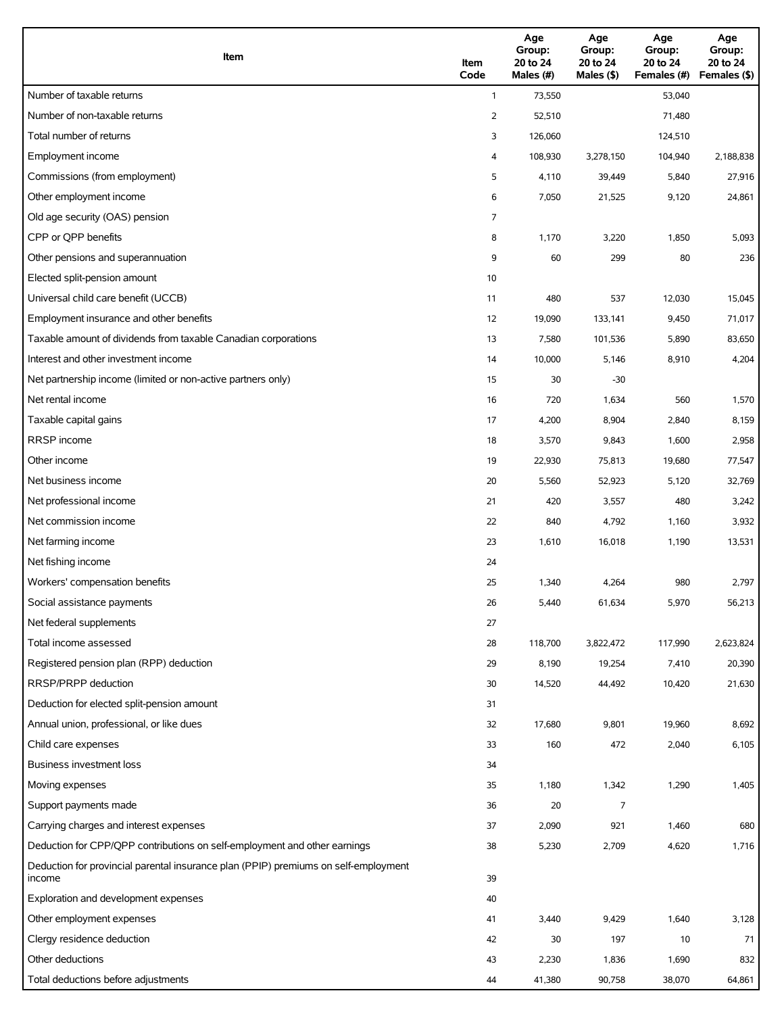| Item                                                                                          | Item<br>Code | Age<br>Group:<br>20 to 24<br>Males (#) | Age<br>Group:<br>20 to 24<br>Males (\$) | Age<br>Group:<br>20 to 24<br>Females (#) | Age<br>Group:<br>20 to 24<br>Females (\$) |
|-----------------------------------------------------------------------------------------------|--------------|----------------------------------------|-----------------------------------------|------------------------------------------|-------------------------------------------|
| Number of taxable returns                                                                     | $\mathbf{1}$ | 73,550                                 |                                         | 53,040                                   |                                           |
| Number of non-taxable returns                                                                 | 2            | 52,510                                 |                                         | 71,480                                   |                                           |
| Total number of returns                                                                       | 3            | 126,060                                |                                         | 124,510                                  |                                           |
| Employment income                                                                             | 4            | 108,930                                | 3,278,150                               | 104,940                                  | 2,188,838                                 |
| Commissions (from employment)                                                                 | 5            | 4,110                                  | 39,449                                  | 5,840                                    | 27,916                                    |
| Other employment income                                                                       | 6            | 7,050                                  | 21,525                                  | 9,120                                    | 24,861                                    |
| Old age security (OAS) pension                                                                | 7            |                                        |                                         |                                          |                                           |
| CPP or OPP benefits                                                                           | 8            | 1,170                                  | 3,220                                   | 1,850                                    | 5,093                                     |
| Other pensions and superannuation                                                             | 9            | 60                                     | 299                                     | 80                                       | 236                                       |
| Elected split-pension amount                                                                  | 10           |                                        |                                         |                                          |                                           |
| Universal child care benefit (UCCB)                                                           | 11           | 480                                    | 537                                     | 12,030                                   | 15,045                                    |
| Employment insurance and other benefits                                                       | 12           | 19,090                                 | 133,141                                 | 9,450                                    | 71,017                                    |
| Taxable amount of dividends from taxable Canadian corporations                                | 13           | 7,580                                  | 101,536                                 | 5,890                                    | 83,650                                    |
| Interest and other investment income                                                          | 14           | 10,000                                 | 5,146                                   | 8,910                                    | 4,204                                     |
| Net partnership income (limited or non-active partners only)                                  | 15           | 30                                     | $-30$                                   |                                          |                                           |
| Net rental income                                                                             | 16           | 720                                    | 1,634                                   | 560                                      | 1,570                                     |
| Taxable capital gains                                                                         | 17           | 4,200                                  | 8,904                                   | 2,840                                    | 8,159                                     |
| <b>RRSP</b> income                                                                            | 18           | 3,570                                  | 9,843                                   | 1,600                                    | 2,958                                     |
| Other income                                                                                  | 19           | 22,930                                 | 75,813                                  | 19,680                                   | 77,547                                    |
| Net business income                                                                           | 20           | 5,560                                  | 52,923                                  | 5,120                                    | 32,769                                    |
| Net professional income                                                                       | 21           | 420                                    | 3,557                                   | 480                                      | 3,242                                     |
| Net commission income                                                                         | 22           | 840                                    | 4,792                                   | 1,160                                    | 3,932                                     |
| Net farming income                                                                            | 23           | 1,610                                  | 16,018                                  | 1,190                                    | 13,531                                    |
| Net fishing income                                                                            | 24           |                                        |                                         |                                          |                                           |
| Workers' compensation benefits                                                                | 25           | 1,340                                  | 4,264                                   | 980                                      | 2,797                                     |
| Social assistance payments                                                                    | 26           | 5,440                                  | 61,634                                  | 5,970                                    | 56,213                                    |
| Net federal supplements                                                                       | 27           |                                        |                                         |                                          |                                           |
| Total income assessed                                                                         | 28           | 118,700                                | 3,822,472                               | 117,990                                  | 2,623,824                                 |
| Registered pension plan (RPP) deduction                                                       | 29           | 8,190                                  | 19,254                                  | 7,410                                    | 20,390                                    |
| RRSP/PRPP deduction                                                                           | 30           | 14,520                                 | 44,492                                  | 10,420                                   | 21,630                                    |
| Deduction for elected split-pension amount                                                    | 31           |                                        |                                         |                                          |                                           |
| Annual union, professional, or like dues                                                      | 32           | 17,680                                 | 9,801                                   | 19,960                                   | 8,692                                     |
| Child care expenses                                                                           | 33           | 160                                    | 472                                     | 2,040                                    | 6,105                                     |
| Business investment loss                                                                      | 34           |                                        |                                         |                                          |                                           |
| Moving expenses                                                                               | 35           | 1,180                                  | 1,342                                   | 1,290                                    | 1,405                                     |
| Support payments made                                                                         | 36           | 20                                     | 7                                       |                                          |                                           |
| Carrying charges and interest expenses                                                        | 37           | 2,090                                  | 921                                     | 1,460                                    | 680                                       |
| Deduction for CPP/QPP contributions on self-employment and other earnings                     | 38           | 5,230                                  | 2,709                                   | 4,620                                    | 1,716                                     |
| Deduction for provincial parental insurance plan (PPIP) premiums on self-employment<br>income | 39           |                                        |                                         |                                          |                                           |
| Exploration and development expenses                                                          | 40           |                                        |                                         |                                          |                                           |
| Other employment expenses                                                                     | 41           | 3,440                                  | 9,429                                   | 1,640                                    | 3,128                                     |
| Clergy residence deduction                                                                    | 42           | 30                                     | 197                                     | 10                                       | 71                                        |
| Other deductions                                                                              | 43           | 2,230                                  | 1,836                                   | 1,690                                    | 832                                       |
| Total deductions before adjustments                                                           | 44           | 41,380                                 | 90,758                                  | 38,070                                   | 64,861                                    |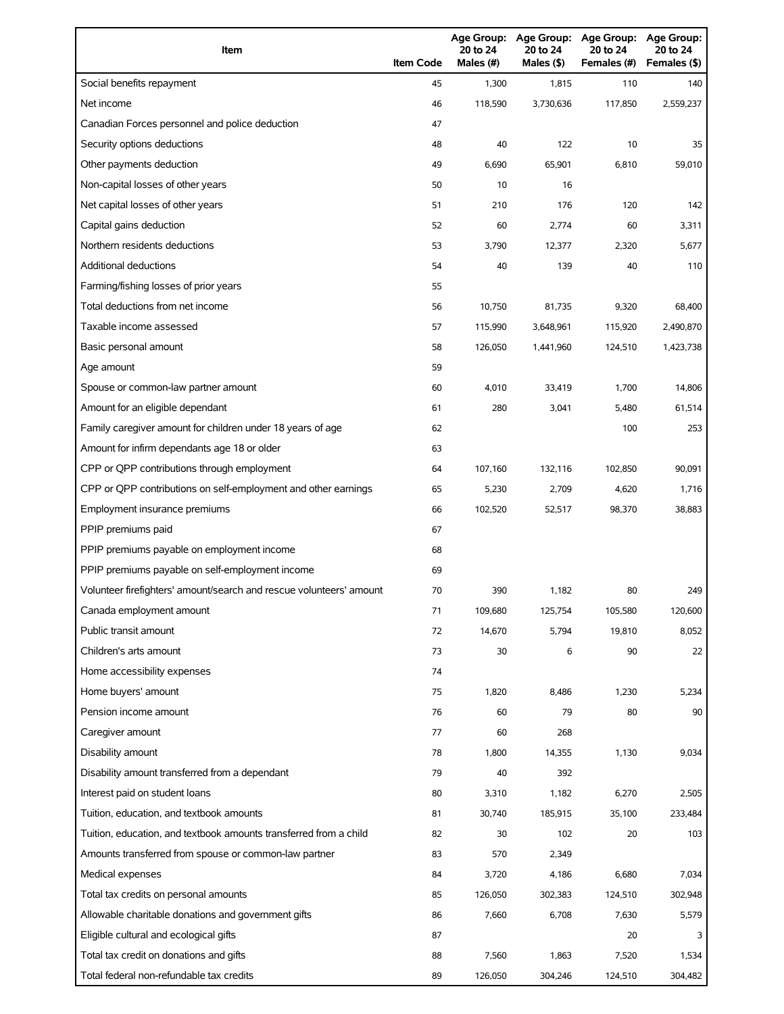| Item                                                                | <b>Item Code</b> | Age Group:<br>20 to 24<br>Males (#) | <b>Age Group:</b><br>20 to 24<br>Males (\$) | <b>Age Group:</b><br>20 to 24<br>Females (#) | <b>Age Group:</b><br>20 to 24<br>Females (\$) |
|---------------------------------------------------------------------|------------------|-------------------------------------|---------------------------------------------|----------------------------------------------|-----------------------------------------------|
| Social benefits repayment                                           | 45               | 1,300                               | 1,815                                       | 110                                          | 140                                           |
| Net income                                                          | 46               | 118,590                             | 3,730,636                                   | 117,850                                      | 2,559,237                                     |
| Canadian Forces personnel and police deduction                      | 47               |                                     |                                             |                                              |                                               |
| Security options deductions                                         | 48               | 40                                  | 122                                         | 10                                           | 35                                            |
| Other payments deduction                                            | 49               | 6,690                               | 65,901                                      | 6,810                                        | 59,010                                        |
| Non-capital losses of other years                                   | 50               | 10                                  | 16                                          |                                              |                                               |
| Net capital losses of other years                                   | 51               | 210                                 | 176                                         | 120                                          | 142                                           |
| Capital gains deduction                                             | 52               | 60                                  | 2,774                                       | 60                                           | 3,311                                         |
| Northern residents deductions                                       | 53               | 3,790                               | 12,377                                      | 2,320                                        | 5,677                                         |
| Additional deductions                                               | 54               | 40                                  | 139                                         | 40                                           | 110                                           |
| Farming/fishing losses of prior years                               | 55               |                                     |                                             |                                              |                                               |
| Total deductions from net income                                    | 56               | 10,750                              | 81,735                                      | 9,320                                        | 68,400                                        |
| Taxable income assessed                                             | 57               | 115,990                             | 3,648,961                                   | 115,920                                      | 2,490,870                                     |
| Basic personal amount                                               | 58               | 126,050                             | 1,441,960                                   | 124,510                                      | 1,423,738                                     |
| Age amount                                                          | 59               |                                     |                                             |                                              |                                               |
| Spouse or common-law partner amount                                 | 60               | 4,010                               | 33,419                                      | 1,700                                        | 14,806                                        |
| Amount for an eligible dependant                                    | 61               | 280                                 | 3,041                                       | 5,480                                        | 61,514                                        |
| Family caregiver amount for children under 18 years of age          | 62               |                                     |                                             | 100                                          | 253                                           |
| Amount for infirm dependants age 18 or older                        | 63               |                                     |                                             |                                              |                                               |
| CPP or QPP contributions through employment                         | 64               | 107,160                             | 132,116                                     | 102,850                                      | 90,091                                        |
| CPP or QPP contributions on self-employment and other earnings      | 65               | 5,230                               | 2,709                                       | 4,620                                        | 1,716                                         |
| Employment insurance premiums                                       | 66               | 102,520                             | 52,517                                      | 98,370                                       | 38,883                                        |
| PPIP premiums paid                                                  | 67               |                                     |                                             |                                              |                                               |
| PPIP premiums payable on employment income                          | 68               |                                     |                                             |                                              |                                               |
| PPIP premiums payable on self-employment income                     | 69               |                                     |                                             |                                              |                                               |
| Volunteer firefighters' amount/search and rescue volunteers' amount | 70               | 390                                 | 1,182                                       | 80                                           | 249                                           |
| Canada employment amount                                            | 71               | 109,680                             | 125,754                                     | 105,580                                      | 120,600                                       |
| Public transit amount                                               | 72               | 14,670                              | 5,794                                       | 19,810                                       | 8,052                                         |
| Children's arts amount                                              | 73               | 30                                  | 6                                           | 90                                           | 22                                            |
| Home accessibility expenses                                         | 74               |                                     |                                             |                                              |                                               |
| Home buyers' amount                                                 | 75               | 1,820                               | 8,486                                       | 1,230                                        | 5,234                                         |
| Pension income amount                                               | 76               | 60                                  | 79                                          | 80                                           | 90                                            |
| Caregiver amount                                                    | 77               | 60                                  | 268                                         |                                              |                                               |
| Disability amount                                                   | 78               | 1,800                               | 14,355                                      | 1,130                                        | 9,034                                         |
| Disability amount transferred from a dependant                      | 79               | 40                                  | 392                                         |                                              |                                               |
| Interest paid on student loans                                      | 80               | 3,310                               | 1,182                                       | 6,270                                        | 2,505                                         |
| Tuition, education, and textbook amounts                            | 81               | 30,740                              | 185,915                                     | 35,100                                       | 233,484                                       |
| Tuition, education, and textbook amounts transferred from a child   | 82               | 30                                  | 102                                         | 20                                           | 103                                           |
| Amounts transferred from spouse or common-law partner               | 83               | 570                                 | 2,349                                       |                                              |                                               |
| Medical expenses                                                    | 84               | 3,720                               | 4,186                                       | 6,680                                        | 7,034                                         |
| Total tax credits on personal amounts                               | 85               | 126,050                             | 302,383                                     | 124,510                                      | 302,948                                       |
| Allowable charitable donations and government gifts                 | 86               | 7,660                               | 6,708                                       | 7,630                                        | 5,579                                         |
| Eligible cultural and ecological gifts                              | 87               |                                     |                                             | 20                                           |                                               |
| Total tax credit on donations and gifts                             | 88               | 7,560                               | 1,863                                       | 7,520                                        | 1,534                                         |
| Total federal non-refundable tax credits                            | 89               | 126,050                             | 304,246                                     | 124,510                                      | 304,482                                       |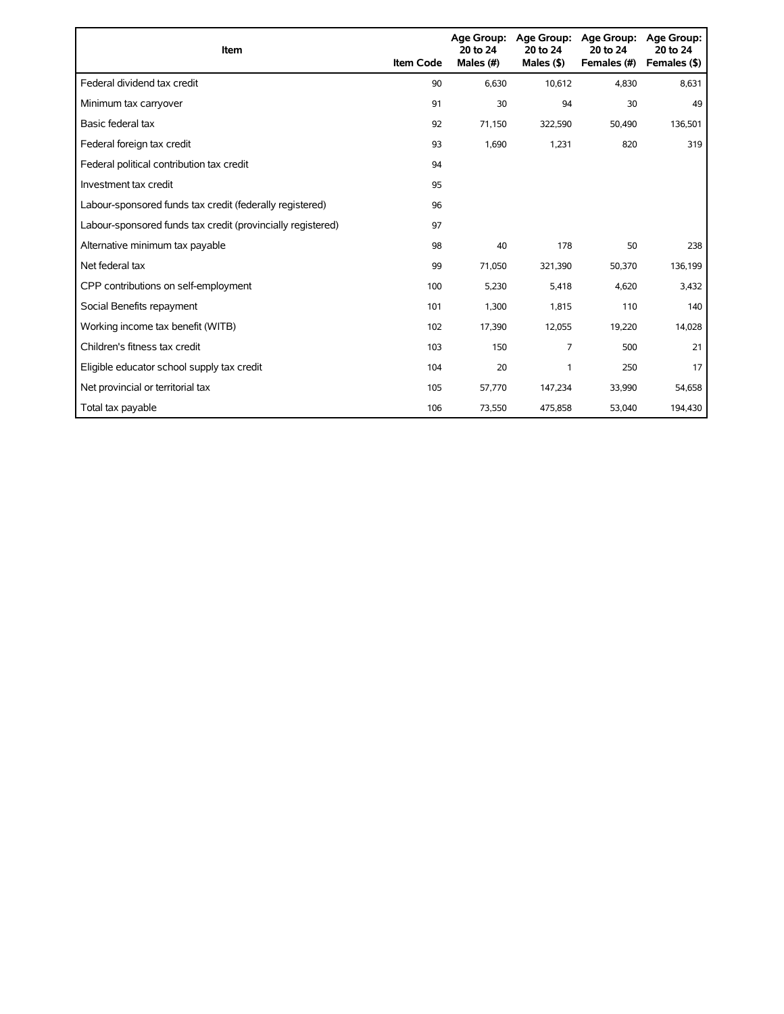| Item                                                        | <b>Item Code</b> | 20 to 24<br>Males (#) | Age Group: Age Group:<br>20 to 24<br>Males $(§)$ | Age Group:<br>20 to 24<br>Females (#) | Age Group:<br>20 to 24<br>Females (\$) |
|-------------------------------------------------------------|------------------|-----------------------|--------------------------------------------------|---------------------------------------|----------------------------------------|
| Federal dividend tax credit                                 | 90               | 6,630                 | 10,612                                           | 4,830                                 | 8,631                                  |
| Minimum tax carryover                                       | 91               | 30                    | 94                                               | 30                                    | 49                                     |
| Basic federal tax                                           | 92               | 71,150                | 322,590                                          | 50,490                                | 136,501                                |
| Federal foreign tax credit                                  | 93               | 1,690                 | 1,231                                            | 820                                   | 319                                    |
| Federal political contribution tax credit                   | 94               |                       |                                                  |                                       |                                        |
| Investment tax credit                                       | 95               |                       |                                                  |                                       |                                        |
| Labour-sponsored funds tax credit (federally registered)    | 96               |                       |                                                  |                                       |                                        |
| Labour-sponsored funds tax credit (provincially registered) | 97               |                       |                                                  |                                       |                                        |
| Alternative minimum tax payable                             | 98               | 40                    | 178                                              | 50                                    | 238                                    |
| Net federal tax                                             | 99               | 71,050                | 321,390                                          | 50,370                                | 136,199                                |
| CPP contributions on self-employment                        | 100              | 5,230                 | 5,418                                            | 4,620                                 | 3,432                                  |
| Social Benefits repayment                                   | 101              | 1,300                 | 1,815                                            | 110                                   | 140                                    |
| Working income tax benefit (WITB)                           | 102              | 17,390                | 12,055                                           | 19,220                                | 14,028                                 |
| Children's fitness tax credit                               | 103              | 150                   | 7                                                | 500                                   | 21                                     |
| Eligible educator school supply tax credit                  | 104              | 20                    | 1                                                | 250                                   | 17                                     |
| Net provincial or territorial tax                           | 105              | 57,770                | 147,234                                          | 33,990                                | 54,658                                 |
| Total tax payable                                           | 106              | 73,550                | 475,858                                          | 53,040                                | 194,430                                |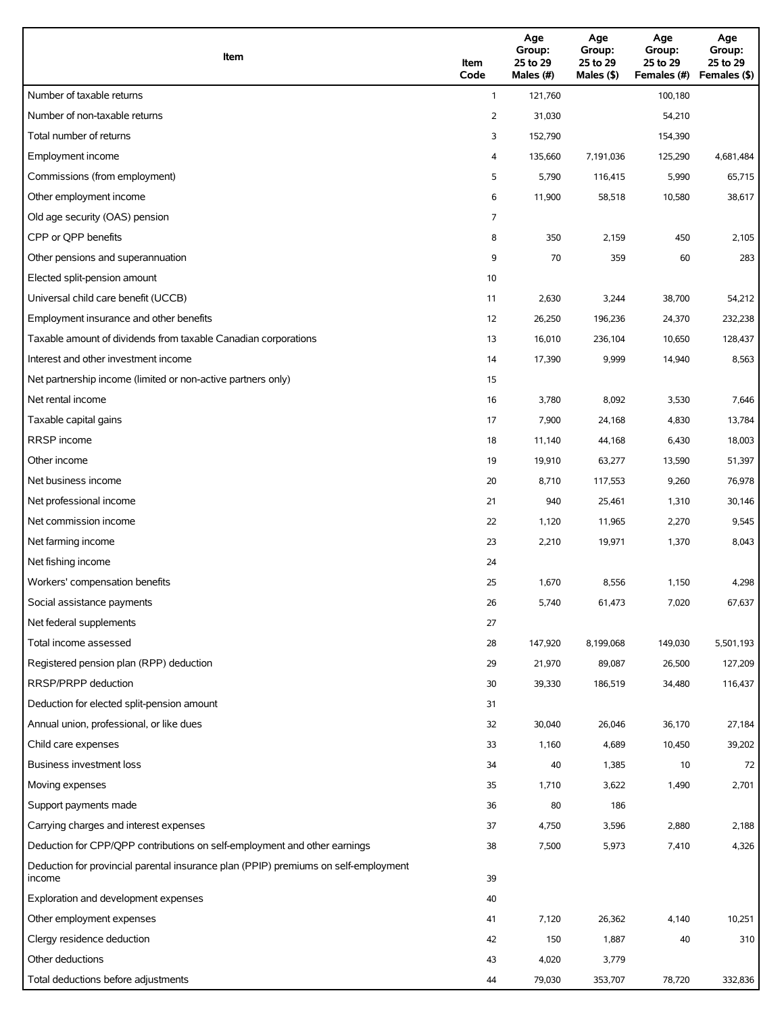| Item                                                                                          | Item<br>Code   | Age<br>Group:<br>25 to 29<br>Males (#) | Age<br>Group:<br>25 to 29<br>Males (\$) | Age<br>Group:<br>25 to 29<br>Females (#) | Age<br>Group:<br>25 to 29<br>Females (\$) |
|-----------------------------------------------------------------------------------------------|----------------|----------------------------------------|-----------------------------------------|------------------------------------------|-------------------------------------------|
| Number of taxable returns                                                                     | $\mathbf{1}$   | 121,760                                |                                         | 100,180                                  |                                           |
| Number of non-taxable returns                                                                 | $\overline{2}$ | 31,030                                 |                                         | 54,210                                   |                                           |
| Total number of returns                                                                       | 3              | 152,790                                |                                         | 154,390                                  |                                           |
| Employment income                                                                             | 4              | 135,660                                | 7,191,036                               | 125,290                                  | 4,681,484                                 |
| Commissions (from employment)                                                                 | 5              | 5,790                                  | 116,415                                 | 5,990                                    | 65,715                                    |
| Other employment income                                                                       | 6              | 11,900                                 | 58,518                                  | 10,580                                   | 38,617                                    |
| Old age security (OAS) pension                                                                | 7              |                                        |                                         |                                          |                                           |
| CPP or QPP benefits                                                                           | 8              | 350                                    | 2,159                                   | 450                                      | 2,105                                     |
| Other pensions and superannuation                                                             | 9              | 70                                     | 359                                     | 60                                       | 283                                       |
| Elected split-pension amount                                                                  | 10             |                                        |                                         |                                          |                                           |
| Universal child care benefit (UCCB)                                                           | 11             | 2,630                                  | 3,244                                   | 38,700                                   | 54,212                                    |
| Employment insurance and other benefits                                                       | 12             | 26,250                                 | 196,236                                 | 24,370                                   | 232,238                                   |
| Taxable amount of dividends from taxable Canadian corporations                                | 13             | 16,010                                 | 236,104                                 | 10,650                                   | 128,437                                   |
| Interest and other investment income                                                          | 14             | 17,390                                 | 9,999                                   | 14,940                                   | 8,563                                     |
| Net partnership income (limited or non-active partners only)                                  | 15             |                                        |                                         |                                          |                                           |
| Net rental income                                                                             | 16             | 3,780                                  | 8,092                                   | 3,530                                    | 7,646                                     |
| Taxable capital gains                                                                         | 17             | 7,900                                  | 24,168                                  | 4,830                                    | 13,784                                    |
| <b>RRSP</b> income                                                                            | 18             | 11,140                                 | 44,168                                  | 6,430                                    | 18,003                                    |
| Other income                                                                                  | 19             | 19,910                                 | 63,277                                  | 13,590                                   | 51,397                                    |
| Net business income                                                                           | 20             | 8,710                                  | 117,553                                 | 9,260                                    | 76,978                                    |
| Net professional income                                                                       | 21             | 940                                    | 25,461                                  | 1,310                                    | 30,146                                    |
| Net commission income                                                                         | 22             | 1,120                                  | 11,965                                  | 2,270                                    | 9,545                                     |
| Net farming income                                                                            | 23             | 2,210                                  | 19,971                                  | 1,370                                    | 8,043                                     |
| Net fishing income                                                                            | 24             |                                        |                                         |                                          |                                           |
| Workers' compensation benefits                                                                | 25             | 1,670                                  | 8,556                                   | 1,150                                    | 4,298                                     |
| Social assistance payments                                                                    | 26             | 5,740                                  | 61,473                                  | 7,020                                    | 67,637                                    |
| Net federal supplements                                                                       | 27             |                                        |                                         |                                          |                                           |
| Total income assessed                                                                         | 28             | 147,920                                | 8,199,068                               | 149,030                                  | 5,501,193                                 |
| Registered pension plan (RPP) deduction                                                       | 29             | 21,970                                 | 89,087                                  | 26,500                                   | 127,209                                   |
| RRSP/PRPP deduction                                                                           | 30             | 39,330                                 | 186,519                                 | 34,480                                   | 116,437                                   |
| Deduction for elected split-pension amount                                                    | 31             |                                        |                                         |                                          |                                           |
| Annual union, professional, or like dues                                                      | 32             | 30,040                                 | 26,046                                  | 36,170                                   | 27,184                                    |
| Child care expenses                                                                           | 33             | 1,160                                  | 4,689                                   | 10,450                                   | 39,202                                    |
| Business investment loss                                                                      | 34             | 40                                     | 1,385                                   | 10                                       | 72                                        |
| Moving expenses                                                                               | 35             | 1,710                                  | 3,622                                   | 1,490                                    | 2,701                                     |
| Support payments made                                                                         | 36             | 80                                     | 186                                     |                                          |                                           |
| Carrying charges and interest expenses                                                        | 37             | 4,750                                  | 3,596                                   | 2,880                                    | 2,188                                     |
| Deduction for CPP/QPP contributions on self-employment and other earnings                     | 38             | 7,500                                  | 5,973                                   | 7,410                                    | 4,326                                     |
| Deduction for provincial parental insurance plan (PPIP) premiums on self-employment<br>income | 39             |                                        |                                         |                                          |                                           |
| Exploration and development expenses                                                          | 40             |                                        |                                         |                                          |                                           |
| Other employment expenses                                                                     | 41             | 7,120                                  | 26,362                                  | 4,140                                    | 10,251                                    |
| Clergy residence deduction                                                                    | 42             | 150                                    | 1,887                                   | 40                                       | 310                                       |
| Other deductions                                                                              | 43             | 4,020                                  | 3,779                                   |                                          |                                           |
| Total deductions before adjustments                                                           | 44             | 79,030                                 | 353,707                                 | 78,720                                   | 332,836                                   |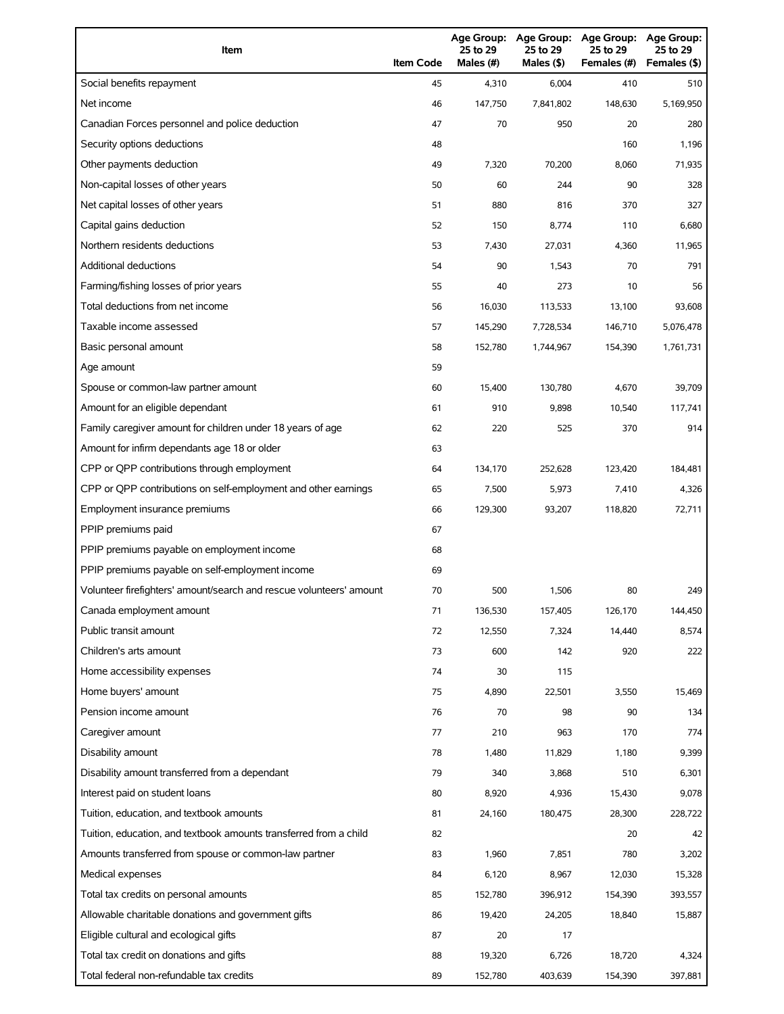| Item                                                                | <b>Item Code</b> | 25 to 29<br>Males (#) | 25 to 29<br>Males (\$) | Age Group: Age Group: Age Group:<br>25 to 29<br>Females (#) | <b>Age Group:</b><br>25 to 29<br>Females (\$) |
|---------------------------------------------------------------------|------------------|-----------------------|------------------------|-------------------------------------------------------------|-----------------------------------------------|
| Social benefits repayment                                           | 45               | 4,310                 | 6,004                  | 410                                                         | 510                                           |
| Net income                                                          | 46               | 147,750               | 7,841,802              | 148,630                                                     | 5,169,950                                     |
| Canadian Forces personnel and police deduction                      | 47               | 70                    | 950                    | 20                                                          | 280                                           |
| Security options deductions                                         | 48               |                       |                        | 160                                                         | 1,196                                         |
| Other payments deduction                                            | 49               | 7,320                 | 70,200                 | 8,060                                                       | 71,935                                        |
| Non-capital losses of other years                                   | 50               | 60                    | 244                    | 90                                                          | 328                                           |
| Net capital losses of other years                                   | 51               | 880                   | 816                    | 370                                                         | 327                                           |
| Capital gains deduction                                             | 52               | 150                   | 8,774                  | 110                                                         | 6,680                                         |
| Northern residents deductions                                       | 53               | 7,430                 | 27,031                 | 4,360                                                       | 11,965                                        |
| Additional deductions                                               | 54               | 90                    | 1,543                  | 70                                                          | 791                                           |
| Farming/fishing losses of prior years                               | 55               | 40                    | 273                    | 10                                                          | 56                                            |
| Total deductions from net income                                    | 56               | 16,030                | 113,533                | 13,100                                                      | 93,608                                        |
| Taxable income assessed                                             | 57               | 145,290               | 7,728,534              | 146,710                                                     | 5,076,478                                     |
| Basic personal amount                                               | 58               | 152,780               | 1,744,967              | 154,390                                                     | 1,761,731                                     |
| Age amount                                                          | 59               |                       |                        |                                                             |                                               |
| Spouse or common-law partner amount                                 | 60               | 15,400                | 130,780                | 4,670                                                       | 39,709                                        |
| Amount for an eligible dependant                                    | 61               | 910                   | 9,898                  | 10,540                                                      | 117,741                                       |
| Family caregiver amount for children under 18 years of age          | 62               | 220                   | 525                    | 370                                                         | 914                                           |
| Amount for infirm dependants age 18 or older                        | 63               |                       |                        |                                                             |                                               |
| CPP or QPP contributions through employment                         | 64               | 134,170               | 252,628                | 123,420                                                     | 184,481                                       |
| CPP or QPP contributions on self-employment and other earnings      | 65               | 7,500                 | 5,973                  | 7,410                                                       | 4,326                                         |
| Employment insurance premiums                                       | 66               | 129,300               | 93,207                 | 118,820                                                     | 72,711                                        |
| PPIP premiums paid                                                  | 67               |                       |                        |                                                             |                                               |
| PPIP premiums payable on employment income                          | 68               |                       |                        |                                                             |                                               |
| PPIP premiums payable on self-employment income                     | 69               |                       |                        |                                                             |                                               |
| Volunteer firefighters' amount/search and rescue volunteers' amount | 70               | 500                   | 1,506                  | 80                                                          | 249                                           |
| Canada employment amount                                            | 71               | 136,530               | 157,405                | 126,170                                                     | 144,450                                       |
| Public transit amount                                               | 72               | 12,550                | 7,324                  | 14,440                                                      | 8,574                                         |
| Children's arts amount                                              | 73               | 600                   | 142                    | 920                                                         | 222                                           |
| Home accessibility expenses                                         | 74               | 30                    | 115                    |                                                             |                                               |
| Home buyers' amount                                                 | 75               | 4,890                 | 22,501                 | 3,550                                                       | 15,469                                        |
| Pension income amount                                               | 76               | 70                    | 98                     | 90                                                          | 134                                           |
| Caregiver amount                                                    | 77               | 210                   | 963                    | 170                                                         | 774                                           |
| Disability amount                                                   | 78               | 1,480                 | 11,829                 | 1,180                                                       | 9,399                                         |
| Disability amount transferred from a dependant                      | 79               | 340                   | 3,868                  | 510                                                         | 6,301                                         |
| Interest paid on student loans                                      | 80               | 8,920                 | 4,936                  | 15,430                                                      | 9,078                                         |
| Tuition, education, and textbook amounts                            | 81               | 24,160                | 180,475                | 28,300                                                      | 228,722                                       |
| Tuition, education, and textbook amounts transferred from a child   | 82               |                       |                        | 20                                                          | 42                                            |
| Amounts transferred from spouse or common-law partner               | 83               | 1,960                 | 7,851                  | 780                                                         | 3,202                                         |
| Medical expenses                                                    | 84               | 6,120                 | 8,967                  | 12,030                                                      | 15,328                                        |
| Total tax credits on personal amounts                               | 85               | 152,780               | 396,912                | 154,390                                                     | 393,557                                       |
| Allowable charitable donations and government gifts                 | 86               | 19,420                | 24,205                 | 18,840                                                      | 15,887                                        |
| Eligible cultural and ecological gifts                              | 87               | 20                    | 17                     |                                                             |                                               |
| Total tax credit on donations and gifts                             | 88               | 19,320                | 6,726                  | 18,720                                                      | 4,324                                         |
| Total federal non-refundable tax credits                            | 89               | 152,780               | 403,639                | 154,390                                                     | 397,881                                       |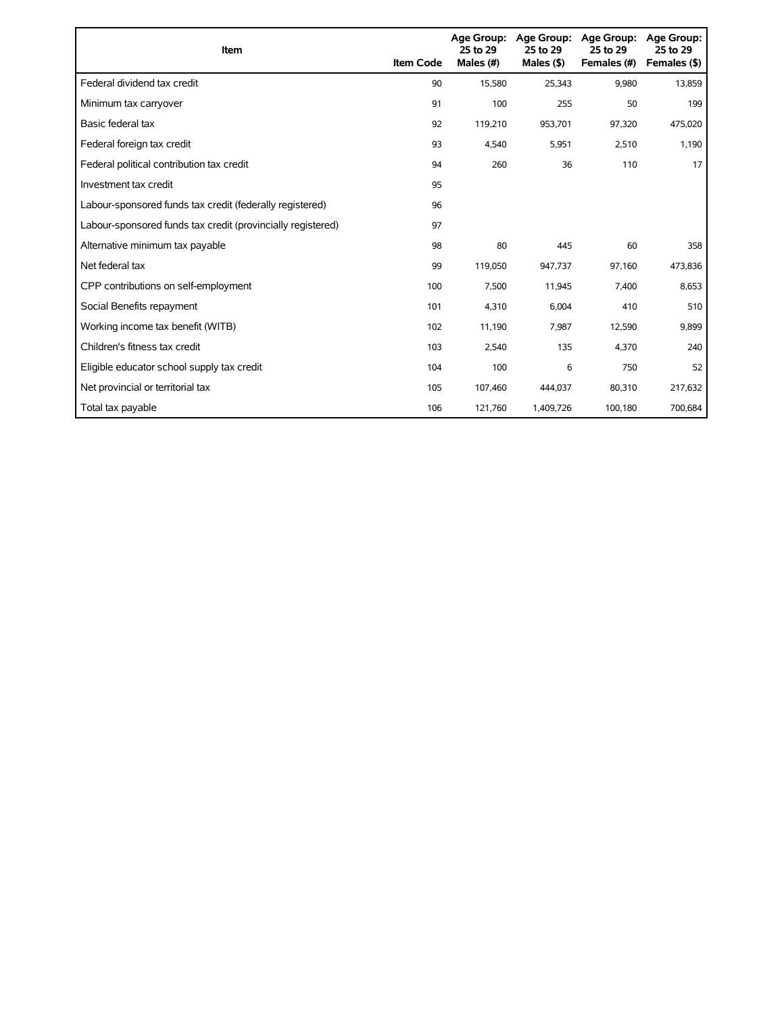| Item                                                        | <b>Item Code</b> | 25 to 29<br>Males (#) | Age Group: Age Group:<br>25 to 29<br>Males $($ \$) | <b>Age Group:</b><br>25 to 29<br>Females (#) | <b>Age Group:</b><br>25 to 29<br>Females (\$) |
|-------------------------------------------------------------|------------------|-----------------------|----------------------------------------------------|----------------------------------------------|-----------------------------------------------|
| Federal dividend tax credit                                 | 90               | 15,580                | 25,343                                             | 9,980                                        | 13,859                                        |
| Minimum tax carryover                                       | 91               | 100                   | 255                                                | 50                                           | 199                                           |
| Basic federal tax                                           | 92               | 119,210               | 953,701                                            | 97,320                                       | 475,020                                       |
| Federal foreign tax credit                                  | 93               | 4,540                 | 5,951                                              | 2,510                                        | 1,190                                         |
| Federal political contribution tax credit                   | 94               | 260                   | 36                                                 | 110                                          | 17                                            |
| Investment tax credit                                       | 95               |                       |                                                    |                                              |                                               |
| Labour-sponsored funds tax credit (federally registered)    | 96               |                       |                                                    |                                              |                                               |
| Labour-sponsored funds tax credit (provincially registered) | 97               |                       |                                                    |                                              |                                               |
| Alternative minimum tax payable                             | 98               | 80                    | 445                                                | 60                                           | 358                                           |
| Net federal tax                                             | 99               | 119,050               | 947,737                                            | 97,160                                       | 473,836                                       |
| CPP contributions on self-employment                        | 100              | 7,500                 | 11,945                                             | 7,400                                        | 8,653                                         |
| Social Benefits repayment                                   | 101              | 4,310                 | 6,004                                              | 410                                          | 510                                           |
| Working income tax benefit (WITB)                           | 102              | 11,190                | 7,987                                              | 12,590                                       | 9,899                                         |
| Children's fitness tax credit                               | 103              | 2,540                 | 135                                                | 4,370                                        | 240                                           |
| Eligible educator school supply tax credit                  | 104              | 100                   | 6                                                  | 750                                          | 52                                            |
| Net provincial or territorial tax                           | 105              | 107,460               | 444,037                                            | 80,310                                       | 217,632                                       |
| Total tax payable                                           | 106              | 121,760               | 1,409,726                                          | 100,180                                      | 700,684                                       |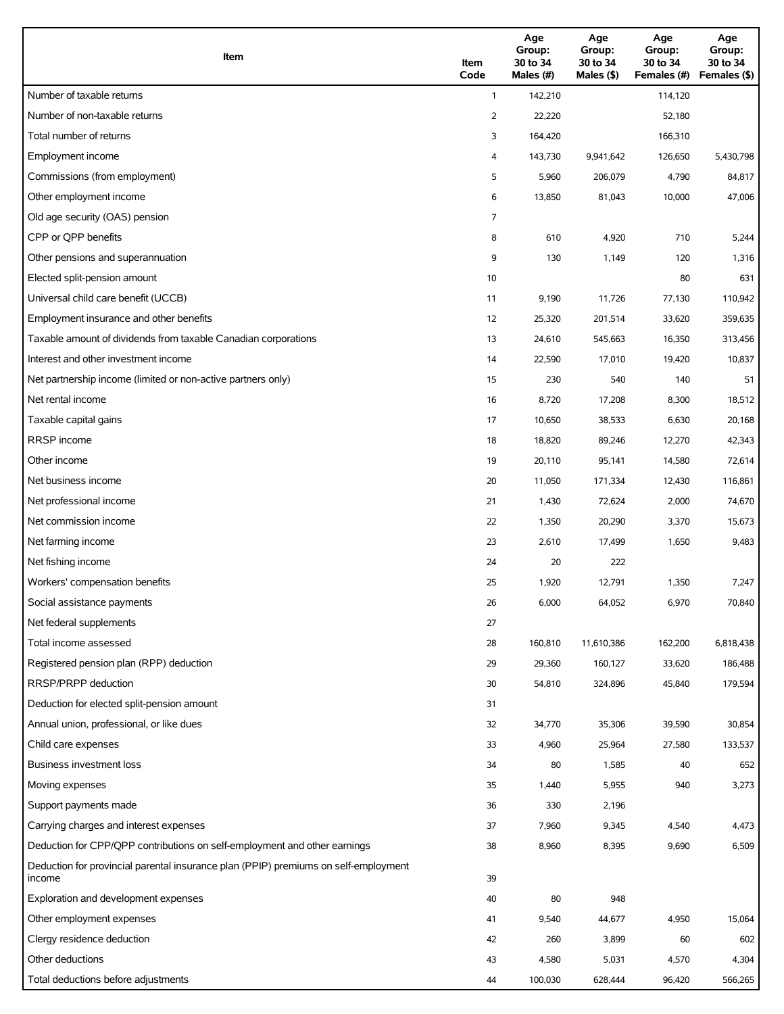| Item                                                                                          | Item<br>Code | Age<br>Group:<br>30 to 34<br>Males (#) | Age<br>Group:<br>30 to 34<br>Males (\$) | Age<br>Group:<br>30 to 34<br>Females (#) | Age<br>Group:<br>30 to 34<br>Females (\$) |
|-----------------------------------------------------------------------------------------------|--------------|----------------------------------------|-----------------------------------------|------------------------------------------|-------------------------------------------|
| Number of taxable returns                                                                     | $\mathbf{1}$ | 142,210                                |                                         | 114,120                                  |                                           |
| Number of non-taxable returns                                                                 | 2            | 22,220                                 |                                         | 52,180                                   |                                           |
| Total number of returns                                                                       | 3            | 164,420                                |                                         | 166,310                                  |                                           |
| Employment income                                                                             | 4            | 143,730                                | 9,941,642                               | 126,650                                  | 5,430,798                                 |
| Commissions (from employment)                                                                 | 5            | 5,960                                  | 206,079                                 | 4,790                                    | 84,817                                    |
| Other employment income                                                                       | 6            | 13,850                                 | 81,043                                  | 10,000                                   | 47,006                                    |
| Old age security (OAS) pension                                                                | 7            |                                        |                                         |                                          |                                           |
| CPP or OPP benefits                                                                           | 8            | 610                                    | 4,920                                   | 710                                      | 5,244                                     |
| Other pensions and superannuation                                                             | 9            | 130                                    | 1,149                                   | 120                                      | 1,316                                     |
| Elected split-pension amount                                                                  | 10           |                                        |                                         | 80                                       | 631                                       |
| Universal child care benefit (UCCB)                                                           | 11           | 9,190                                  | 11,726                                  | 77,130                                   | 110,942                                   |
| Employment insurance and other benefits                                                       | 12           | 25,320                                 | 201,514                                 | 33,620                                   | 359,635                                   |
| Taxable amount of dividends from taxable Canadian corporations                                | 13           | 24,610                                 | 545,663                                 | 16,350                                   | 313,456                                   |
| Interest and other investment income                                                          | 14           | 22,590                                 | 17,010                                  | 19,420                                   | 10,837                                    |
| Net partnership income (limited or non-active partners only)                                  | 15           | 230                                    | 540                                     | 140                                      | 51                                        |
| Net rental income                                                                             | 16           | 8,720                                  | 17,208                                  | 8,300                                    | 18,512                                    |
| Taxable capital gains                                                                         | 17           | 10,650                                 | 38,533                                  | 6,630                                    | 20,168                                    |
| <b>RRSP</b> income                                                                            | 18           | 18,820                                 | 89,246                                  | 12,270                                   | 42,343                                    |
| Other income                                                                                  | 19           | 20,110                                 | 95,141                                  | 14,580                                   | 72,614                                    |
| Net business income                                                                           | 20           | 11,050                                 | 171,334                                 | 12,430                                   | 116,861                                   |
| Net professional income                                                                       | 21           | 1,430                                  | 72,624                                  | 2,000                                    | 74,670                                    |
| Net commission income                                                                         | 22           | 1,350                                  | 20,290                                  | 3,370                                    | 15,673                                    |
| Net farming income                                                                            | 23           | 2,610                                  | 17,499                                  | 1,650                                    | 9,483                                     |
| Net fishing income                                                                            | 24           | 20                                     | 222                                     |                                          |                                           |
| Workers' compensation benefits                                                                | 25           | 1,920                                  | 12,791                                  | 1,350                                    | 7,247                                     |
| Social assistance payments                                                                    | 26           | 6,000                                  | 64,052                                  | 6,970                                    | 70,840                                    |
| Net federal supplements                                                                       | 27           |                                        |                                         |                                          |                                           |
| Total income assessed                                                                         | 28           | 160,810                                | 11,610,386                              | 162,200                                  | 6,818,438                                 |
| Registered pension plan (RPP) deduction                                                       | 29           | 29,360                                 | 160,127                                 | 33,620                                   | 186,488                                   |
| RRSP/PRPP deduction                                                                           | 30           | 54,810                                 | 324,896                                 | 45,840                                   | 179,594                                   |
| Deduction for elected split-pension amount                                                    | 31           |                                        |                                         |                                          |                                           |
| Annual union, professional, or like dues                                                      | 32           | 34,770                                 | 35,306                                  | 39,590                                   | 30,854                                    |
| Child care expenses                                                                           | 33           | 4,960                                  | 25,964                                  | 27,580                                   | 133,537                                   |
| <b>Business investment loss</b>                                                               | 34           | 80                                     | 1,585                                   | 40                                       | 652                                       |
| Moving expenses                                                                               | 35           | 1,440                                  | 5,955                                   | 940                                      | 3,273                                     |
| Support payments made                                                                         | 36           | 330                                    | 2,196                                   |                                          |                                           |
| Carrying charges and interest expenses                                                        | 37           | 7,960                                  | 9,345                                   | 4,540                                    | 4,473                                     |
| Deduction for CPP/QPP contributions on self-employment and other earnings                     | 38           | 8,960                                  | 8,395                                   | 9,690                                    | 6,509                                     |
| Deduction for provincial parental insurance plan (PPIP) premiums on self-employment<br>income | 39           |                                        |                                         |                                          |                                           |
| Exploration and development expenses                                                          | 40           | 80                                     | 948                                     |                                          |                                           |
| Other employment expenses                                                                     | 41           | 9,540                                  | 44,677                                  | 4,950                                    | 15,064                                    |
| Clergy residence deduction                                                                    | 42           | 260                                    | 3,899                                   | 60                                       | 602                                       |
| Other deductions                                                                              | 43           | 4,580                                  | 5,031                                   | 4,570                                    | 4,304                                     |
| Total deductions before adjustments                                                           | 44           | 100,030                                | 628,444                                 | 96,420                                   | 566,265                                   |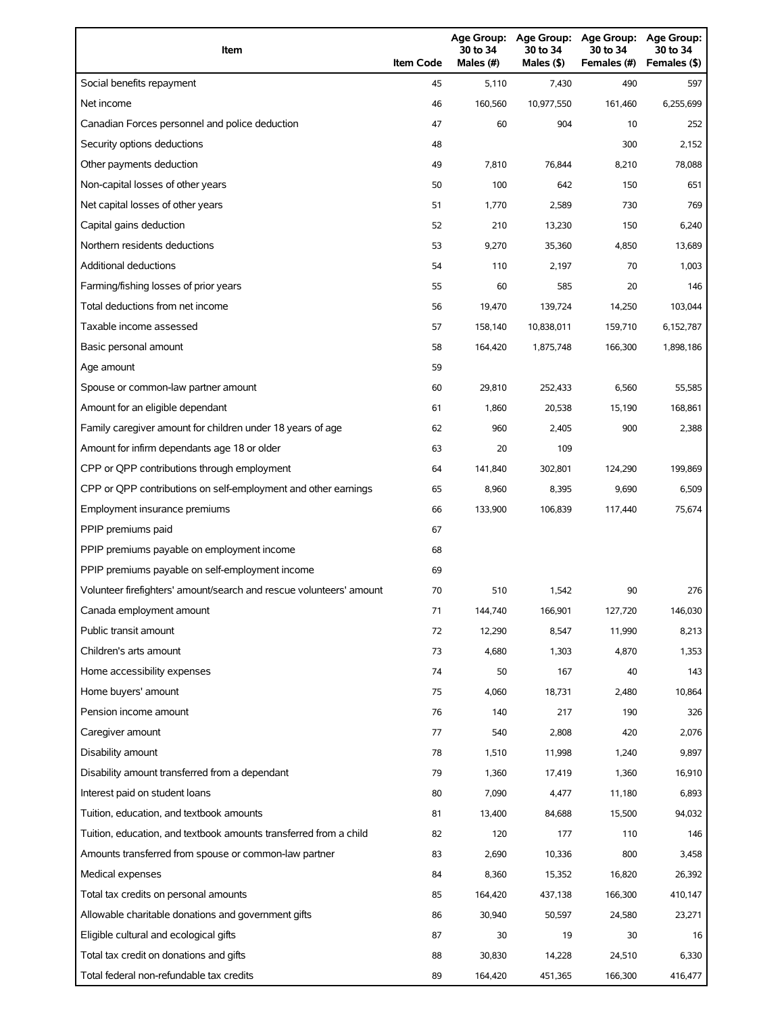| Item                                                                | <b>Item Code</b> | 30 to 34<br>Males (#) | 30 to 34<br>Males (\$) | Age Group: Age Group: Age Group:<br>30 to 34<br>Females (#) | Age Group:<br>30 to 34<br>Females (\$) |
|---------------------------------------------------------------------|------------------|-----------------------|------------------------|-------------------------------------------------------------|----------------------------------------|
| Social benefits repayment                                           | 45               | 5,110                 | 7,430                  | 490                                                         | 597                                    |
| Net income                                                          | 46               | 160,560               | 10,977,550             | 161,460                                                     | 6,255,699                              |
| Canadian Forces personnel and police deduction                      | 47               | 60                    | 904                    | 10                                                          | 252                                    |
| Security options deductions                                         | 48               |                       |                        | 300                                                         | 2,152                                  |
| Other payments deduction                                            | 49               | 7,810                 | 76,844                 | 8,210                                                       | 78,088                                 |
| Non-capital losses of other years                                   | 50               | 100                   | 642                    | 150                                                         | 651                                    |
| Net capital losses of other years                                   | 51               | 1,770                 | 2,589                  | 730                                                         | 769                                    |
| Capital gains deduction                                             | 52               | 210                   | 13,230                 | 150                                                         | 6,240                                  |
| Northern residents deductions                                       | 53               | 9,270                 | 35,360                 | 4,850                                                       | 13,689                                 |
| <b>Additional deductions</b>                                        | 54               | 110                   | 2,197                  | 70                                                          | 1,003                                  |
| Farming/fishing losses of prior years                               | 55               | 60                    | 585                    | 20                                                          | 146                                    |
| Total deductions from net income                                    | 56               | 19,470                | 139,724                | 14,250                                                      | 103,044                                |
| Taxable income assessed                                             | 57               | 158,140               | 10,838,011             | 159,710                                                     | 6,152,787                              |
| Basic personal amount                                               | 58               | 164,420               | 1,875,748              | 166,300                                                     | 1,898,186                              |
| Age amount                                                          | 59               |                       |                        |                                                             |                                        |
| Spouse or common-law partner amount                                 | 60               | 29,810                | 252,433                | 6,560                                                       | 55,585                                 |
| Amount for an eligible dependant                                    | 61               | 1,860                 | 20,538                 | 15,190                                                      | 168,861                                |
| Family caregiver amount for children under 18 years of age          | 62               | 960                   | 2,405                  | 900                                                         | 2,388                                  |
| Amount for infirm dependants age 18 or older                        | 63               | 20                    | 109                    |                                                             |                                        |
| CPP or QPP contributions through employment                         | 64               | 141,840               | 302,801                | 124,290                                                     | 199,869                                |
| CPP or QPP contributions on self-employment and other earnings      | 65               | 8,960                 | 8,395                  | 9,690                                                       | 6,509                                  |
| Employment insurance premiums                                       | 66               | 133,900               | 106,839                | 117,440                                                     | 75,674                                 |
| PPIP premiums paid                                                  | 67               |                       |                        |                                                             |                                        |
| PPIP premiums payable on employment income                          | 68               |                       |                        |                                                             |                                        |
| PPIP premiums payable on self-employment income                     | 69               |                       |                        |                                                             |                                        |
| Volunteer firefighters' amount/search and rescue volunteers' amount | 70               | 510                   | 1,542                  | 90                                                          | 276                                    |
| Canada employment amount                                            | 71               | 144,740               | 166,901                | 127,720                                                     | 146,030                                |
| Public transit amount                                               | 72               | 12,290                | 8,547                  | 11,990                                                      | 8,213                                  |
| Children's arts amount                                              | 73               | 4,680                 | 1,303                  | 4,870                                                       | 1,353                                  |
| Home accessibility expenses                                         | 74               | 50                    | 167                    | 40                                                          | 143                                    |
| Home buyers' amount                                                 | 75               | 4,060                 | 18,731                 | 2,480                                                       | 10,864                                 |
| Pension income amount                                               | 76               | 140                   | 217                    | 190                                                         | 326                                    |
| Caregiver amount                                                    | 77               | 540                   | 2,808                  | 420                                                         | 2,076                                  |
| Disability amount                                                   | 78               | 1,510                 | 11,998                 | 1,240                                                       | 9,897                                  |
| Disability amount transferred from a dependant                      | 79               | 1,360                 | 17,419                 | 1,360                                                       | 16,910                                 |
| Interest paid on student loans                                      | 80               | 7,090                 | 4,477                  | 11,180                                                      | 6,893                                  |
| Tuition, education, and textbook amounts                            | 81               | 13,400                | 84,688                 | 15,500                                                      | 94,032                                 |
| Tuition, education, and textbook amounts transferred from a child   | 82               | 120                   | 177                    | 110                                                         | 146                                    |
| Amounts transferred from spouse or common-law partner               | 83               | 2,690                 | 10,336                 | 800                                                         | 3,458                                  |
| Medical expenses                                                    | 84               | 8,360                 | 15,352                 | 16,820                                                      | 26,392                                 |
| Total tax credits on personal amounts                               | 85               | 164,420               | 437,138                | 166,300                                                     | 410,147                                |
| Allowable charitable donations and government gifts                 | 86               | 30,940                | 50,597                 | 24,580                                                      | 23,271                                 |
| Eligible cultural and ecological gifts                              | 87               | 30                    | 19                     | 30                                                          | 16                                     |
| Total tax credit on donations and gifts                             | 88               | 30,830                | 14,228                 | 24,510                                                      | 6,330                                  |
| Total federal non-refundable tax credits                            | 89               | 164,420               | 451,365                | 166,300                                                     | 416,477                                |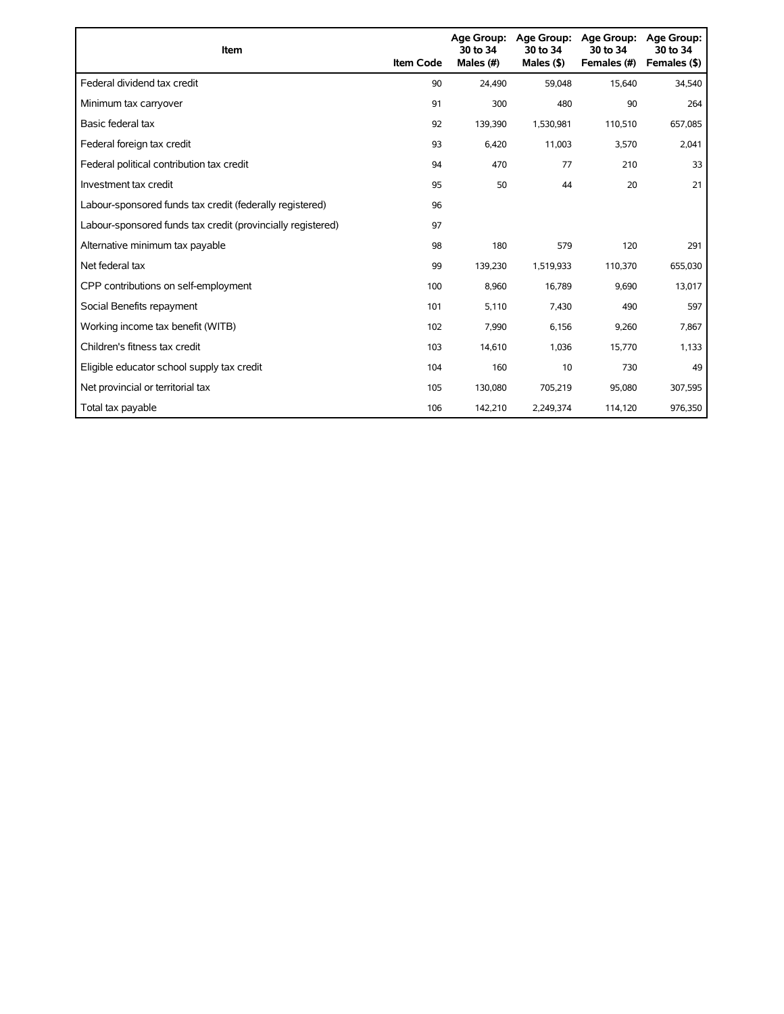| Item                                                        | <b>Item Code</b> | <b>Age Group:</b><br>30 to 34<br>Males (#) | Age Group:<br>30 to 34<br>Males $($ \$) | <b>Age Group:</b><br>30 to 34<br>Females (#) | <b>Age Group:</b><br>30 to 34<br>Females (\$) |
|-------------------------------------------------------------|------------------|--------------------------------------------|-----------------------------------------|----------------------------------------------|-----------------------------------------------|
| Federal dividend tax credit                                 | 90               | 24,490                                     | 59,048                                  | 15,640                                       | 34,540                                        |
| Minimum tax carryover                                       | 91               | 300                                        | 480                                     | 90                                           | 264                                           |
| Basic federal tax                                           | 92               | 139,390                                    | 1,530,981                               | 110,510                                      | 657,085                                       |
| Federal foreign tax credit                                  | 93               | 6,420                                      | 11,003                                  | 3,570                                        | 2,041                                         |
| Federal political contribution tax credit                   | 94               | 470                                        | 77                                      | 210                                          | 33                                            |
| Investment tax credit                                       | 95               | 50                                         | 44                                      | 20                                           | 21                                            |
| Labour-sponsored funds tax credit (federally registered)    | 96               |                                            |                                         |                                              |                                               |
| Labour-sponsored funds tax credit (provincially registered) | 97               |                                            |                                         |                                              |                                               |
| Alternative minimum tax payable                             | 98               | 180                                        | 579                                     | 120                                          | 291                                           |
| Net federal tax                                             | 99               | 139,230                                    | 1,519,933                               | 110,370                                      | 655,030                                       |
| CPP contributions on self-employment                        | 100              | 8,960                                      | 16,789                                  | 9,690                                        | 13,017                                        |
| Social Benefits repayment                                   | 101              | 5,110                                      | 7,430                                   | 490                                          | 597                                           |
| Working income tax benefit (WITB)                           | 102              | 7,990                                      | 6,156                                   | 9,260                                        | 7,867                                         |
| Children's fitness tax credit                               | 103              | 14,610                                     | 1,036                                   | 15,770                                       | 1,133                                         |
| Eligible educator school supply tax credit                  | 104              | 160                                        | 10                                      | 730                                          | 49                                            |
| Net provincial or territorial tax                           | 105              | 130,080                                    | 705,219                                 | 95,080                                       | 307,595                                       |
| Total tax payable                                           | 106              | 142,210                                    | 2,249,374                               | 114,120                                      | 976,350                                       |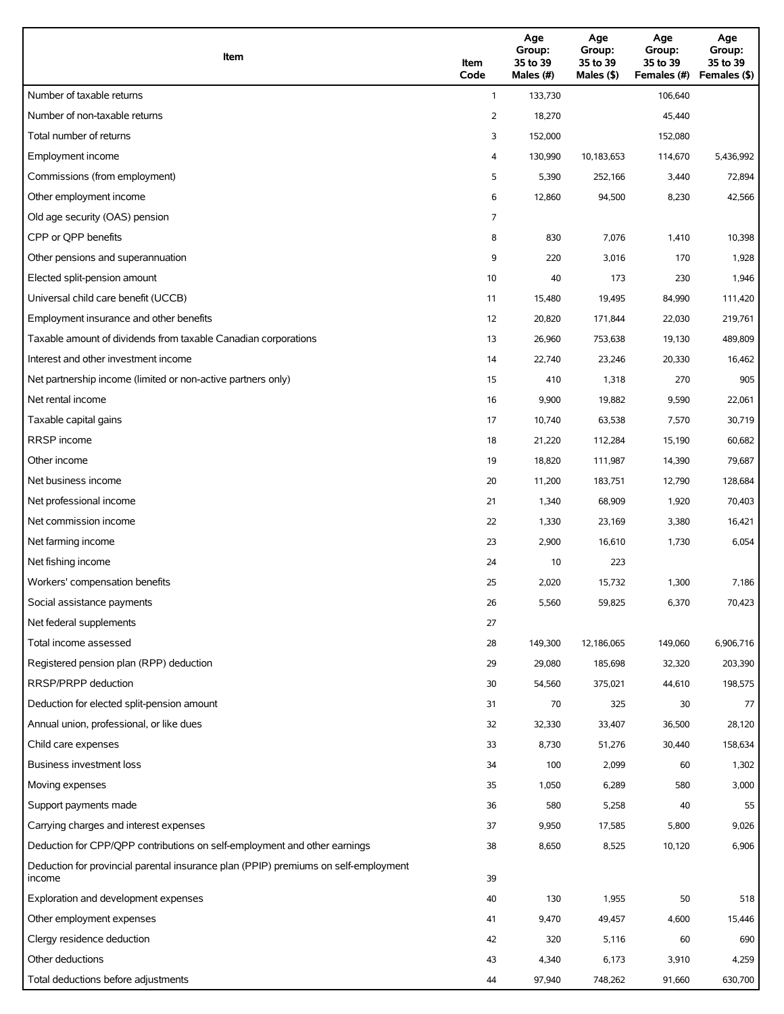| Item                                                                                          | Item<br>Code | Age<br>Group:<br>35 to 39<br>Males (#) | Age<br>Group:<br>35 to 39<br>Males $($ \$) | Age<br>Group:<br>35 to 39<br>Females (#) | Age<br>Group:<br>35 to 39<br>Females (\$) |
|-----------------------------------------------------------------------------------------------|--------------|----------------------------------------|--------------------------------------------|------------------------------------------|-------------------------------------------|
| Number of taxable returns                                                                     | $\mathbf{1}$ | 133,730                                |                                            | 106,640                                  |                                           |
| Number of non-taxable returns                                                                 | 2            | 18,270                                 |                                            | 45,440                                   |                                           |
| Total number of returns                                                                       | 3            | 152,000                                |                                            | 152,080                                  |                                           |
| Employment income                                                                             | 4            | 130,990                                | 10,183,653                                 | 114,670                                  | 5,436,992                                 |
| Commissions (from employment)                                                                 | 5            | 5,390                                  | 252,166                                    | 3,440                                    | 72,894                                    |
| Other employment income                                                                       | 6            | 12,860                                 | 94,500                                     | 8,230                                    | 42,566                                    |
| Old age security (OAS) pension                                                                | 7            |                                        |                                            |                                          |                                           |
| CPP or OPP benefits                                                                           | 8            | 830                                    | 7,076                                      | 1,410                                    | 10,398                                    |
| Other pensions and superannuation                                                             | 9            | 220                                    | 3,016                                      | 170                                      | 1,928                                     |
| Elected split-pension amount                                                                  | 10           | 40                                     | 173                                        | 230                                      | 1,946                                     |
| Universal child care benefit (UCCB)                                                           | 11           | 15,480                                 | 19,495                                     | 84,990                                   | 111,420                                   |
| Employment insurance and other benefits                                                       | 12           | 20,820                                 | 171,844                                    | 22,030                                   | 219,761                                   |
| Taxable amount of dividends from taxable Canadian corporations                                | 13           | 26,960                                 | 753,638                                    | 19,130                                   | 489,809                                   |
| Interest and other investment income                                                          | 14           | 22,740                                 | 23,246                                     | 20,330                                   | 16,462                                    |
| Net partnership income (limited or non-active partners only)                                  | 15           | 410                                    | 1,318                                      | 270                                      | 905                                       |
| Net rental income                                                                             | 16           | 9,900                                  | 19,882                                     | 9,590                                    | 22,061                                    |
| Taxable capital gains                                                                         | 17           | 10,740                                 | 63,538                                     | 7,570                                    | 30,719                                    |
| <b>RRSP</b> income                                                                            | 18           | 21,220                                 | 112,284                                    | 15,190                                   | 60,682                                    |
| Other income                                                                                  | 19           | 18,820                                 | 111,987                                    | 14,390                                   | 79,687                                    |
| Net business income                                                                           | 20           | 11,200                                 | 183,751                                    | 12,790                                   | 128,684                                   |
| Net professional income                                                                       | 21           | 1,340                                  | 68,909                                     | 1,920                                    | 70,403                                    |
| Net commission income                                                                         | 22           | 1,330                                  | 23,169                                     | 3,380                                    | 16,421                                    |
| Net farming income                                                                            | 23           | 2,900                                  | 16,610                                     | 1,730                                    | 6,054                                     |
| Net fishing income                                                                            | 24           | 10                                     | 223                                        |                                          |                                           |
| Workers' compensation benefits                                                                | 25           | 2,020                                  | 15,732                                     | 1,300                                    | 7,186                                     |
| Social assistance payments                                                                    | 26           | 5,560                                  | 59,825                                     | 6,370                                    | 70,423                                    |
| Net federal supplements                                                                       | 27           |                                        |                                            |                                          |                                           |
| Total income assessed                                                                         | 28           | 149,300                                | 12,186,065                                 | 149,060                                  | 6,906,716                                 |
| Registered pension plan (RPP) deduction                                                       | 29           | 29,080                                 | 185,698                                    | 32,320                                   | 203,390                                   |
| RRSP/PRPP deduction                                                                           | 30           | 54,560                                 | 375,021                                    | 44,610                                   | 198,575                                   |
| Deduction for elected split-pension amount                                                    | 31           | 70                                     | 325                                        | 30                                       | 77                                        |
| Annual union, professional, or like dues                                                      | 32           | 32,330                                 | 33,407                                     | 36,500                                   | 28,120                                    |
| Child care expenses                                                                           | 33           | 8,730                                  | 51,276                                     | 30,440                                   | 158,634                                   |
| Business investment loss                                                                      | 34           | 100                                    | 2,099                                      | 60                                       | 1,302                                     |
| Moving expenses                                                                               | 35           | 1,050                                  | 6,289                                      | 580                                      | 3,000                                     |
| Support payments made                                                                         | 36           | 580                                    | 5,258                                      | 40                                       | 55                                        |
| Carrying charges and interest expenses                                                        | 37           | 9,950                                  | 17,585                                     | 5,800                                    | 9,026                                     |
| Deduction for CPP/QPP contributions on self-employment and other earnings                     | 38           | 8,650                                  | 8,525                                      | 10,120                                   | 6,906                                     |
| Deduction for provincial parental insurance plan (PPIP) premiums on self-employment<br>income | 39           |                                        |                                            |                                          |                                           |
| Exploration and development expenses                                                          | 40           | 130                                    | 1,955                                      | 50                                       | 518                                       |
| Other employment expenses                                                                     | 41           | 9,470                                  | 49,457                                     | 4,600                                    | 15,446                                    |
| Clergy residence deduction                                                                    | 42           | 320                                    | 5,116                                      | 60                                       | 690                                       |
| Other deductions                                                                              | 43           | 4,340                                  | 6,173                                      | 3,910                                    | 4,259                                     |
| Total deductions before adjustments                                                           | 44           | 97,940                                 | 748,262                                    | 91,660                                   | 630,700                                   |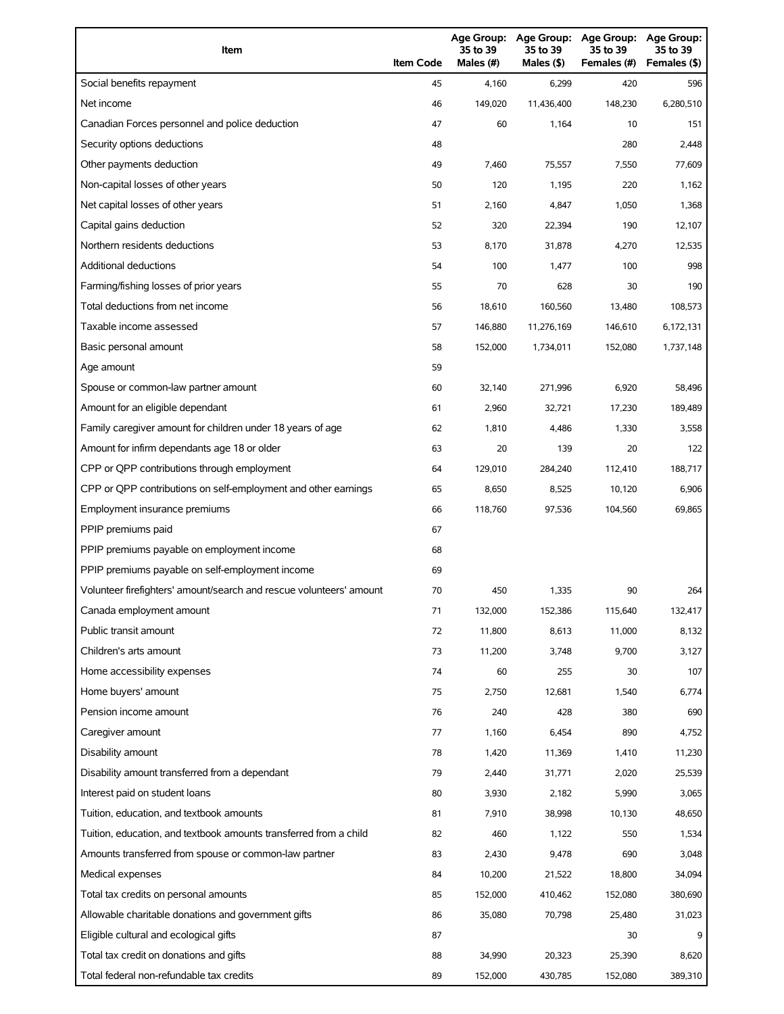| Item                                                                | <b>Item Code</b> | 35 to 39<br>Males (#) | 35 to 39<br>Males $($ \$) | Age Group: Age Group: Age Group: Age Group:<br>35 to 39<br>Females (#) | 35 to 39<br>Females (\$) |
|---------------------------------------------------------------------|------------------|-----------------------|---------------------------|------------------------------------------------------------------------|--------------------------|
| Social benefits repayment                                           | 45               | 4,160                 | 6,299                     | 420                                                                    | 596                      |
| Net income                                                          | 46               | 149,020               | 11,436,400                | 148,230                                                                | 6,280,510                |
| Canadian Forces personnel and police deduction                      | 47               | 60                    | 1,164                     | 10                                                                     | 151                      |
| Security options deductions                                         | 48               |                       |                           | 280                                                                    | 2,448                    |
| Other payments deduction                                            | 49               | 7,460                 | 75,557                    | 7,550                                                                  | 77,609                   |
| Non-capital losses of other years                                   | 50               | 120                   | 1,195                     | 220                                                                    | 1,162                    |
| Net capital losses of other years                                   | 51               | 2,160                 | 4,847                     | 1,050                                                                  | 1,368                    |
| Capital gains deduction                                             | 52               | 320                   | 22,394                    | 190                                                                    | 12,107                   |
| Northern residents deductions                                       | 53               | 8,170                 | 31,878                    | 4,270                                                                  | 12,535                   |
| Additional deductions                                               | 54               | 100                   | 1,477                     | 100                                                                    | 998                      |
| Farming/fishing losses of prior years                               | 55               | 70                    | 628                       | 30                                                                     | 190                      |
| Total deductions from net income                                    | 56               | 18,610                | 160,560                   | 13,480                                                                 | 108,573                  |
| Taxable income assessed                                             | 57               | 146,880               | 11,276,169                | 146,610                                                                | 6,172,131                |
| Basic personal amount                                               | 58               | 152,000               | 1,734,011                 | 152,080                                                                | 1,737,148                |
| Age amount                                                          | 59               |                       |                           |                                                                        |                          |
| Spouse or common-law partner amount                                 | 60               | 32,140                | 271,996                   | 6,920                                                                  | 58,496                   |
| Amount for an eligible dependant                                    | 61               | 2,960                 | 32,721                    | 17,230                                                                 | 189,489                  |
| Family caregiver amount for children under 18 years of age          | 62               | 1,810                 | 4,486                     | 1,330                                                                  | 3,558                    |
| Amount for infirm dependants age 18 or older                        | 63               | 20                    | 139                       | 20                                                                     | 122                      |
| CPP or QPP contributions through employment                         | 64               | 129,010               | 284,240                   | 112,410                                                                | 188,717                  |
| CPP or QPP contributions on self-employment and other earnings      | 65               | 8,650                 | 8,525                     | 10,120                                                                 | 6,906                    |
| Employment insurance premiums                                       | 66               | 118,760               | 97,536                    | 104,560                                                                | 69,865                   |
| PPIP premiums paid                                                  | 67               |                       |                           |                                                                        |                          |
| PPIP premiums payable on employment income                          | 68               |                       |                           |                                                                        |                          |
| PPIP premiums payable on self-employment income                     | 69               |                       |                           |                                                                        |                          |
| Volunteer firefighters' amount/search and rescue volunteers' amount | 70               | 450                   | 1,335                     | 90                                                                     | 264                      |
| Canada employment amount                                            | 71               | 132,000               | 152,386                   | 115,640                                                                | 132,417                  |
| Public transit amount                                               | 72               | 11,800                | 8,613                     | 11,000                                                                 | 8,132                    |
| Children's arts amount                                              | 73               | 11,200                | 3,748                     | 9,700                                                                  | 3,127                    |
| Home accessibility expenses                                         | 74               | 60                    | 255                       | 30                                                                     | 107                      |
| Home buyers' amount                                                 | 75               | 2,750                 | 12,681                    | 1,540                                                                  | 6,774                    |
| Pension income amount                                               | 76               | 240                   | 428                       | 380                                                                    | 690                      |
| Caregiver amount                                                    | 77               | 1,160                 | 6,454                     | 890                                                                    | 4,752                    |
| Disability amount                                                   | 78               | 1,420                 | 11,369                    | 1,410                                                                  | 11,230                   |
| Disability amount transferred from a dependant                      | 79               | 2,440                 | 31,771                    | 2,020                                                                  | 25,539                   |
| Interest paid on student loans                                      | 80               | 3,930                 | 2,182                     | 5,990                                                                  | 3,065                    |
| Tuition, education, and textbook amounts                            | 81               | 7,910                 | 38,998                    | 10,130                                                                 | 48,650                   |
| Tuition, education, and textbook amounts transferred from a child   | 82               | 460                   | 1,122                     | 550                                                                    | 1,534                    |
| Amounts transferred from spouse or common-law partner               | 83               | 2,430                 | 9,478                     | 690                                                                    | 3,048                    |
| Medical expenses                                                    | 84               | 10,200                | 21,522                    | 18,800                                                                 | 34,094                   |
| Total tax credits on personal amounts                               | 85               | 152,000               | 410,462                   | 152,080                                                                | 380,690                  |
| Allowable charitable donations and government gifts                 | 86               | 35,080                | 70,798                    | 25,480                                                                 | 31,023                   |
| Eligible cultural and ecological gifts                              | 87               |                       |                           | 30                                                                     |                          |
| Total tax credit on donations and gifts                             | 88               | 34,990                | 20,323                    | 25,390                                                                 | 8,620                    |
| Total federal non-refundable tax credits                            | 89               | 152,000               | 430,785                   | 152,080                                                                | 389,310                  |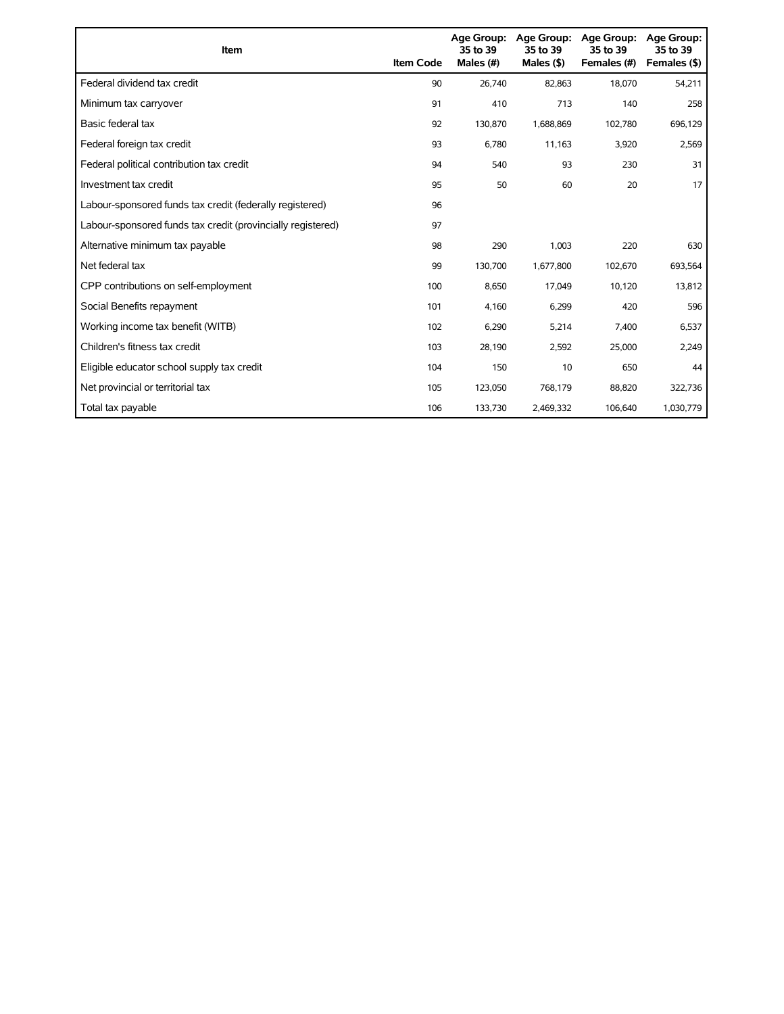| Item                                                        | <b>Item Code</b> | Age Group:<br>35 to 39<br>Males (#) | Age Group:<br>35 to 39<br>Males $($ \$) | <b>Age Group:</b><br>35 to 39<br>Females (#) | <b>Age Group:</b><br>35 to 39<br>Females (\$) |
|-------------------------------------------------------------|------------------|-------------------------------------|-----------------------------------------|----------------------------------------------|-----------------------------------------------|
| Federal dividend tax credit                                 | 90               | 26,740                              | 82,863                                  | 18,070                                       | 54,211                                        |
| Minimum tax carryover                                       | 91               | 410                                 | 713                                     | 140                                          | 258                                           |
| Basic federal tax                                           | 92               | 130,870                             | 1,688,869                               | 102.780                                      | 696,129                                       |
| Federal foreign tax credit                                  | 93               | 6,780                               | 11,163                                  | 3,920                                        | 2,569                                         |
| Federal political contribution tax credit                   | 94               | 540                                 | 93                                      | 230                                          | 31                                            |
| Investment tax credit                                       | 95               | 50                                  | 60                                      | 20                                           | 17                                            |
| Labour-sponsored funds tax credit (federally registered)    | 96               |                                     |                                         |                                              |                                               |
| Labour-sponsored funds tax credit (provincially registered) | 97               |                                     |                                         |                                              |                                               |
| Alternative minimum tax payable                             | 98               | 290                                 | 1,003                                   | 220                                          | 630                                           |
| Net federal tax                                             | 99               | 130,700                             | 1,677,800                               | 102,670                                      | 693,564                                       |
| CPP contributions on self-employment                        | 100              | 8,650                               | 17,049                                  | 10,120                                       | 13,812                                        |
| Social Benefits repayment                                   | 101              | 4,160                               | 6,299                                   | 420                                          | 596                                           |
| Working income tax benefit (WITB)                           | 102              | 6,290                               | 5,214                                   | 7,400                                        | 6,537                                         |
| Children's fitness tax credit                               | 103              | 28,190                              | 2,592                                   | 25,000                                       | 2,249                                         |
| Eligible educator school supply tax credit                  | 104              | 150                                 | 10                                      | 650                                          | 44                                            |
| Net provincial or territorial tax                           | 105              | 123,050                             | 768,179                                 | 88,820                                       | 322,736                                       |
| Total tax payable                                           | 106              | 133,730                             | 2,469,332                               | 106,640                                      | 1,030,779                                     |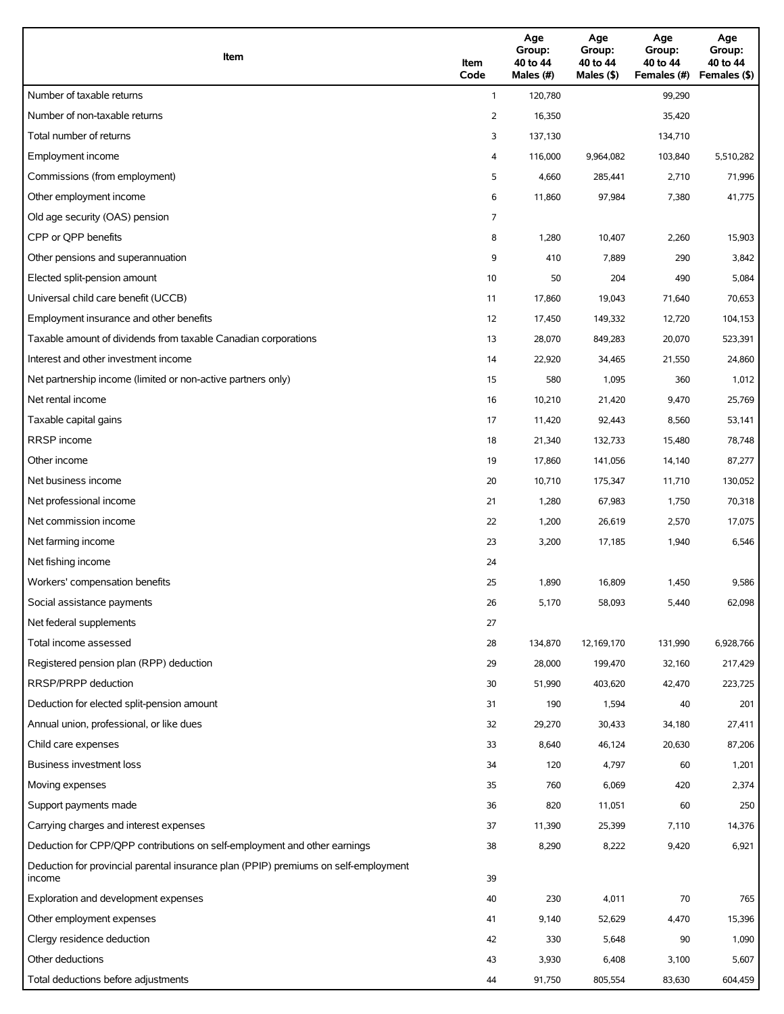| Item                                                                                          | Item<br>Code | Age<br>Group:<br>40 to 44<br>Males (#) | Age<br>Group:<br>40 to 44<br>Males (\$) | Age<br>Group:<br>40 to 44<br>Females (#) | Age<br>Group:<br>40 to 44<br>Females (\$) |
|-----------------------------------------------------------------------------------------------|--------------|----------------------------------------|-----------------------------------------|------------------------------------------|-------------------------------------------|
| Number of taxable returns                                                                     | $\mathbf{1}$ | 120,780                                |                                         | 99,290                                   |                                           |
| Number of non-taxable returns                                                                 | 2            | 16,350                                 |                                         | 35,420                                   |                                           |
| Total number of returns                                                                       | 3            | 137,130                                |                                         | 134,710                                  |                                           |
| Employment income                                                                             | 4            | 116,000                                | 9,964,082                               | 103,840                                  | 5,510,282                                 |
| Commissions (from employment)                                                                 | 5            | 4,660                                  | 285,441                                 | 2,710                                    | 71,996                                    |
| Other employment income                                                                       | 6            | 11,860                                 | 97,984                                  | 7,380                                    | 41,775                                    |
| Old age security (OAS) pension                                                                | 7            |                                        |                                         |                                          |                                           |
| CPP or OPP benefits                                                                           | 8            | 1,280                                  | 10,407                                  | 2,260                                    | 15,903                                    |
| Other pensions and superannuation                                                             | 9            | 410                                    | 7,889                                   | 290                                      | 3,842                                     |
| Elected split-pension amount                                                                  | 10           | 50                                     | 204                                     | 490                                      | 5,084                                     |
| Universal child care benefit (UCCB)                                                           | 11           | 17,860                                 | 19,043                                  | 71,640                                   | 70,653                                    |
| Employment insurance and other benefits                                                       | 12           | 17,450                                 | 149,332                                 | 12,720                                   | 104,153                                   |
| Taxable amount of dividends from taxable Canadian corporations                                | 13           | 28,070                                 | 849,283                                 | 20,070                                   | 523,391                                   |
| Interest and other investment income                                                          | 14           | 22,920                                 | 34,465                                  | 21,550                                   | 24,860                                    |
| Net partnership income (limited or non-active partners only)                                  | 15           | 580                                    | 1,095                                   | 360                                      | 1,012                                     |
| Net rental income                                                                             | 16           | 10,210                                 | 21,420                                  | 9,470                                    | 25,769                                    |
| Taxable capital gains                                                                         | 17           | 11,420                                 | 92,443                                  | 8,560                                    | 53,141                                    |
| <b>RRSP</b> income                                                                            | 18           | 21,340                                 | 132,733                                 | 15,480                                   | 78,748                                    |
| Other income                                                                                  | 19           | 17,860                                 | 141,056                                 | 14,140                                   | 87,277                                    |
| Net business income                                                                           | 20           | 10,710                                 | 175,347                                 | 11,710                                   | 130,052                                   |
| Net professional income                                                                       | 21           | 1,280                                  | 67,983                                  | 1,750                                    | 70,318                                    |
| Net commission income                                                                         | 22           | 1,200                                  | 26,619                                  | 2,570                                    | 17,075                                    |
| Net farming income                                                                            | 23           | 3,200                                  | 17,185                                  | 1,940                                    | 6,546                                     |
| Net fishing income                                                                            | 24           |                                        |                                         |                                          |                                           |
| Workers' compensation benefits                                                                | 25           | 1,890                                  | 16,809                                  | 1,450                                    | 9,586                                     |
| Social assistance payments                                                                    | 26           | 5,170                                  | 58,093                                  | 5,440                                    | 62,098                                    |
| Net federal supplements                                                                       | 27           |                                        |                                         |                                          |                                           |
| Total income assessed                                                                         | 28           | 134,870                                | 12,169,170                              | 131,990                                  | 6,928,766                                 |
| Registered pension plan (RPP) deduction                                                       | 29           | 28,000                                 | 199,470                                 | 32,160                                   | 217,429                                   |
| RRSP/PRPP deduction                                                                           | 30           | 51,990                                 | 403,620                                 | 42,470                                   | 223,725                                   |
| Deduction for elected split-pension amount                                                    | 31           | 190                                    | 1,594                                   | 40                                       | 201                                       |
| Annual union, professional, or like dues                                                      | 32           | 29,270                                 | 30,433                                  | 34,180                                   | 27,411                                    |
| Child care expenses                                                                           | 33           | 8,640                                  | 46,124                                  | 20,630                                   | 87,206                                    |
| Business investment loss                                                                      | 34           | 120                                    | 4,797                                   | 60                                       | 1,201                                     |
| Moving expenses                                                                               | 35           | 760                                    | 6,069                                   | 420                                      | 2,374                                     |
| Support payments made                                                                         | 36           | 820                                    | 11,051                                  | 60                                       | 250                                       |
| Carrying charges and interest expenses                                                        | 37           | 11,390                                 | 25,399                                  | 7,110                                    | 14,376                                    |
| Deduction for CPP/QPP contributions on self-employment and other earnings                     | 38           | 8,290                                  | 8,222                                   | 9,420                                    | 6,921                                     |
| Deduction for provincial parental insurance plan (PPIP) premiums on self-employment<br>income | 39           |                                        |                                         |                                          |                                           |
| Exploration and development expenses                                                          | 40           | 230                                    | 4,011                                   | 70                                       | 765                                       |
| Other employment expenses                                                                     | 41           | 9,140                                  | 52,629                                  | 4,470                                    | 15,396                                    |
| Clergy residence deduction                                                                    | 42           | 330                                    | 5,648                                   | 90                                       | 1,090                                     |
| Other deductions                                                                              | 43           | 3,930                                  | 6,408                                   | 3,100                                    | 5,607                                     |
| Total deductions before adjustments                                                           | 44           | 91,750                                 | 805,554                                 | 83,630                                   | 604,459                                   |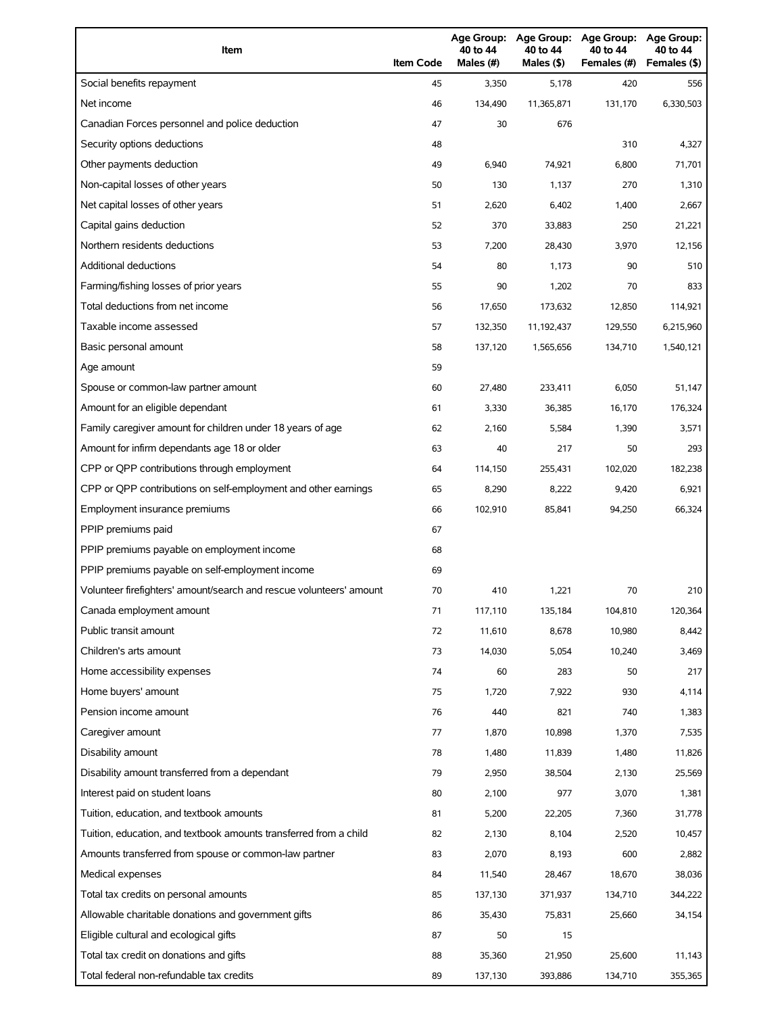| Item                                                                | <b>Item Code</b> | 40 to 44<br>Males (#) | 40 to 44<br>Males (\$) | Age Group: Age Group: Age Group:<br>40 to 44<br>Females (#) | Age Group:<br>40 to 44<br>Females (\$) |
|---------------------------------------------------------------------|------------------|-----------------------|------------------------|-------------------------------------------------------------|----------------------------------------|
| Social benefits repayment                                           | 45               | 3,350                 | 5,178                  | 420                                                         | 556                                    |
| Net income                                                          | 46               | 134,490               | 11,365,871             | 131,170                                                     | 6,330,503                              |
| Canadian Forces personnel and police deduction                      | 47               | 30                    | 676                    |                                                             |                                        |
| Security options deductions                                         | 48               |                       |                        | 310                                                         | 4,327                                  |
| Other payments deduction                                            | 49               | 6,940                 | 74,921                 | 6,800                                                       | 71,701                                 |
| Non-capital losses of other years                                   | 50               | 130                   | 1,137                  | 270                                                         | 1,310                                  |
| Net capital losses of other years                                   | 51               | 2,620                 | 6,402                  | 1,400                                                       | 2,667                                  |
| Capital gains deduction                                             | 52               | 370                   | 33,883                 | 250                                                         | 21,221                                 |
| Northern residents deductions                                       | 53               | 7,200                 | 28,430                 | 3,970                                                       | 12,156                                 |
| <b>Additional deductions</b>                                        | 54               | 80                    | 1,173                  | 90                                                          | 510                                    |
| Farming/fishing losses of prior years                               | 55               | 90                    | 1,202                  | 70                                                          | 833                                    |
| Total deductions from net income                                    | 56               | 17,650                | 173,632                | 12,850                                                      | 114,921                                |
| Taxable income assessed                                             | 57               | 132,350               | 11,192,437             | 129,550                                                     | 6,215,960                              |
| Basic personal amount                                               | 58               | 137,120               | 1,565,656              | 134,710                                                     | 1,540,121                              |
| Age amount                                                          | 59               |                       |                        |                                                             |                                        |
| Spouse or common-law partner amount                                 | 60               | 27,480                | 233,411                | 6,050                                                       | 51,147                                 |
| Amount for an eligible dependant                                    | 61               | 3,330                 | 36,385                 | 16,170                                                      | 176,324                                |
| Family caregiver amount for children under 18 years of age          | 62               | 2,160                 | 5,584                  | 1,390                                                       | 3,571                                  |
| Amount for infirm dependants age 18 or older                        | 63               | 40                    | 217                    | 50                                                          | 293                                    |
| CPP or QPP contributions through employment                         | 64               | 114,150               | 255,431                | 102,020                                                     | 182,238                                |
| CPP or QPP contributions on self-employment and other earnings      | 65               | 8,290                 | 8,222                  | 9,420                                                       | 6,921                                  |
| Employment insurance premiums                                       | 66               | 102,910               | 85,841                 | 94,250                                                      | 66,324                                 |
| PPIP premiums paid                                                  | 67               |                       |                        |                                                             |                                        |
| PPIP premiums payable on employment income                          | 68               |                       |                        |                                                             |                                        |
| PPIP premiums payable on self-employment income                     | 69               |                       |                        |                                                             |                                        |
| Volunteer firefighters' amount/search and rescue volunteers' amount | 70               | 410                   | 1,221                  | 70                                                          | 210                                    |
| Canada employment amount                                            | 71               | 117,110               | 135,184                | 104,810                                                     | 120,364                                |
| Public transit amount                                               | 72               | 11,610                | 8,678                  | 10,980                                                      | 8,442                                  |
| Children's arts amount                                              | 73               | 14,030                | 5,054                  | 10,240                                                      | 3,469                                  |
| Home accessibility expenses                                         | 74               | 60                    | 283                    | 50                                                          | 217                                    |
| Home buyers' amount                                                 | 75               | 1,720                 | 7,922                  | 930                                                         | 4,114                                  |
| Pension income amount                                               | 76               | 440                   | 821                    | 740                                                         | 1,383                                  |
| Caregiver amount                                                    | 77               | 1,870                 | 10,898                 | 1,370                                                       | 7,535                                  |
| Disability amount                                                   | 78               | 1,480                 | 11,839                 | 1,480                                                       | 11,826                                 |
| Disability amount transferred from a dependant                      | 79               | 2,950                 | 38,504                 | 2,130                                                       | 25,569                                 |
| Interest paid on student loans                                      | 80               | 2,100                 | 977                    | 3,070                                                       | 1,381                                  |
| Tuition, education, and textbook amounts                            | 81               | 5,200                 | 22,205                 | 7,360                                                       | 31,778                                 |
| Tuition, education, and textbook amounts transferred from a child   | 82               | 2,130                 | 8,104                  | 2,520                                                       | 10,457                                 |
| Amounts transferred from spouse or common-law partner               | 83               | 2,070                 | 8,193                  | 600                                                         | 2,882                                  |
| Medical expenses                                                    | 84               | 11,540                | 28,467                 | 18,670                                                      | 38,036                                 |
| Total tax credits on personal amounts                               | 85               | 137,130               | 371,937                | 134,710                                                     | 344,222                                |
| Allowable charitable donations and government gifts                 | 86               | 35,430                | 75,831                 | 25,660                                                      | 34,154                                 |
| Eligible cultural and ecological gifts                              | 87               | 50                    | 15                     |                                                             |                                        |
| Total tax credit on donations and gifts                             | 88               | 35,360                | 21,950                 | 25,600                                                      | 11,143                                 |
| Total federal non-refundable tax credits                            | 89               | 137,130               | 393,886                | 134,710                                                     | 355,365                                |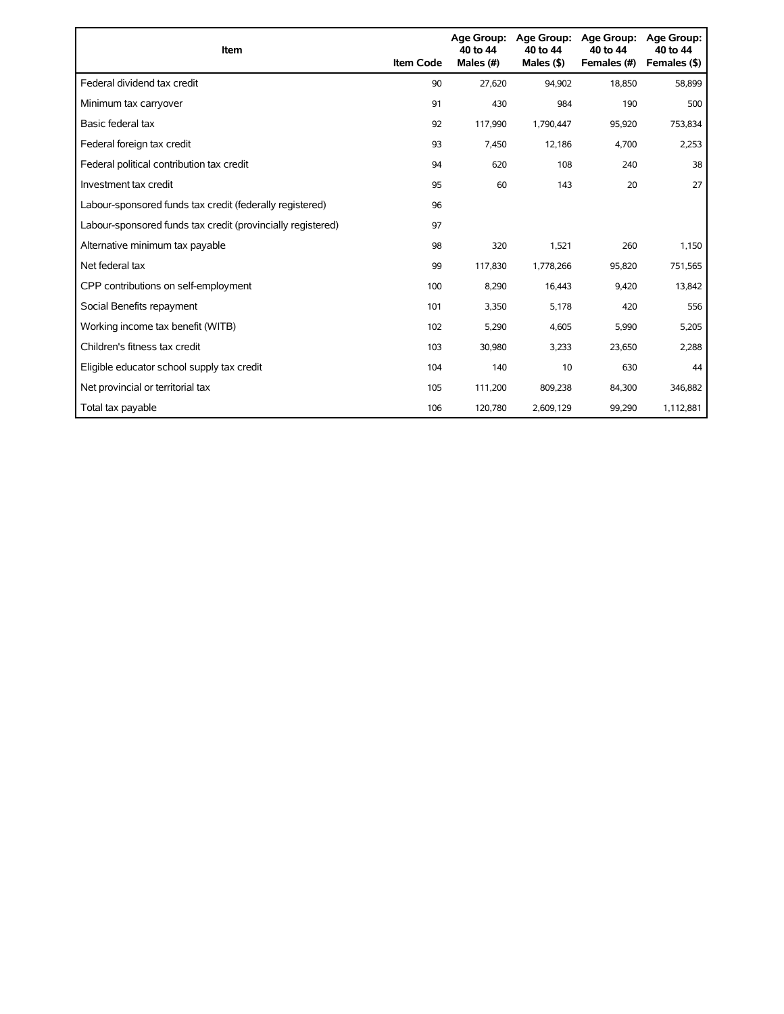| <b>Item</b>                                                 | <b>Item Code</b> | <b>Age Group:</b><br>40 to 44<br>Males (#) | Age Group:<br>40 to 44<br>Males $($ \$) | <b>Age Group:</b><br>40 to 44<br>Females (#) | <b>Age Group:</b><br>40 to 44<br>Females (\$) |
|-------------------------------------------------------------|------------------|--------------------------------------------|-----------------------------------------|----------------------------------------------|-----------------------------------------------|
| Federal dividend tax credit                                 | 90               | 27,620                                     | 94,902                                  | 18,850                                       | 58,899                                        |
| Minimum tax carryover                                       | 91               | 430                                        | 984                                     | 190                                          | 500                                           |
| Basic federal tax                                           | 92               | 117,990                                    | 1,790,447                               | 95,920                                       | 753,834                                       |
| Federal foreign tax credit                                  | 93               | 7,450                                      | 12,186                                  | 4,700                                        | 2,253                                         |
| Federal political contribution tax credit                   | 94               | 620                                        | 108                                     | 240                                          | 38                                            |
| Investment tax credit                                       | 95               | 60                                         | 143                                     | 20                                           | 27                                            |
| Labour-sponsored funds tax credit (federally registered)    | 96               |                                            |                                         |                                              |                                               |
| Labour-sponsored funds tax credit (provincially registered) | 97               |                                            |                                         |                                              |                                               |
| Alternative minimum tax payable                             | 98               | 320                                        | 1,521                                   | 260                                          | 1,150                                         |
| Net federal tax                                             | 99               | 117,830                                    | 1,778,266                               | 95,820                                       | 751,565                                       |
| CPP contributions on self-employment                        | 100              | 8,290                                      | 16,443                                  | 9,420                                        | 13,842                                        |
| Social Benefits repayment                                   | 101              | 3,350                                      | 5,178                                   | 420                                          | 556                                           |
| Working income tax benefit (WITB)                           | 102              | 5,290                                      | 4,605                                   | 5,990                                        | 5,205                                         |
| Children's fitness tax credit                               | 103              | 30,980                                     | 3,233                                   | 23,650                                       | 2,288                                         |
| Eligible educator school supply tax credit                  | 104              | 140                                        | 10                                      | 630                                          | 44                                            |
| Net provincial or territorial tax                           | 105              | 111,200                                    | 809,238                                 | 84,300                                       | 346,882                                       |
| Total tax payable                                           | 106              | 120,780                                    | 2,609,129                               | 99,290                                       | 1,112,881                                     |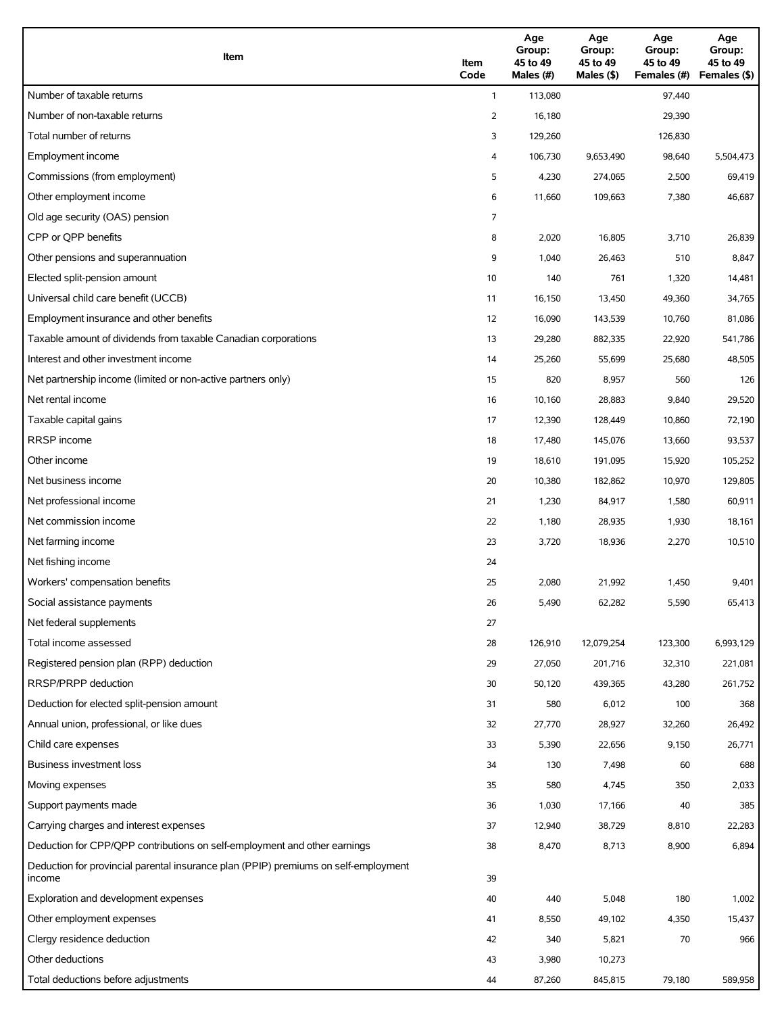| Item                                                                                          | Item<br>Code   | Age<br>Group:<br>45 to 49<br>Males (#) | Age<br>Group:<br>45 to 49<br>Males (\$) | Age<br>Group:<br>45 to 49<br>Females (#) | Age<br>Group:<br>45 to 49<br>Females (\$) |
|-----------------------------------------------------------------------------------------------|----------------|----------------------------------------|-----------------------------------------|------------------------------------------|-------------------------------------------|
| Number of taxable returns                                                                     | $\mathbf{1}$   | 113,080                                |                                         | 97,440                                   |                                           |
| Number of non-taxable returns                                                                 | $\overline{2}$ | 16,180                                 |                                         | 29,390                                   |                                           |
| Total number of returns                                                                       | 3              | 129,260                                |                                         | 126,830                                  |                                           |
| Employment income                                                                             | 4              | 106,730                                | 9,653,490                               | 98,640                                   | 5,504,473                                 |
| Commissions (from employment)                                                                 | 5              | 4,230                                  | 274,065                                 | 2,500                                    | 69,419                                    |
| Other employment income                                                                       | 6              | 11,660                                 | 109,663                                 | 7,380                                    | 46,687                                    |
| Old age security (OAS) pension                                                                | 7              |                                        |                                         |                                          |                                           |
| CPP or QPP benefits                                                                           | 8              | 2,020                                  | 16,805                                  | 3,710                                    | 26,839                                    |
| Other pensions and superannuation                                                             | 9              | 1,040                                  | 26,463                                  | 510                                      | 8,847                                     |
| Elected split-pension amount                                                                  | 10             | 140                                    | 761                                     | 1,320                                    | 14,481                                    |
| Universal child care benefit (UCCB)                                                           | 11             | 16,150                                 | 13,450                                  | 49,360                                   | 34,765                                    |
| Employment insurance and other benefits                                                       | 12             | 16,090                                 | 143,539                                 | 10,760                                   | 81,086                                    |
| Taxable amount of dividends from taxable Canadian corporations                                | 13             | 29,280                                 | 882,335                                 | 22,920                                   | 541,786                                   |
| Interest and other investment income                                                          | 14             | 25,260                                 | 55,699                                  | 25,680                                   | 48,505                                    |
| Net partnership income (limited or non-active partners only)                                  | 15             | 820                                    | 8,957                                   | 560                                      | 126                                       |
| Net rental income                                                                             | 16             | 10,160                                 | 28,883                                  | 9,840                                    | 29,520                                    |
| Taxable capital gains                                                                         | 17             | 12,390                                 | 128,449                                 | 10,860                                   | 72,190                                    |
| <b>RRSP</b> income                                                                            | 18             | 17,480                                 | 145,076                                 | 13,660                                   | 93,537                                    |
| Other income                                                                                  | 19             | 18,610                                 | 191,095                                 | 15,920                                   | 105,252                                   |
| Net business income                                                                           | 20             | 10,380                                 | 182,862                                 | 10,970                                   | 129,805                                   |
| Net professional income                                                                       | 21             | 1,230                                  | 84,917                                  | 1,580                                    | 60,911                                    |
| Net commission income                                                                         | 22             | 1,180                                  | 28,935                                  | 1,930                                    | 18,161                                    |
| Net farming income                                                                            | 23             | 3,720                                  | 18,936                                  | 2,270                                    | 10,510                                    |
| Net fishing income                                                                            | 24             |                                        |                                         |                                          |                                           |
| Workers' compensation benefits                                                                | 25             | 2,080                                  | 21,992                                  | 1,450                                    | 9,401                                     |
| Social assistance payments                                                                    | 26             | 5,490                                  | 62,282                                  | 5,590                                    | 65,413                                    |
| Net federal supplements                                                                       | 27             |                                        |                                         |                                          |                                           |
| Total income assessed                                                                         | 28             | 126,910                                | 12,079,254                              | 123,300                                  | 6,993,129                                 |
| Registered pension plan (RPP) deduction                                                       | 29             | 27,050                                 | 201,716                                 | 32,310                                   | 221,081                                   |
| RRSP/PRPP deduction                                                                           | 30             | 50,120                                 | 439,365                                 | 43,280                                   | 261,752                                   |
| Deduction for elected split-pension amount                                                    | 31             | 580                                    | 6,012                                   | 100                                      | 368                                       |
| Annual union, professional, or like dues                                                      | 32             | 27,770                                 | 28,927                                  | 32,260                                   | 26,492                                    |
| Child care expenses                                                                           | 33             | 5,390                                  | 22,656                                  | 9,150                                    | 26,771                                    |
| Business investment loss                                                                      | 34             | 130                                    | 7,498                                   | 60                                       | 688                                       |
| Moving expenses                                                                               | 35             | 580                                    | 4,745                                   | 350                                      | 2,033                                     |
| Support payments made                                                                         | 36             | 1,030                                  | 17,166                                  | 40                                       | 385                                       |
| Carrying charges and interest expenses                                                        | 37             | 12,940                                 | 38,729                                  | 8,810                                    | 22,283                                    |
| Deduction for CPP/QPP contributions on self-employment and other earnings                     | 38             | 8,470                                  | 8,713                                   | 8,900                                    | 6,894                                     |
| Deduction for provincial parental insurance plan (PPIP) premiums on self-employment<br>income | 39             |                                        |                                         |                                          |                                           |
| Exploration and development expenses                                                          | 40             | 440                                    | 5,048                                   | 180                                      | 1,002                                     |
| Other employment expenses                                                                     | 41             | 8,550                                  | 49,102                                  | 4,350                                    | 15,437                                    |
| Clergy residence deduction                                                                    | 42             | 340                                    | 5,821                                   | 70                                       | 966                                       |
| Other deductions                                                                              | 43             | 3,980                                  | 10,273                                  |                                          |                                           |
| Total deductions before adjustments                                                           | 44             | 87,260                                 | 845,815                                 | 79,180                                   | 589,958                                   |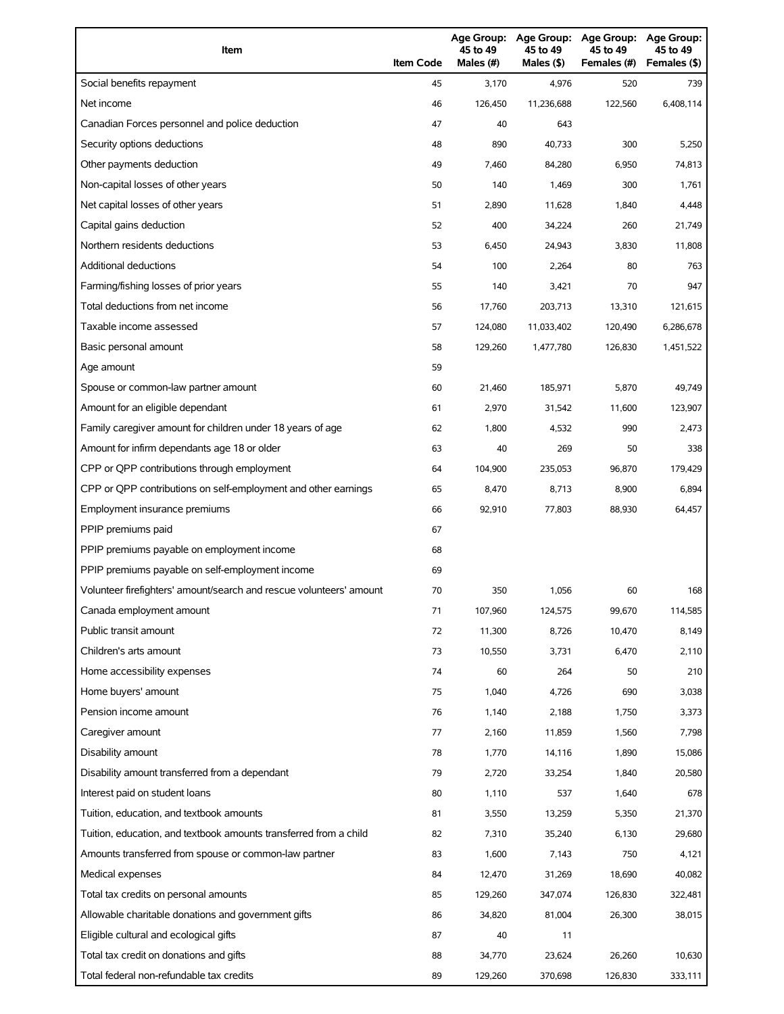| Item                                                                | <b>Item Code</b> | 45 to 49<br>Males (#) | 45 to 49<br>Males (\$) | Age Group: Age Group: Age Group:<br>45 to 49<br>Females (#) | Age Group:<br>45 to 49<br>Females (\$) |
|---------------------------------------------------------------------|------------------|-----------------------|------------------------|-------------------------------------------------------------|----------------------------------------|
| Social benefits repayment                                           | 45               | 3,170                 | 4,976                  | 520                                                         | 739                                    |
| Net income                                                          | 46               | 126,450               | 11,236,688             | 122,560                                                     | 6,408,114                              |
| Canadian Forces personnel and police deduction                      | 47               | 40                    | 643                    |                                                             |                                        |
| Security options deductions                                         | 48               | 890                   | 40,733                 | 300                                                         | 5,250                                  |
| Other payments deduction                                            | 49               | 7,460                 | 84,280                 | 6,950                                                       | 74,813                                 |
| Non-capital losses of other years                                   | 50               | 140                   | 1,469                  | 300                                                         | 1,761                                  |
| Net capital losses of other years                                   | 51               | 2,890                 | 11,628                 | 1,840                                                       | 4,448                                  |
| Capital gains deduction                                             | 52               | 400                   | 34,224                 | 260                                                         | 21,749                                 |
| Northern residents deductions                                       | 53               | 6,450                 | 24,943                 | 3,830                                                       | 11,808                                 |
| <b>Additional deductions</b>                                        | 54               | 100                   | 2,264                  | 80                                                          | 763                                    |
| Farming/fishing losses of prior years                               | 55               | 140                   | 3,421                  | 70                                                          | 947                                    |
| Total deductions from net income                                    | 56               | 17,760                | 203,713                | 13,310                                                      | 121,615                                |
| Taxable income assessed                                             | 57               | 124,080               | 11,033,402             | 120,490                                                     | 6,286,678                              |
| Basic personal amount                                               | 58               | 129,260               | 1,477,780              | 126,830                                                     | 1,451,522                              |
| Age amount                                                          | 59               |                       |                        |                                                             |                                        |
| Spouse or common-law partner amount                                 | 60               | 21,460                | 185,971                | 5,870                                                       | 49,749                                 |
| Amount for an eligible dependant                                    | 61               | 2,970                 | 31,542                 | 11,600                                                      | 123,907                                |
| Family caregiver amount for children under 18 years of age          | 62               | 1,800                 | 4,532                  | 990                                                         | 2,473                                  |
| Amount for infirm dependants age 18 or older                        | 63               | 40                    | 269                    | 50                                                          | 338                                    |
| CPP or QPP contributions through employment                         | 64               | 104,900               | 235,053                | 96,870                                                      | 179,429                                |
| CPP or QPP contributions on self-employment and other earnings      | 65               | 8,470                 | 8,713                  | 8,900                                                       | 6,894                                  |
| Employment insurance premiums                                       | 66               | 92,910                | 77,803                 | 88,930                                                      | 64,457                                 |
| PPIP premiums paid                                                  | 67               |                       |                        |                                                             |                                        |
| PPIP premiums payable on employment income                          | 68               |                       |                        |                                                             |                                        |
| PPIP premiums payable on self-employment income                     | 69               |                       |                        |                                                             |                                        |
| Volunteer firefighters' amount/search and rescue volunteers' amount | 70               | 350                   | 1,056                  | 60                                                          | 168                                    |
| Canada employment amount                                            | 71               | 107,960               | 124,575                | 99,670                                                      | 114,585                                |
| Public transit amount                                               | 72               | 11,300                | 8,726                  | 10,470                                                      | 8,149                                  |
| Children's arts amount                                              | 73               | 10,550                | 3,731                  | 6,470                                                       | 2,110                                  |
| Home accessibility expenses                                         | 74               | 60                    | 264                    | 50                                                          | 210                                    |
| Home buyers' amount                                                 | 75               | 1,040                 | 4,726                  | 690                                                         | 3,038                                  |
| Pension income amount                                               | 76               | 1,140                 | 2,188                  | 1,750                                                       | 3,373                                  |
| Caregiver amount                                                    | 77               | 2,160                 | 11,859                 | 1,560                                                       | 7,798                                  |
| Disability amount                                                   | 78               | 1,770                 | 14,116                 | 1,890                                                       | 15,086                                 |
| Disability amount transferred from a dependant                      | 79               | 2,720                 | 33,254                 | 1,840                                                       | 20,580                                 |
| Interest paid on student loans                                      | 80               | 1,110                 | 537                    | 1,640                                                       | 678                                    |
| Tuition, education, and textbook amounts                            | 81               | 3,550                 | 13,259                 | 5,350                                                       | 21,370                                 |
| Tuition, education, and textbook amounts transferred from a child   | 82               | 7,310                 | 35,240                 | 6,130                                                       | 29,680                                 |
| Amounts transferred from spouse or common-law partner               | 83               | 1,600                 | 7,143                  | 750                                                         | 4,121                                  |
| Medical expenses                                                    | 84               | 12,470                | 31,269                 | 18,690                                                      | 40,082                                 |
| Total tax credits on personal amounts                               | 85               | 129,260               | 347,074                | 126,830                                                     | 322,481                                |
| Allowable charitable donations and government gifts                 | 86               | 34,820                | 81,004                 | 26,300                                                      | 38,015                                 |
| Eligible cultural and ecological gifts                              | 87               | 40                    | 11                     |                                                             |                                        |
| Total tax credit on donations and gifts                             | 88               | 34,770                | 23,624                 | 26,260                                                      | 10,630                                 |
| Total federal non-refundable tax credits                            | 89               | 129,260               | 370,698                | 126,830                                                     | 333,111                                |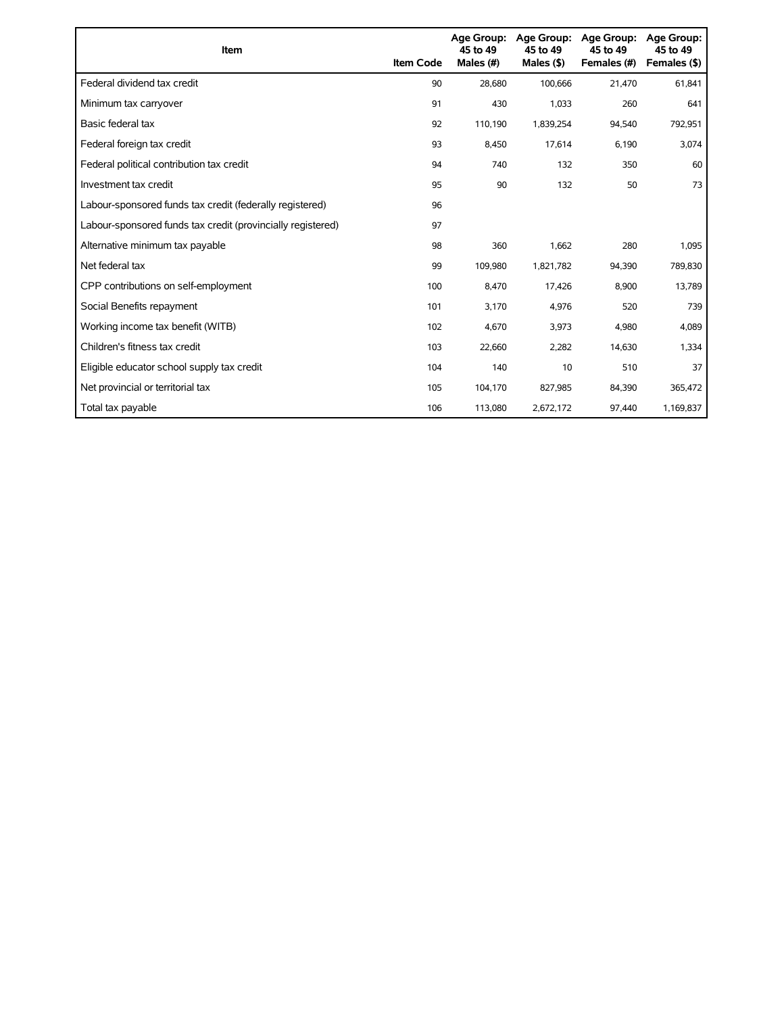| Item                                                        | <b>Item Code</b> | <b>Age Group:</b><br>45 to 49<br>Males (#) | Age Group:<br>45 to 49<br>Males $(§)$ | <b>Age Group:</b><br>45 to 49<br>Females (#) | <b>Age Group:</b><br>45 to 49<br>Females (\$) |
|-------------------------------------------------------------|------------------|--------------------------------------------|---------------------------------------|----------------------------------------------|-----------------------------------------------|
| Federal dividend tax credit                                 | 90               | 28,680                                     | 100,666                               | 21,470                                       | 61,841                                        |
| Minimum tax carryover                                       | 91               | 430                                        | 1,033                                 | 260                                          | 641                                           |
| Basic federal tax                                           | 92               | 110,190                                    | 1,839,254                             | 94,540                                       | 792,951                                       |
| Federal foreign tax credit                                  | 93               | 8,450                                      | 17,614                                | 6,190                                        | 3,074                                         |
| Federal political contribution tax credit                   | 94               | 740                                        | 132                                   | 350                                          | 60                                            |
| Investment tax credit                                       | 95               | 90                                         | 132                                   | 50                                           | 73                                            |
| Labour-sponsored funds tax credit (federally registered)    | 96               |                                            |                                       |                                              |                                               |
| Labour-sponsored funds tax credit (provincially registered) | 97               |                                            |                                       |                                              |                                               |
| Alternative minimum tax payable                             | 98               | 360                                        | 1,662                                 | 280                                          | 1,095                                         |
| Net federal tax                                             | 99               | 109,980                                    | 1,821,782                             | 94,390                                       | 789,830                                       |
| CPP contributions on self-employment                        | 100              | 8,470                                      | 17,426                                | 8,900                                        | 13,789                                        |
| Social Benefits repayment                                   | 101              | 3,170                                      | 4,976                                 | 520                                          | 739                                           |
| Working income tax benefit (WITB)                           | 102              | 4,670                                      | 3,973                                 | 4,980                                        | 4,089                                         |
| Children's fitness tax credit                               | 103              | 22,660                                     | 2,282                                 | 14,630                                       | 1,334                                         |
| Eligible educator school supply tax credit                  | 104              | 140                                        | 10                                    | 510                                          | 37                                            |
| Net provincial or territorial tax                           | 105              | 104,170                                    | 827,985                               | 84,390                                       | 365,472                                       |
| Total tax payable                                           | 106              | 113,080                                    | 2,672,172                             | 97,440                                       | 1,169,837                                     |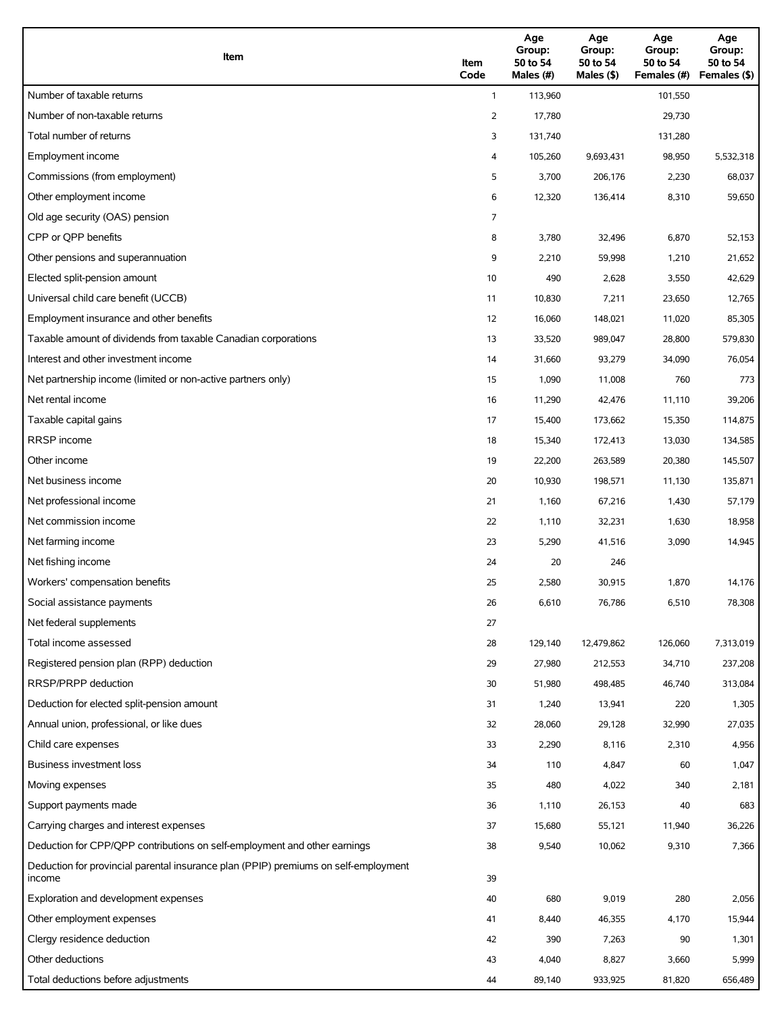| Item                                                                                          | Item<br>Code | Age<br>Group:<br>50 to 54<br>Males (#) | Age<br>Group:<br>50 to 54<br>Males (\$) | Age<br>Group:<br>50 to 54<br>Females (#) | Age<br>Group:<br>50 to 54<br>Females (\$) |
|-----------------------------------------------------------------------------------------------|--------------|----------------------------------------|-----------------------------------------|------------------------------------------|-------------------------------------------|
| Number of taxable returns                                                                     | $\mathbf{1}$ | 113,960                                |                                         | 101.550                                  |                                           |
| Number of non-taxable returns                                                                 | 2            | 17,780                                 |                                         | 29,730                                   |                                           |
| Total number of returns                                                                       | 3            | 131,740                                |                                         | 131,280                                  |                                           |
| Employment income                                                                             | 4            | 105,260                                | 9,693,431                               | 98,950                                   | 5,532,318                                 |
| Commissions (from employment)                                                                 | 5            | 3,700                                  | 206,176                                 | 2,230                                    | 68,037                                    |
| Other employment income                                                                       | 6            | 12,320                                 | 136,414                                 | 8,310                                    | 59,650                                    |
| Old age security (OAS) pension                                                                | 7            |                                        |                                         |                                          |                                           |
| CPP or QPP benefits                                                                           | 8            | 3,780                                  | 32,496                                  | 6,870                                    | 52,153                                    |
| Other pensions and superannuation                                                             | 9            | 2,210                                  | 59,998                                  | 1,210                                    | 21,652                                    |
| Elected split-pension amount                                                                  | 10           | 490                                    | 2,628                                   | 3,550                                    | 42,629                                    |
| Universal child care benefit (UCCB)                                                           | 11           | 10,830                                 | 7,211                                   | 23,650                                   | 12,765                                    |
| Employment insurance and other benefits                                                       | 12           | 16,060                                 | 148,021                                 | 11,020                                   | 85,305                                    |
| Taxable amount of dividends from taxable Canadian corporations                                | 13           | 33,520                                 | 989,047                                 | 28,800                                   | 579,830                                   |
| Interest and other investment income                                                          | 14           | 31,660                                 | 93,279                                  | 34,090                                   | 76,054                                    |
| Net partnership income (limited or non-active partners only)                                  | 15           | 1,090                                  | 11,008                                  | 760                                      | 773                                       |
| Net rental income                                                                             | 16           | 11,290                                 | 42,476                                  | 11,110                                   | 39,206                                    |
| Taxable capital gains                                                                         | 17           | 15,400                                 | 173,662                                 | 15,350                                   | 114,875                                   |
| <b>RRSP</b> income                                                                            | 18           | 15,340                                 | 172,413                                 | 13,030                                   | 134,585                                   |
| Other income                                                                                  | 19           | 22,200                                 | 263,589                                 | 20,380                                   | 145,507                                   |
| Net business income                                                                           | 20           | 10,930                                 | 198,571                                 | 11,130                                   | 135,871                                   |
| Net professional income                                                                       | 21           | 1,160                                  | 67,216                                  | 1,430                                    | 57,179                                    |
| Net commission income                                                                         | 22           | 1,110                                  | 32,231                                  | 1,630                                    | 18,958                                    |
| Net farming income                                                                            | 23           | 5,290                                  | 41,516                                  | 3,090                                    | 14,945                                    |
| Net fishing income                                                                            | 24           | 20                                     | 246                                     |                                          |                                           |
| Workers' compensation benefits                                                                | 25           | 2,580                                  | 30,915                                  | 1,870                                    | 14,176                                    |
| Social assistance payments                                                                    | 26           | 6,610                                  | 76,786                                  | 6,510                                    | 78,308                                    |
| Net federal supplements                                                                       | 27           |                                        |                                         |                                          |                                           |
| Total income assessed                                                                         | 28           | 129,140                                | 12,479,862                              | 126,060                                  | 7,313,019                                 |
| Registered pension plan (RPP) deduction                                                       | 29           | 27,980                                 | 212,553                                 | 34,710                                   | 237,208                                   |
| RRSP/PRPP deduction                                                                           | 30           | 51,980                                 | 498,485                                 | 46,740                                   | 313,084                                   |
| Deduction for elected split-pension amount                                                    | 31           | 1,240                                  | 13,941                                  | 220                                      | 1,305                                     |
| Annual union, professional, or like dues                                                      | 32           | 28,060                                 | 29,128                                  | 32,990                                   | 27,035                                    |
| Child care expenses                                                                           | 33           | 2,290                                  | 8,116                                   | 2,310                                    | 4,956                                     |
| <b>Business investment loss</b>                                                               | 34           | 110                                    | 4,847                                   | 60                                       | 1,047                                     |
| Moving expenses                                                                               | 35           | 480                                    | 4,022                                   | 340                                      | 2,181                                     |
| Support payments made                                                                         | 36           | 1,110                                  | 26,153                                  | 40                                       | 683                                       |
| Carrying charges and interest expenses                                                        | 37           | 15,680                                 | 55,121                                  | 11,940                                   | 36,226                                    |
| Deduction for CPP/QPP contributions on self-employment and other earnings                     | 38           | 9,540                                  | 10,062                                  | 9,310                                    | 7,366                                     |
| Deduction for provincial parental insurance plan (PPIP) premiums on self-employment<br>income | 39           |                                        |                                         |                                          |                                           |
| Exploration and development expenses                                                          | 40           | 680                                    | 9,019                                   | 280                                      | 2,056                                     |
| Other employment expenses                                                                     | 41           | 8,440                                  | 46,355                                  | 4,170                                    | 15,944                                    |
| Clergy residence deduction                                                                    | 42           | 390                                    | 7,263                                   | 90                                       | 1,301                                     |
| Other deductions                                                                              | 43           | 4,040                                  | 8,827                                   | 3,660                                    | 5,999                                     |
| Total deductions before adjustments                                                           | 44           | 89,140                                 | 933,925                                 | 81,820                                   | 656,489                                   |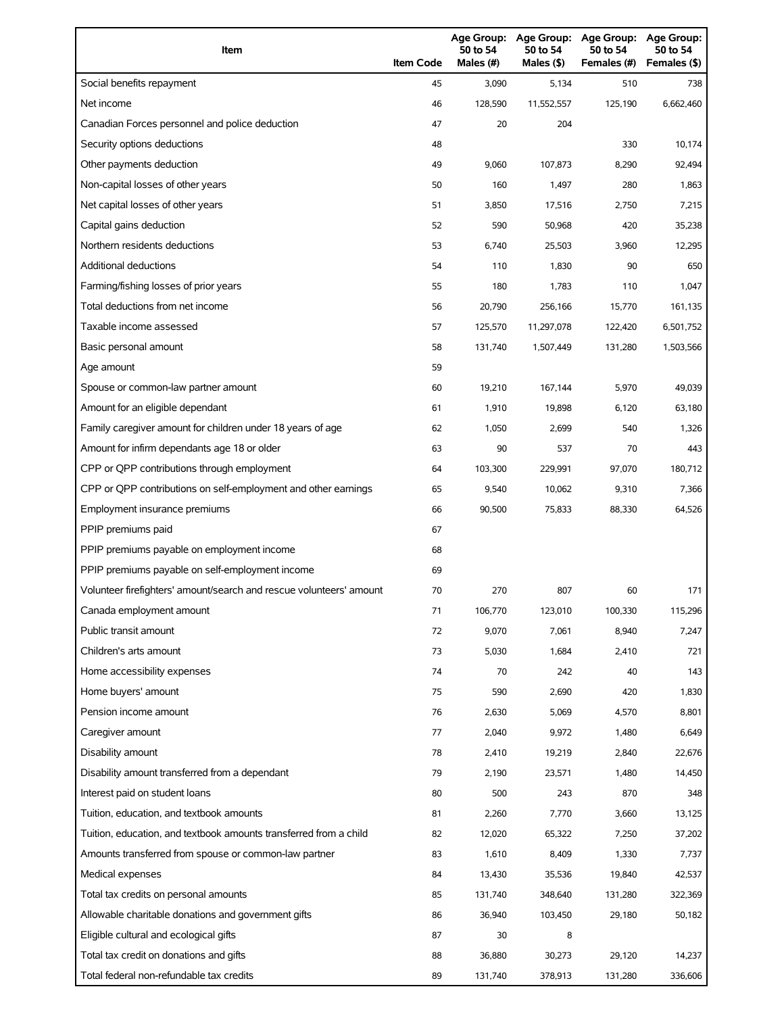| Item                                                                | <b>Item Code</b> | Age Group:<br>50 to 54<br>Males (#) | Age Group:<br>50 to 54<br>Males (\$) | <b>Age Group:</b><br>50 to 54<br>Females (#) | <b>Age Group:</b><br>50 to 54<br>Females (\$) |
|---------------------------------------------------------------------|------------------|-------------------------------------|--------------------------------------|----------------------------------------------|-----------------------------------------------|
| Social benefits repayment                                           | 45               | 3,090                               | 5,134                                | 510                                          | 738                                           |
| Net income                                                          | 46               | 128,590                             | 11,552,557                           | 125,190                                      | 6,662,460                                     |
| Canadian Forces personnel and police deduction                      | 47               | 20                                  | 204                                  |                                              |                                               |
| Security options deductions                                         | 48               |                                     |                                      | 330                                          | 10,174                                        |
| Other payments deduction                                            | 49               | 9,060                               | 107,873                              | 8,290                                        | 92,494                                        |
| Non-capital losses of other years                                   | 50               | 160                                 | 1,497                                | 280                                          | 1,863                                         |
| Net capital losses of other years                                   | 51               | 3,850                               | 17,516                               | 2,750                                        | 7,215                                         |
| Capital gains deduction                                             | 52               | 590                                 | 50,968                               | 420                                          | 35,238                                        |
| Northern residents deductions                                       | 53               | 6,740                               | 25,503                               | 3,960                                        | 12,295                                        |
| Additional deductions                                               | 54               | 110                                 | 1,830                                | 90                                           | 650                                           |
| Farming/fishing losses of prior years                               | 55               | 180                                 | 1,783                                | 110                                          | 1,047                                         |
| Total deductions from net income                                    | 56               | 20,790                              | 256,166                              | 15,770                                       | 161,135                                       |
| Taxable income assessed                                             | 57               | 125,570                             | 11,297,078                           | 122,420                                      | 6,501,752                                     |
| Basic personal amount                                               | 58               | 131,740                             | 1,507,449                            | 131,280                                      | 1,503,566                                     |
| Age amount                                                          | 59               |                                     |                                      |                                              |                                               |
| Spouse or common-law partner amount                                 | 60               | 19,210                              | 167,144                              | 5,970                                        | 49,039                                        |
| Amount for an eligible dependant                                    | 61               | 1,910                               | 19,898                               | 6,120                                        | 63,180                                        |
| Family caregiver amount for children under 18 years of age          | 62               | 1,050                               | 2,699                                | 540                                          | 1,326                                         |
| Amount for infirm dependants age 18 or older                        | 63               | 90                                  | 537                                  | 70                                           | 443                                           |
| CPP or QPP contributions through employment                         | 64               | 103,300                             | 229,991                              | 97,070                                       | 180,712                                       |
| CPP or QPP contributions on self-employment and other earnings      | 65               | 9,540                               | 10,062                               | 9,310                                        | 7,366                                         |
| Employment insurance premiums                                       | 66               | 90,500                              | 75,833                               | 88,330                                       | 64,526                                        |
| PPIP premiums paid                                                  | 67               |                                     |                                      |                                              |                                               |
| PPIP premiums payable on employment income                          | 68               |                                     |                                      |                                              |                                               |
| PPIP premiums payable on self-employment income                     | 69               |                                     |                                      |                                              |                                               |
| Volunteer firefighters' amount/search and rescue volunteers' amount | 70               | 270                                 | 807                                  | 60                                           | 171                                           |
| Canada employment amount                                            | 71               | 106,770                             | 123,010                              | 100,330                                      | 115,296                                       |
| Public transit amount                                               | 72               | 9,070                               | 7,061                                | 8,940                                        | 7,247                                         |
| Children's arts amount                                              | 73               | 5,030                               | 1,684                                | 2,410                                        | 721                                           |
| Home accessibility expenses                                         | 74               | 70                                  | 242                                  | 40                                           | 143                                           |
| Home buyers' amount                                                 | 75               | 590                                 | 2,690                                | 420                                          | 1,830                                         |
| Pension income amount                                               | 76               | 2,630                               | 5,069                                | 4,570                                        | 8,801                                         |
| Caregiver amount                                                    | 77               | 2,040                               | 9,972                                | 1,480                                        | 6,649                                         |
| Disability amount                                                   | 78               | 2,410                               | 19,219                               | 2,840                                        | 22,676                                        |
| Disability amount transferred from a dependant                      | 79               | 2,190                               | 23,571                               | 1,480                                        | 14,450                                        |
| Interest paid on student loans                                      | 80               | 500                                 | 243                                  | 870                                          | 348                                           |
| Tuition, education, and textbook amounts                            | 81               | 2,260                               | 7,770                                | 3,660                                        | 13,125                                        |
| Tuition, education, and textbook amounts transferred from a child   | 82               | 12,020                              | 65,322                               | 7,250                                        | 37,202                                        |
| Amounts transferred from spouse or common-law partner               | 83               | 1,610                               | 8,409                                | 1,330                                        | 7,737                                         |
| Medical expenses                                                    | 84               | 13,430                              | 35,536                               | 19,840                                       | 42,537                                        |
| Total tax credits on personal amounts                               | 85               | 131,740                             | 348,640                              | 131,280                                      | 322,369                                       |
| Allowable charitable donations and government gifts                 | 86               | 36,940                              | 103,450                              | 29,180                                       | 50,182                                        |
| Eligible cultural and ecological gifts                              | 87               | 30                                  | 8                                    |                                              |                                               |
| Total tax credit on donations and gifts                             | 88               | 36,880                              | 30,273                               | 29,120                                       | 14,237                                        |
| Total federal non-refundable tax credits                            | 89               | 131,740                             | 378,913                              | 131,280                                      | 336,606                                       |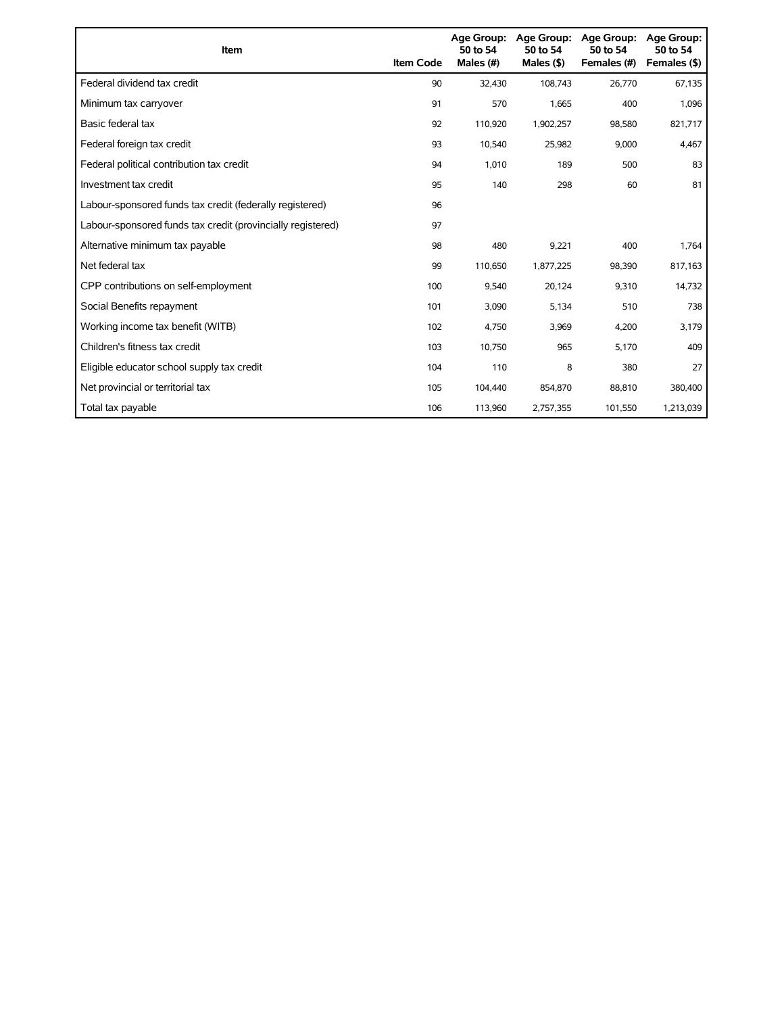| Item                                                        | <b>Item Code</b> | Age Group:<br>50 to 54<br>Males (#) | Age Group:<br>50 to 54<br>Males $($ \$) | <b>Age Group:</b><br>50 to 54<br>Females (#) | <b>Age Group:</b><br>50 to 54<br>Females (\$) |
|-------------------------------------------------------------|------------------|-------------------------------------|-----------------------------------------|----------------------------------------------|-----------------------------------------------|
| Federal dividend tax credit                                 | 90               | 32.430                              | 108,743                                 | 26,770                                       | 67,135                                        |
| Minimum tax carryover                                       | 91               | 570                                 | 1,665                                   | 400                                          | 1,096                                         |
| Basic federal tax                                           | 92               | 110,920                             | 1,902,257                               | 98,580                                       | 821,717                                       |
| Federal foreign tax credit                                  | 93               | 10,540                              | 25,982                                  | 9,000                                        | 4,467                                         |
| Federal political contribution tax credit                   | 94               | 1.010                               | 189                                     | 500                                          | 83                                            |
| Investment tax credit                                       | 95               | 140                                 | 298                                     | 60                                           | 81                                            |
| Labour-sponsored funds tax credit (federally registered)    | 96               |                                     |                                         |                                              |                                               |
| Labour-sponsored funds tax credit (provincially registered) | 97               |                                     |                                         |                                              |                                               |
| Alternative minimum tax payable                             | 98               | 480                                 | 9,221                                   | 400                                          | 1,764                                         |
| Net federal tax                                             | 99               | 110,650                             | 1,877,225                               | 98,390                                       | 817,163                                       |
| CPP contributions on self-employment                        | 100              | 9,540                               | 20,124                                  | 9,310                                        | 14,732                                        |
| Social Benefits repayment                                   | 101              | 3,090                               | 5,134                                   | 510                                          | 738                                           |
| Working income tax benefit (WITB)                           | 102              | 4,750                               | 3,969                                   | 4,200                                        | 3,179                                         |
| Children's fitness tax credit                               | 103              | 10,750                              | 965                                     | 5,170                                        | 409                                           |
| Eligible educator school supply tax credit                  | 104              | 110                                 | 8                                       | 380                                          | 27                                            |
| Net provincial or territorial tax                           | 105              | 104,440                             | 854,870                                 | 88,810                                       | 380,400                                       |
| Total tax payable                                           | 106              | 113,960                             | 2,757,355                               | 101,550                                      | 1,213,039                                     |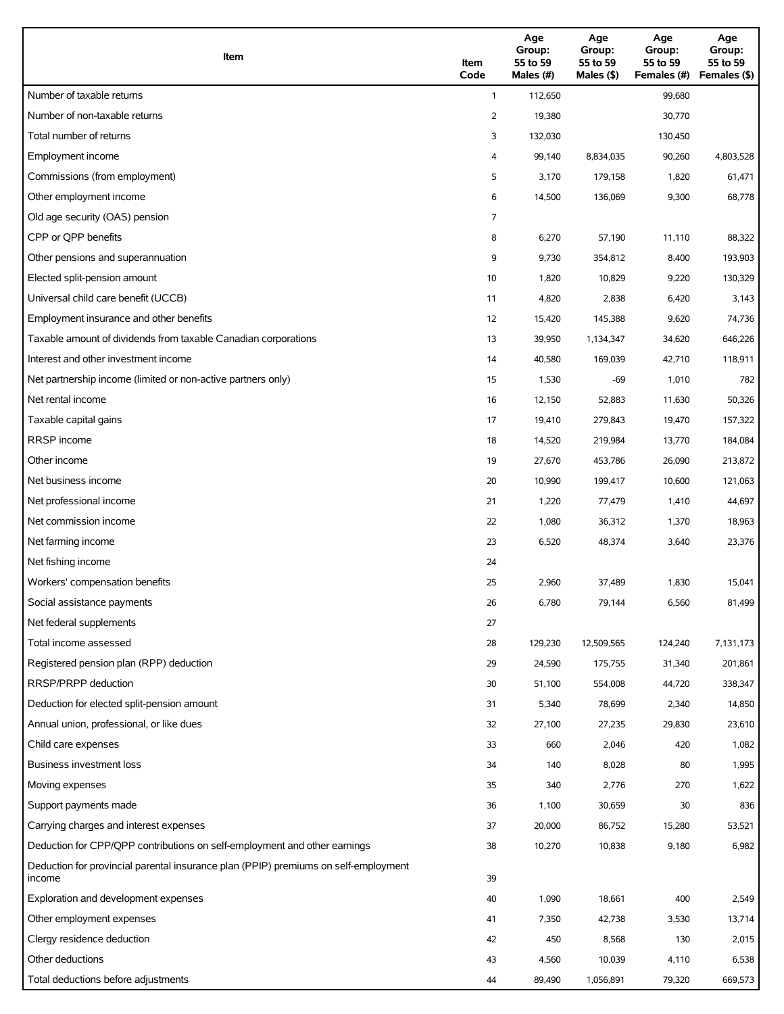| Item                                                                                          | Item<br>Code | Age<br>Group:<br>55 to 59<br>Males (#) | Age<br>Group:<br>55 to 59<br>Males $($ \$) | Age<br>Group:<br>55 to 59<br>Females (#) | Age<br>Group:<br>55 to 59<br>Females (\$) |
|-----------------------------------------------------------------------------------------------|--------------|----------------------------------------|--------------------------------------------|------------------------------------------|-------------------------------------------|
| Number of taxable returns                                                                     | $\mathbf{1}$ | 112,650                                |                                            | 99,680                                   |                                           |
| Number of non-taxable returns                                                                 | 2            | 19,380                                 |                                            | 30,770                                   |                                           |
| Total number of returns                                                                       | 3            | 132,030                                |                                            | 130,450                                  |                                           |
| Employment income                                                                             | 4            | 99,140                                 | 8,834,035                                  | 90,260                                   | 4,803,528                                 |
| Commissions (from employment)                                                                 | 5            | 3,170                                  | 179,158                                    | 1,820                                    | 61,471                                    |
| Other employment income                                                                       | 6            | 14,500                                 | 136,069                                    | 9,300                                    | 68,778                                    |
| Old age security (OAS) pension                                                                | 7            |                                        |                                            |                                          |                                           |
| CPP or OPP benefits                                                                           | 8            | 6,270                                  | 57,190                                     | 11,110                                   | 88,322                                    |
| Other pensions and superannuation                                                             | 9            | 9,730                                  | 354,812                                    | 8,400                                    | 193,903                                   |
| Elected split-pension amount                                                                  | 10           | 1,820                                  | 10,829                                     | 9,220                                    | 130,329                                   |
| Universal child care benefit (UCCB)                                                           | 11           | 4,820                                  | 2,838                                      | 6,420                                    | 3,143                                     |
| Employment insurance and other benefits                                                       | 12           | 15,420                                 | 145,388                                    | 9,620                                    | 74,736                                    |
| Taxable amount of dividends from taxable Canadian corporations                                | 13           | 39,950                                 | 1,134,347                                  | 34,620                                   | 646,226                                   |
| Interest and other investment income                                                          | 14           | 40,580                                 | 169,039                                    | 42,710                                   | 118,911                                   |
| Net partnership income (limited or non-active partners only)                                  | 15           | 1,530                                  | $-69$                                      | 1,010                                    | 782                                       |
| Net rental income                                                                             | 16           | 12,150                                 | 52,883                                     | 11,630                                   | 50,326                                    |
| Taxable capital gains                                                                         | 17           | 19,410                                 | 279,843                                    | 19,470                                   | 157,322                                   |
| <b>RRSP</b> income                                                                            | 18           | 14,520                                 | 219,984                                    | 13,770                                   | 184,084                                   |
| Other income                                                                                  | 19           | 27,670                                 | 453,786                                    | 26,090                                   | 213,872                                   |
| Net business income                                                                           | 20           | 10,990                                 | 199,417                                    | 10,600                                   | 121,063                                   |
| Net professional income                                                                       | 21           | 1,220                                  | 77,479                                     | 1,410                                    | 44,697                                    |
| Net commission income                                                                         | 22           | 1,080                                  | 36,312                                     | 1,370                                    | 18,963                                    |
| Net farming income                                                                            | 23           | 6,520                                  | 48,374                                     | 3,640                                    | 23,376                                    |
| Net fishing income                                                                            | 24           |                                        |                                            |                                          |                                           |
| Workers' compensation benefits                                                                | 25           | 2,960                                  | 37,489                                     | 1,830                                    | 15,041                                    |
| Social assistance payments                                                                    | 26           | 6,780                                  | 79,144                                     | 6,560                                    | 81,499                                    |
| Net federal supplements                                                                       | 27           |                                        |                                            |                                          |                                           |
| Total income assessed                                                                         | 28           | 129,230                                | 12,509,565                                 | 124,240                                  | 7,131,173                                 |
| Registered pension plan (RPP) deduction                                                       | 29           | 24,590                                 | 175,755                                    | 31,340                                   | 201,861                                   |
| RRSP/PRPP deduction                                                                           | 30           | 51,100                                 | 554,008                                    | 44,720                                   | 338,347                                   |
| Deduction for elected split-pension amount                                                    | 31           | 5,340                                  | 78,699                                     | 2,340                                    | 14,850                                    |
| Annual union, professional, or like dues                                                      | 32           | 27,100                                 | 27,235                                     | 29,830                                   | 23,610                                    |
| Child care expenses                                                                           | 33           | 660                                    | 2,046                                      | 420                                      | 1,082                                     |
| <b>Business investment loss</b>                                                               | 34           | 140                                    | 8,028                                      | 80                                       | 1,995                                     |
| Moving expenses                                                                               | 35           | 340                                    | 2,776                                      | 270                                      | 1,622                                     |
| Support payments made                                                                         | 36           | 1,100                                  | 30,659                                     | 30                                       | 836                                       |
| Carrying charges and interest expenses                                                        | 37           | 20,000                                 | 86,752                                     | 15,280                                   | 53,521                                    |
| Deduction for CPP/QPP contributions on self-employment and other earnings                     | 38           | 10,270                                 | 10,838                                     | 9,180                                    | 6,982                                     |
| Deduction for provincial parental insurance plan (PPIP) premiums on self-employment<br>income | 39           |                                        |                                            |                                          |                                           |
| Exploration and development expenses                                                          | 40           | 1,090                                  | 18,661                                     | 400                                      | 2,549                                     |
| Other employment expenses                                                                     | 41           | 7,350                                  | 42,738                                     | 3,530                                    | 13,714                                    |
| Clergy residence deduction                                                                    | 42           | 450                                    | 8,568                                      | 130                                      | 2,015                                     |
| Other deductions                                                                              | 43           | 4,560                                  | 10,039                                     | 4,110                                    | 6,538                                     |
| Total deductions before adjustments                                                           | 44           | 89,490                                 | 1,056,891                                  | 79,320                                   | 669,573                                   |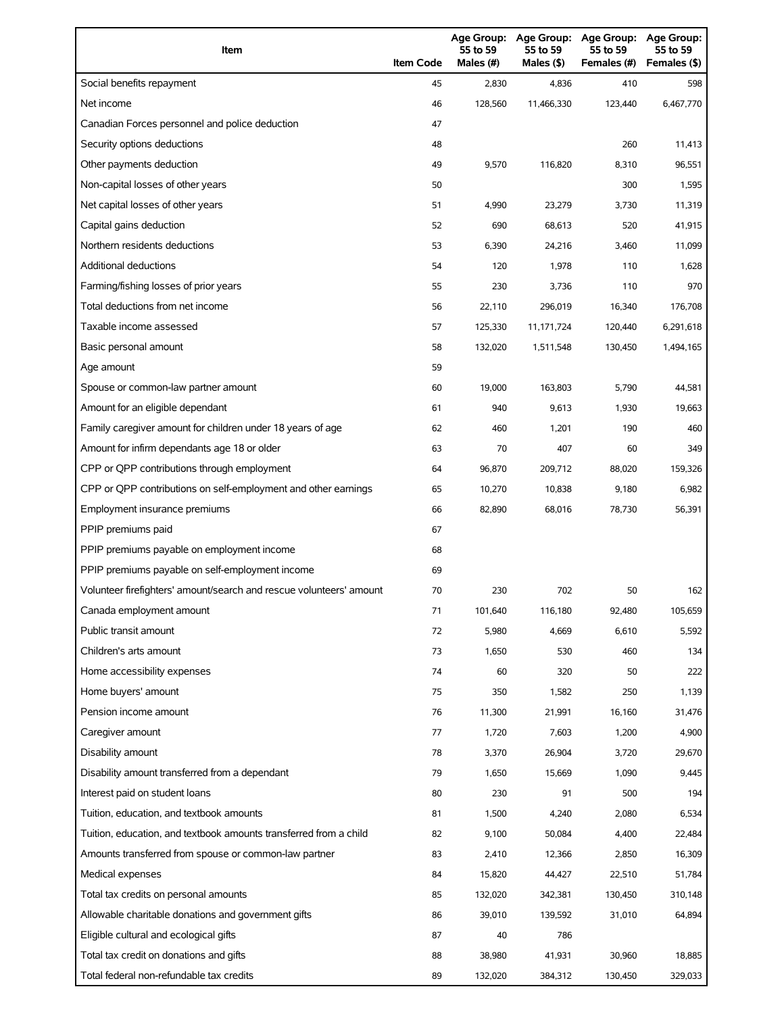| Item                                                                | <b>Item Code</b> | 55 to 59<br>Males (#) | 55 to 59<br>Males (\$) | Age Group: Age Group: Age Group:<br>55 to 59<br>Females (#) | <b>Age Group:</b><br>55 to 59<br>Females (\$) |
|---------------------------------------------------------------------|------------------|-----------------------|------------------------|-------------------------------------------------------------|-----------------------------------------------|
| Social benefits repayment                                           | 45               | 2,830                 | 4,836                  | 410                                                         | 598                                           |
| Net income                                                          | 46               | 128,560               | 11,466,330             | 123,440                                                     | 6,467,770                                     |
| Canadian Forces personnel and police deduction                      | 47               |                       |                        |                                                             |                                               |
| Security options deductions                                         | 48               |                       |                        | 260                                                         | 11,413                                        |
| Other payments deduction                                            | 49               | 9,570                 | 116,820                | 8,310                                                       | 96,551                                        |
| Non-capital losses of other years                                   | 50               |                       |                        | 300                                                         | 1,595                                         |
| Net capital losses of other years                                   | 51               | 4,990                 | 23,279                 | 3,730                                                       | 11,319                                        |
| Capital gains deduction                                             | 52               | 690                   | 68,613                 | 520                                                         | 41,915                                        |
| Northern residents deductions                                       | 53               | 6,390                 | 24,216                 | 3,460                                                       | 11,099                                        |
| Additional deductions                                               | 54               | 120                   | 1,978                  | 110                                                         | 1,628                                         |
| Farming/fishing losses of prior years                               | 55               | 230                   | 3,736                  | 110                                                         | 970                                           |
| Total deductions from net income                                    | 56               | 22,110                | 296,019                | 16,340                                                      | 176,708                                       |
| Taxable income assessed                                             | 57               | 125,330               | 11,171,724             | 120,440                                                     | 6,291,618                                     |
| Basic personal amount                                               | 58               | 132,020               | 1,511,548              | 130,450                                                     | 1,494,165                                     |
| Age amount                                                          | 59               |                       |                        |                                                             |                                               |
| Spouse or common-law partner amount                                 | 60               | 19,000                | 163,803                | 5,790                                                       | 44,581                                        |
| Amount for an eligible dependant                                    | 61               | 940                   | 9,613                  | 1,930                                                       | 19,663                                        |
| Family caregiver amount for children under 18 years of age          | 62               | 460                   | 1,201                  | 190                                                         | 460                                           |
| Amount for infirm dependants age 18 or older                        | 63               | 70                    | 407                    | 60                                                          | 349                                           |
| CPP or QPP contributions through employment                         | 64               | 96,870                | 209,712                | 88,020                                                      | 159,326                                       |
| CPP or QPP contributions on self-employment and other earnings      | 65               | 10,270                | 10,838                 | 9,180                                                       | 6,982                                         |
| Employment insurance premiums                                       | 66               | 82,890                | 68,016                 | 78,730                                                      | 56,391                                        |
| PPIP premiums paid                                                  | 67               |                       |                        |                                                             |                                               |
| PPIP premiums payable on employment income                          | 68               |                       |                        |                                                             |                                               |
| PPIP premiums payable on self-employment income                     | 69               |                       |                        |                                                             |                                               |
| Volunteer firefighters' amount/search and rescue volunteers' amount | 70               | 230                   | 702                    | 50                                                          | 162                                           |
| Canada employment amount                                            | 71               | 101,640               | 116,180                | 92,480                                                      | 105,659                                       |
| Public transit amount                                               | 72               | 5,980                 | 4,669                  | 6,610                                                       | 5,592                                         |
| Children's arts amount                                              | 73               | 1,650                 | 530                    | 460                                                         | 134                                           |
| Home accessibility expenses                                         | 74               | 60                    | 320                    | 50                                                          | 222                                           |
| Home buyers' amount                                                 | 75               | 350                   | 1,582                  | 250                                                         | 1,139                                         |
| Pension income amount                                               | 76               | 11,300                | 21,991                 | 16,160                                                      | 31,476                                        |
| Caregiver amount                                                    | 77               | 1,720                 | 7,603                  | 1,200                                                       | 4,900                                         |
| Disability amount                                                   | 78               | 3,370                 | 26,904                 | 3,720                                                       | 29,670                                        |
| Disability amount transferred from a dependant                      | 79               | 1,650                 | 15,669                 | 1,090                                                       | 9,445                                         |
| Interest paid on student loans                                      | 80               | 230                   | 91                     | 500                                                         | 194                                           |
| Tuition, education, and textbook amounts                            | 81               | 1,500                 | 4,240                  | 2,080                                                       | 6,534                                         |
| Tuition, education, and textbook amounts transferred from a child   | 82               | 9,100                 | 50,084                 | 4,400                                                       | 22,484                                        |
| Amounts transferred from spouse or common-law partner               | 83               | 2,410                 | 12,366                 | 2,850                                                       | 16,309                                        |
| Medical expenses                                                    | 84               | 15,820                | 44,427                 | 22,510                                                      | 51,784                                        |
| Total tax credits on personal amounts                               | 85               | 132,020               | 342,381                | 130,450                                                     | 310,148                                       |
| Allowable charitable donations and government gifts                 | 86               | 39,010                | 139,592                | 31,010                                                      | 64,894                                        |
| Eligible cultural and ecological gifts                              | 87               | 40                    | 786                    |                                                             |                                               |
| Total tax credit on donations and gifts                             | 88               | 38,980                | 41,931                 | 30,960                                                      | 18,885                                        |
| Total federal non-refundable tax credits                            | 89               | 132,020               | 384,312                | 130,450                                                     | 329,033                                       |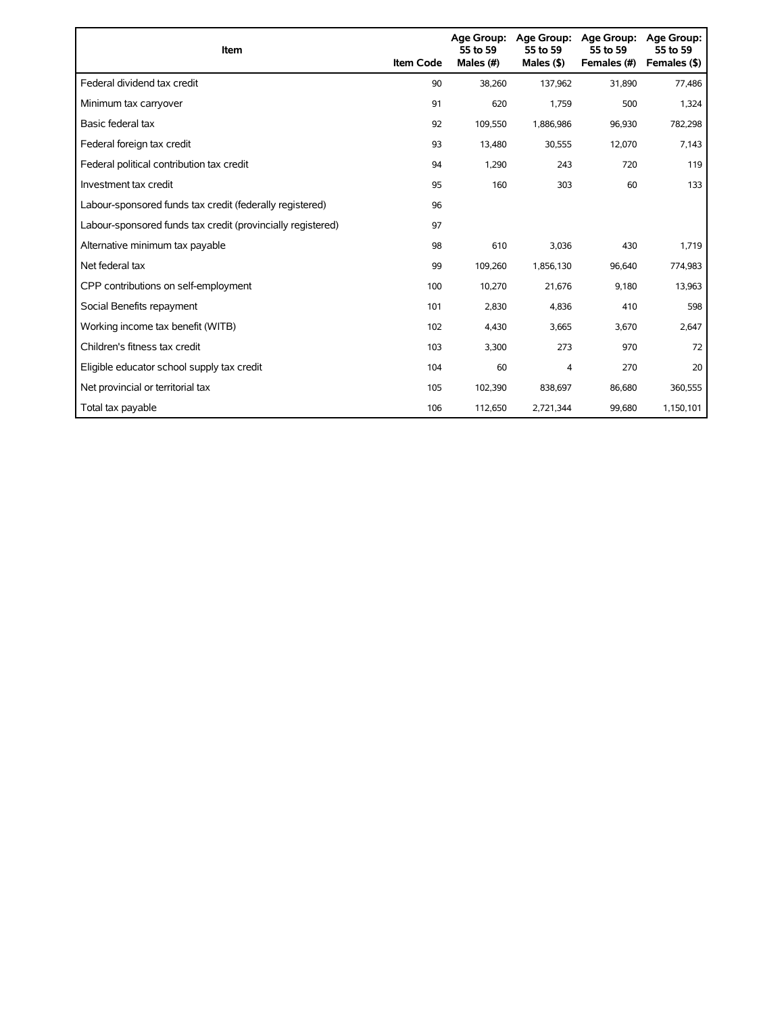| Item                                                        | <b>Item Code</b> | Age Group:<br>55 to 59<br>Males (#) | Age Group:<br>55 to 59<br>Males $($ \$) | Age Group:<br>55 to 59<br>Females (#) | <b>Age Group:</b><br>55 to 59<br>Females (\$) |
|-------------------------------------------------------------|------------------|-------------------------------------|-----------------------------------------|---------------------------------------|-----------------------------------------------|
| Federal dividend tax credit                                 | 90               | 38,260                              | 137,962                                 | 31,890                                | 77,486                                        |
| Minimum tax carryover                                       | 91               | 620                                 | 1,759                                   | 500                                   | 1,324                                         |
| Basic federal tax                                           | 92               | 109,550                             | 1,886,986                               | 96,930                                | 782,298                                       |
| Federal foreign tax credit                                  | 93               | 13,480                              | 30,555                                  | 12,070                                | 7,143                                         |
| Federal political contribution tax credit                   | 94               | 1,290                               | 243                                     | 720                                   | 119                                           |
| Investment tax credit                                       | 95               | 160                                 | 303                                     | 60                                    | 133                                           |
| Labour-sponsored funds tax credit (federally registered)    | 96               |                                     |                                         |                                       |                                               |
| Labour-sponsored funds tax credit (provincially registered) | 97               |                                     |                                         |                                       |                                               |
| Alternative minimum tax payable                             | 98               | 610                                 | 3,036                                   | 430                                   | 1,719                                         |
| Net federal tax                                             | 99               | 109,260                             | 1,856,130                               | 96,640                                | 774,983                                       |
| CPP contributions on self-employment                        | 100              | 10,270                              | 21,676                                  | 9,180                                 | 13,963                                        |
| Social Benefits repayment                                   | 101              | 2,830                               | 4,836                                   | 410                                   | 598                                           |
| Working income tax benefit (WITB)                           | 102              | 4,430                               | 3,665                                   | 3,670                                 | 2,647                                         |
| Children's fitness tax credit                               | 103              | 3,300                               | 273                                     | 970                                   | 72                                            |
| Eligible educator school supply tax credit                  | 104              | 60                                  | 4                                       | 270                                   | 20                                            |
| Net provincial or territorial tax                           | 105              | 102,390                             | 838,697                                 | 86,680                                | 360,555                                       |
| Total tax payable                                           | 106              | 112,650                             | 2,721,344                               | 99,680                                | 1,150,101                                     |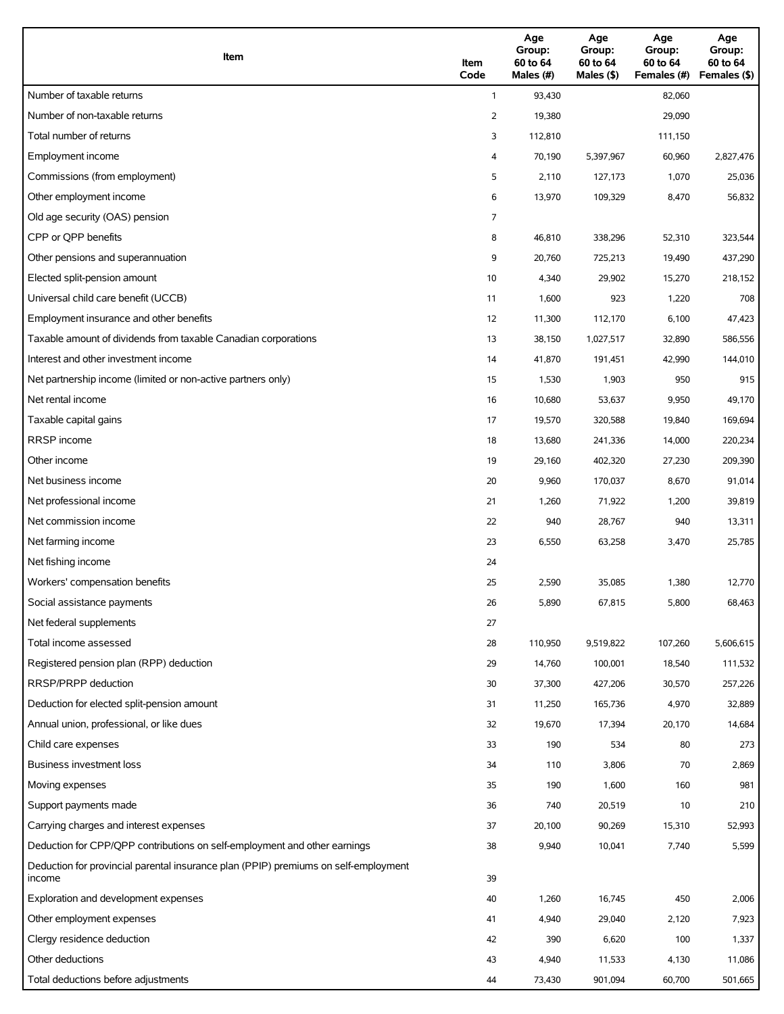| Item                                                                                          | Item<br>Code | Age<br>Group:<br>60 to 64<br>Males (#) | Age<br>Group:<br>60 to 64<br>Males (\$) | Age<br>Group:<br>60 to 64<br>Females (#) | Age<br>Group:<br>60 to 64<br>Females (\$) |
|-----------------------------------------------------------------------------------------------|--------------|----------------------------------------|-----------------------------------------|------------------------------------------|-------------------------------------------|
| Number of taxable returns                                                                     | $\mathbf{1}$ | 93,430                                 |                                         | 82,060                                   |                                           |
| Number of non-taxable returns                                                                 | 2            | 19,380                                 |                                         | 29,090                                   |                                           |
| Total number of returns                                                                       | 3            | 112,810                                |                                         | 111,150                                  |                                           |
| Employment income                                                                             | 4            | 70,190                                 | 5,397,967                               | 60,960                                   | 2,827,476                                 |
| Commissions (from employment)                                                                 | 5            | 2,110                                  | 127,173                                 | 1,070                                    | 25,036                                    |
| Other employment income                                                                       | 6            | 13,970                                 | 109,329                                 | 8,470                                    | 56,832                                    |
| Old age security (OAS) pension                                                                | 7            |                                        |                                         |                                          |                                           |
| CPP or OPP benefits                                                                           | 8            | 46,810                                 | 338,296                                 | 52,310                                   | 323,544                                   |
| Other pensions and superannuation                                                             | 9            | 20,760                                 | 725,213                                 | 19,490                                   | 437,290                                   |
| Elected split-pension amount                                                                  | 10           | 4,340                                  | 29,902                                  | 15,270                                   | 218,152                                   |
| Universal child care benefit (UCCB)                                                           | 11           | 1,600                                  | 923                                     | 1,220                                    | 708                                       |
| Employment insurance and other benefits                                                       | 12           | 11,300                                 | 112,170                                 | 6,100                                    | 47,423                                    |
| Taxable amount of dividends from taxable Canadian corporations                                | 13           | 38,150                                 | 1,027,517                               | 32,890                                   | 586,556                                   |
| Interest and other investment income                                                          | 14           | 41,870                                 | 191,451                                 | 42,990                                   | 144,010                                   |
| Net partnership income (limited or non-active partners only)                                  | 15           | 1,530                                  | 1,903                                   | 950                                      | 915                                       |
| Net rental income                                                                             | 16           | 10,680                                 | 53,637                                  | 9,950                                    | 49,170                                    |
| Taxable capital gains                                                                         | 17           | 19,570                                 | 320,588                                 | 19,840                                   | 169,694                                   |
| <b>RRSP</b> income                                                                            | 18           | 13,680                                 | 241,336                                 | 14,000                                   | 220,234                                   |
| Other income                                                                                  | 19           | 29,160                                 | 402,320                                 | 27,230                                   | 209,390                                   |
| Net business income                                                                           | 20           | 9,960                                  | 170,037                                 | 8,670                                    | 91,014                                    |
| Net professional income                                                                       | 21           | 1,260                                  | 71,922                                  | 1,200                                    | 39,819                                    |
| Net commission income                                                                         | 22           | 940                                    | 28,767                                  | 940                                      | 13,311                                    |
| Net farming income                                                                            | 23           | 6,550                                  | 63,258                                  | 3,470                                    | 25,785                                    |
| Net fishing income                                                                            | 24           |                                        |                                         |                                          |                                           |
| Workers' compensation benefits                                                                | 25           | 2,590                                  | 35,085                                  | 1,380                                    | 12,770                                    |
| Social assistance payments                                                                    | 26           | 5,890                                  | 67,815                                  | 5,800                                    | 68,463                                    |
| Net federal supplements                                                                       | 27           |                                        |                                         |                                          |                                           |
| Total income assessed                                                                         | 28           | 110,950                                | 9,519,822                               | 107,260                                  | 5,606,615                                 |
| Registered pension plan (RPP) deduction                                                       | 29           | 14,760                                 | 100,001                                 | 18,540                                   | 111,532                                   |
| RRSP/PRPP deduction                                                                           | 30           | 37,300                                 | 427,206                                 | 30,570                                   | 257,226                                   |
| Deduction for elected split-pension amount                                                    | 31           | 11,250                                 | 165,736                                 | 4,970                                    | 32,889                                    |
| Annual union, professional, or like dues                                                      | 32           | 19,670                                 | 17,394                                  | 20,170                                   | 14,684                                    |
| Child care expenses                                                                           | 33           | 190                                    | 534                                     | 80                                       | 273                                       |
| <b>Business investment loss</b>                                                               | 34           | 110                                    | 3,806                                   | 70                                       | 2,869                                     |
| Moving expenses                                                                               | 35           | 190                                    | 1,600                                   | 160                                      | 981                                       |
| Support payments made                                                                         | 36           | 740                                    | 20,519                                  | 10                                       | 210                                       |
| Carrying charges and interest expenses                                                        | 37           | 20,100                                 | 90,269                                  | 15,310                                   | 52,993                                    |
| Deduction for CPP/QPP contributions on self-employment and other earnings                     | 38           | 9,940                                  | 10,041                                  | 7,740                                    | 5,599                                     |
| Deduction for provincial parental insurance plan (PPIP) premiums on self-employment<br>income | 39           |                                        |                                         |                                          |                                           |
| Exploration and development expenses                                                          | 40           | 1,260                                  | 16,745                                  | 450                                      | 2,006                                     |
| Other employment expenses                                                                     | 41           | 4,940                                  | 29,040                                  | 2,120                                    | 7,923                                     |
| Clergy residence deduction                                                                    | 42           | 390                                    | 6,620                                   | 100                                      | 1,337                                     |
| Other deductions                                                                              | 43           | 4,940                                  | 11,533                                  | 4,130                                    | 11,086                                    |
| Total deductions before adjustments                                                           | 44           | 73,430                                 | 901,094                                 | 60,700                                   | 501,665                                   |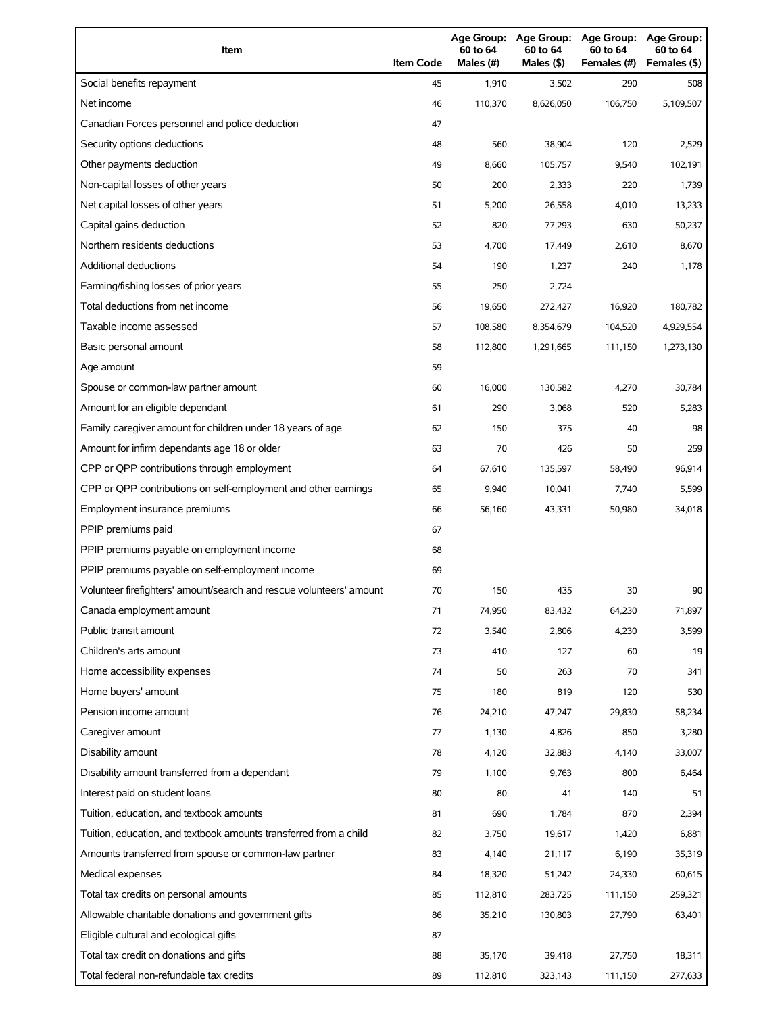| Social benefits repayment<br>1,910<br>290<br>45<br>3,502<br>508<br>Net income<br>110,370<br>106,750<br>5,109,507<br>46<br>8,626,050<br>Canadian Forces personnel and police deduction<br>47<br>Security options deductions<br>560<br>38,904<br>120<br>48<br>2,529<br>Other payments deduction<br>102,191<br>49<br>8,660<br>105,757<br>9,540<br>Non-capital losses of other years<br>50<br>200<br>2,333<br>220<br>1,739<br>Net capital losses of other years<br>51<br>5,200<br>26,558<br>4,010<br>13,233<br>Capital gains deduction<br>52<br>820<br>630<br>50,237<br>77,293<br>Northern residents deductions<br>53<br>4,700<br>17,449<br>2,610<br>8,670<br><b>Additional deductions</b><br>54<br>190<br>1,237<br>240<br>1,178<br>Farming/fishing losses of prior years<br>55<br>250<br>2,724<br>Total deductions from net income<br>56<br>19,650<br>272,427<br>16,920<br>180,782<br>Taxable income assessed<br>4,929,554<br>57<br>108,580<br>8,354,679<br>104,520<br>Basic personal amount<br>58<br>112,800<br>1,291,665<br>111,150<br>1,273,130<br>59<br>Age amount<br>Spouse or common-law partner amount<br>30,784<br>60<br>16,000<br>130,582<br>4,270<br>Amount for an eligible dependant<br>290<br>3,068<br>520<br>5,283<br>61<br>Family caregiver amount for children under 18 years of age<br>62<br>150<br>375<br>40<br>98<br>Amount for infirm dependants age 18 or older<br>63<br>70<br>426<br>259<br>50<br>CPP or QPP contributions through employment<br>67,610<br>135,597<br>96,914<br>64<br>58,490<br>CPP or QPP contributions on self-employment and other earnings<br>65<br>5,599<br>9,940<br>10,041<br>7,740<br>Employment insurance premiums<br>66<br>34,018<br>56,160<br>43,331<br>50,980<br>PPIP premiums paid<br>67<br>PPIP premiums payable on employment income<br>68<br>PPIP premiums payable on self-employment income<br>69<br>Volunteer firefighters' amount/search and rescue volunteers' amount<br>70<br>150<br>435<br>30<br>90<br>Canada employment amount<br>71<br>74,950<br>83,432<br>64,230<br>71,897<br>Public transit amount<br>3,599<br>72<br>3,540<br>2,806<br>4,230<br>Children's arts amount<br>73<br>410<br>127<br>60<br>19<br>Home accessibility expenses<br>50<br>74<br>263<br>70<br>341<br>Home buyers' amount<br>180<br>819<br>120<br>75<br>530<br>Pension income amount<br>76<br>29,830<br>58,234<br>24,210<br>47,247<br>Caregiver amount<br>77<br>1,130<br>4,826<br>850<br>3,280<br>Disability amount<br>33,007<br>78<br>4,120<br>32,883<br>4,140<br>Disability amount transferred from a dependant<br>9,763<br>6,464<br>79<br>1,100<br>800<br>Interest paid on student loans<br>80<br>80<br>41<br>140<br>51<br>Tuition, education, and textbook amounts<br>690<br>1,784<br>870<br>2,394<br>81<br>Tuition, education, and textbook amounts transferred from a child<br>6,881<br>82<br>3,750<br>19,617<br>1,420<br>Amounts transferred from spouse or common-law partner<br>35,319<br>83<br>4,140<br>21,117<br>6,190<br>Medical expenses<br>18,320<br>60,615<br>84<br>51,242<br>24,330<br>Total tax credits on personal amounts<br>259,321<br>85<br>112,810<br>283,725<br>111,150<br>Allowable charitable donations and government gifts<br>35,210<br>63,401<br>86<br>130,803<br>27,790<br>Eligible cultural and ecological gifts<br>87 | Item                                    | <b>Item Code</b> | Age Group:<br>60 to 64<br>Males (#) | <b>Age Group:</b><br>60 to 64<br>Males (\$) | Age Group:<br>60 to 64<br>Females (#) | <b>Age Group:</b><br>60 to 64<br>Females (\$) |
|------------------------------------------------------------------------------------------------------------------------------------------------------------------------------------------------------------------------------------------------------------------------------------------------------------------------------------------------------------------------------------------------------------------------------------------------------------------------------------------------------------------------------------------------------------------------------------------------------------------------------------------------------------------------------------------------------------------------------------------------------------------------------------------------------------------------------------------------------------------------------------------------------------------------------------------------------------------------------------------------------------------------------------------------------------------------------------------------------------------------------------------------------------------------------------------------------------------------------------------------------------------------------------------------------------------------------------------------------------------------------------------------------------------------------------------------------------------------------------------------------------------------------------------------------------------------------------------------------------------------------------------------------------------------------------------------------------------------------------------------------------------------------------------------------------------------------------------------------------------------------------------------------------------------------------------------------------------------------------------------------------------------------------------------------------------------------------------------------------------------------------------------------------------------------------------------------------------------------------------------------------------------------------------------------------------------------------------------------------------------------------------------------------------------------------------------------------------------------------------------------------------------------------------------------------------------------------------------------------------------------------------------------------------------------------------------------------------------------------------------------------------------------------------------------------------------------------------------------------------------------------------------------------------------------------------------------------------------------------------------------------------------------------------------------------------------------------------------------------------------------------------------------------------------------------------------------------------------------------------------------------------------------------|-----------------------------------------|------------------|-------------------------------------|---------------------------------------------|---------------------------------------|-----------------------------------------------|
|                                                                                                                                                                                                                                                                                                                                                                                                                                                                                                                                                                                                                                                                                                                                                                                                                                                                                                                                                                                                                                                                                                                                                                                                                                                                                                                                                                                                                                                                                                                                                                                                                                                                                                                                                                                                                                                                                                                                                                                                                                                                                                                                                                                                                                                                                                                                                                                                                                                                                                                                                                                                                                                                                                                                                                                                                                                                                                                                                                                                                                                                                                                                                                                                                                                                                    |                                         |                  |                                     |                                             |                                       |                                               |
|                                                                                                                                                                                                                                                                                                                                                                                                                                                                                                                                                                                                                                                                                                                                                                                                                                                                                                                                                                                                                                                                                                                                                                                                                                                                                                                                                                                                                                                                                                                                                                                                                                                                                                                                                                                                                                                                                                                                                                                                                                                                                                                                                                                                                                                                                                                                                                                                                                                                                                                                                                                                                                                                                                                                                                                                                                                                                                                                                                                                                                                                                                                                                                                                                                                                                    |                                         |                  |                                     |                                             |                                       |                                               |
|                                                                                                                                                                                                                                                                                                                                                                                                                                                                                                                                                                                                                                                                                                                                                                                                                                                                                                                                                                                                                                                                                                                                                                                                                                                                                                                                                                                                                                                                                                                                                                                                                                                                                                                                                                                                                                                                                                                                                                                                                                                                                                                                                                                                                                                                                                                                                                                                                                                                                                                                                                                                                                                                                                                                                                                                                                                                                                                                                                                                                                                                                                                                                                                                                                                                                    |                                         |                  |                                     |                                             |                                       |                                               |
|                                                                                                                                                                                                                                                                                                                                                                                                                                                                                                                                                                                                                                                                                                                                                                                                                                                                                                                                                                                                                                                                                                                                                                                                                                                                                                                                                                                                                                                                                                                                                                                                                                                                                                                                                                                                                                                                                                                                                                                                                                                                                                                                                                                                                                                                                                                                                                                                                                                                                                                                                                                                                                                                                                                                                                                                                                                                                                                                                                                                                                                                                                                                                                                                                                                                                    |                                         |                  |                                     |                                             |                                       |                                               |
|                                                                                                                                                                                                                                                                                                                                                                                                                                                                                                                                                                                                                                                                                                                                                                                                                                                                                                                                                                                                                                                                                                                                                                                                                                                                                                                                                                                                                                                                                                                                                                                                                                                                                                                                                                                                                                                                                                                                                                                                                                                                                                                                                                                                                                                                                                                                                                                                                                                                                                                                                                                                                                                                                                                                                                                                                                                                                                                                                                                                                                                                                                                                                                                                                                                                                    |                                         |                  |                                     |                                             |                                       |                                               |
|                                                                                                                                                                                                                                                                                                                                                                                                                                                                                                                                                                                                                                                                                                                                                                                                                                                                                                                                                                                                                                                                                                                                                                                                                                                                                                                                                                                                                                                                                                                                                                                                                                                                                                                                                                                                                                                                                                                                                                                                                                                                                                                                                                                                                                                                                                                                                                                                                                                                                                                                                                                                                                                                                                                                                                                                                                                                                                                                                                                                                                                                                                                                                                                                                                                                                    |                                         |                  |                                     |                                             |                                       |                                               |
|                                                                                                                                                                                                                                                                                                                                                                                                                                                                                                                                                                                                                                                                                                                                                                                                                                                                                                                                                                                                                                                                                                                                                                                                                                                                                                                                                                                                                                                                                                                                                                                                                                                                                                                                                                                                                                                                                                                                                                                                                                                                                                                                                                                                                                                                                                                                                                                                                                                                                                                                                                                                                                                                                                                                                                                                                                                                                                                                                                                                                                                                                                                                                                                                                                                                                    |                                         |                  |                                     |                                             |                                       |                                               |
|                                                                                                                                                                                                                                                                                                                                                                                                                                                                                                                                                                                                                                                                                                                                                                                                                                                                                                                                                                                                                                                                                                                                                                                                                                                                                                                                                                                                                                                                                                                                                                                                                                                                                                                                                                                                                                                                                                                                                                                                                                                                                                                                                                                                                                                                                                                                                                                                                                                                                                                                                                                                                                                                                                                                                                                                                                                                                                                                                                                                                                                                                                                                                                                                                                                                                    |                                         |                  |                                     |                                             |                                       |                                               |
|                                                                                                                                                                                                                                                                                                                                                                                                                                                                                                                                                                                                                                                                                                                                                                                                                                                                                                                                                                                                                                                                                                                                                                                                                                                                                                                                                                                                                                                                                                                                                                                                                                                                                                                                                                                                                                                                                                                                                                                                                                                                                                                                                                                                                                                                                                                                                                                                                                                                                                                                                                                                                                                                                                                                                                                                                                                                                                                                                                                                                                                                                                                                                                                                                                                                                    |                                         |                  |                                     |                                             |                                       |                                               |
|                                                                                                                                                                                                                                                                                                                                                                                                                                                                                                                                                                                                                                                                                                                                                                                                                                                                                                                                                                                                                                                                                                                                                                                                                                                                                                                                                                                                                                                                                                                                                                                                                                                                                                                                                                                                                                                                                                                                                                                                                                                                                                                                                                                                                                                                                                                                                                                                                                                                                                                                                                                                                                                                                                                                                                                                                                                                                                                                                                                                                                                                                                                                                                                                                                                                                    |                                         |                  |                                     |                                             |                                       |                                               |
|                                                                                                                                                                                                                                                                                                                                                                                                                                                                                                                                                                                                                                                                                                                                                                                                                                                                                                                                                                                                                                                                                                                                                                                                                                                                                                                                                                                                                                                                                                                                                                                                                                                                                                                                                                                                                                                                                                                                                                                                                                                                                                                                                                                                                                                                                                                                                                                                                                                                                                                                                                                                                                                                                                                                                                                                                                                                                                                                                                                                                                                                                                                                                                                                                                                                                    |                                         |                  |                                     |                                             |                                       |                                               |
|                                                                                                                                                                                                                                                                                                                                                                                                                                                                                                                                                                                                                                                                                                                                                                                                                                                                                                                                                                                                                                                                                                                                                                                                                                                                                                                                                                                                                                                                                                                                                                                                                                                                                                                                                                                                                                                                                                                                                                                                                                                                                                                                                                                                                                                                                                                                                                                                                                                                                                                                                                                                                                                                                                                                                                                                                                                                                                                                                                                                                                                                                                                                                                                                                                                                                    |                                         |                  |                                     |                                             |                                       |                                               |
|                                                                                                                                                                                                                                                                                                                                                                                                                                                                                                                                                                                                                                                                                                                                                                                                                                                                                                                                                                                                                                                                                                                                                                                                                                                                                                                                                                                                                                                                                                                                                                                                                                                                                                                                                                                                                                                                                                                                                                                                                                                                                                                                                                                                                                                                                                                                                                                                                                                                                                                                                                                                                                                                                                                                                                                                                                                                                                                                                                                                                                                                                                                                                                                                                                                                                    |                                         |                  |                                     |                                             |                                       |                                               |
|                                                                                                                                                                                                                                                                                                                                                                                                                                                                                                                                                                                                                                                                                                                                                                                                                                                                                                                                                                                                                                                                                                                                                                                                                                                                                                                                                                                                                                                                                                                                                                                                                                                                                                                                                                                                                                                                                                                                                                                                                                                                                                                                                                                                                                                                                                                                                                                                                                                                                                                                                                                                                                                                                                                                                                                                                                                                                                                                                                                                                                                                                                                                                                                                                                                                                    |                                         |                  |                                     |                                             |                                       |                                               |
|                                                                                                                                                                                                                                                                                                                                                                                                                                                                                                                                                                                                                                                                                                                                                                                                                                                                                                                                                                                                                                                                                                                                                                                                                                                                                                                                                                                                                                                                                                                                                                                                                                                                                                                                                                                                                                                                                                                                                                                                                                                                                                                                                                                                                                                                                                                                                                                                                                                                                                                                                                                                                                                                                                                                                                                                                                                                                                                                                                                                                                                                                                                                                                                                                                                                                    |                                         |                  |                                     |                                             |                                       |                                               |
|                                                                                                                                                                                                                                                                                                                                                                                                                                                                                                                                                                                                                                                                                                                                                                                                                                                                                                                                                                                                                                                                                                                                                                                                                                                                                                                                                                                                                                                                                                                                                                                                                                                                                                                                                                                                                                                                                                                                                                                                                                                                                                                                                                                                                                                                                                                                                                                                                                                                                                                                                                                                                                                                                                                                                                                                                                                                                                                                                                                                                                                                                                                                                                                                                                                                                    |                                         |                  |                                     |                                             |                                       |                                               |
|                                                                                                                                                                                                                                                                                                                                                                                                                                                                                                                                                                                                                                                                                                                                                                                                                                                                                                                                                                                                                                                                                                                                                                                                                                                                                                                                                                                                                                                                                                                                                                                                                                                                                                                                                                                                                                                                                                                                                                                                                                                                                                                                                                                                                                                                                                                                                                                                                                                                                                                                                                                                                                                                                                                                                                                                                                                                                                                                                                                                                                                                                                                                                                                                                                                                                    |                                         |                  |                                     |                                             |                                       |                                               |
|                                                                                                                                                                                                                                                                                                                                                                                                                                                                                                                                                                                                                                                                                                                                                                                                                                                                                                                                                                                                                                                                                                                                                                                                                                                                                                                                                                                                                                                                                                                                                                                                                                                                                                                                                                                                                                                                                                                                                                                                                                                                                                                                                                                                                                                                                                                                                                                                                                                                                                                                                                                                                                                                                                                                                                                                                                                                                                                                                                                                                                                                                                                                                                                                                                                                                    |                                         |                  |                                     |                                             |                                       |                                               |
|                                                                                                                                                                                                                                                                                                                                                                                                                                                                                                                                                                                                                                                                                                                                                                                                                                                                                                                                                                                                                                                                                                                                                                                                                                                                                                                                                                                                                                                                                                                                                                                                                                                                                                                                                                                                                                                                                                                                                                                                                                                                                                                                                                                                                                                                                                                                                                                                                                                                                                                                                                                                                                                                                                                                                                                                                                                                                                                                                                                                                                                                                                                                                                                                                                                                                    |                                         |                  |                                     |                                             |                                       |                                               |
|                                                                                                                                                                                                                                                                                                                                                                                                                                                                                                                                                                                                                                                                                                                                                                                                                                                                                                                                                                                                                                                                                                                                                                                                                                                                                                                                                                                                                                                                                                                                                                                                                                                                                                                                                                                                                                                                                                                                                                                                                                                                                                                                                                                                                                                                                                                                                                                                                                                                                                                                                                                                                                                                                                                                                                                                                                                                                                                                                                                                                                                                                                                                                                                                                                                                                    |                                         |                  |                                     |                                             |                                       |                                               |
|                                                                                                                                                                                                                                                                                                                                                                                                                                                                                                                                                                                                                                                                                                                                                                                                                                                                                                                                                                                                                                                                                                                                                                                                                                                                                                                                                                                                                                                                                                                                                                                                                                                                                                                                                                                                                                                                                                                                                                                                                                                                                                                                                                                                                                                                                                                                                                                                                                                                                                                                                                                                                                                                                                                                                                                                                                                                                                                                                                                                                                                                                                                                                                                                                                                                                    |                                         |                  |                                     |                                             |                                       |                                               |
|                                                                                                                                                                                                                                                                                                                                                                                                                                                                                                                                                                                                                                                                                                                                                                                                                                                                                                                                                                                                                                                                                                                                                                                                                                                                                                                                                                                                                                                                                                                                                                                                                                                                                                                                                                                                                                                                                                                                                                                                                                                                                                                                                                                                                                                                                                                                                                                                                                                                                                                                                                                                                                                                                                                                                                                                                                                                                                                                                                                                                                                                                                                                                                                                                                                                                    |                                         |                  |                                     |                                             |                                       |                                               |
|                                                                                                                                                                                                                                                                                                                                                                                                                                                                                                                                                                                                                                                                                                                                                                                                                                                                                                                                                                                                                                                                                                                                                                                                                                                                                                                                                                                                                                                                                                                                                                                                                                                                                                                                                                                                                                                                                                                                                                                                                                                                                                                                                                                                                                                                                                                                                                                                                                                                                                                                                                                                                                                                                                                                                                                                                                                                                                                                                                                                                                                                                                                                                                                                                                                                                    |                                         |                  |                                     |                                             |                                       |                                               |
|                                                                                                                                                                                                                                                                                                                                                                                                                                                                                                                                                                                                                                                                                                                                                                                                                                                                                                                                                                                                                                                                                                                                                                                                                                                                                                                                                                                                                                                                                                                                                                                                                                                                                                                                                                                                                                                                                                                                                                                                                                                                                                                                                                                                                                                                                                                                                                                                                                                                                                                                                                                                                                                                                                                                                                                                                                                                                                                                                                                                                                                                                                                                                                                                                                                                                    |                                         |                  |                                     |                                             |                                       |                                               |
|                                                                                                                                                                                                                                                                                                                                                                                                                                                                                                                                                                                                                                                                                                                                                                                                                                                                                                                                                                                                                                                                                                                                                                                                                                                                                                                                                                                                                                                                                                                                                                                                                                                                                                                                                                                                                                                                                                                                                                                                                                                                                                                                                                                                                                                                                                                                                                                                                                                                                                                                                                                                                                                                                                                                                                                                                                                                                                                                                                                                                                                                                                                                                                                                                                                                                    |                                         |                  |                                     |                                             |                                       |                                               |
|                                                                                                                                                                                                                                                                                                                                                                                                                                                                                                                                                                                                                                                                                                                                                                                                                                                                                                                                                                                                                                                                                                                                                                                                                                                                                                                                                                                                                                                                                                                                                                                                                                                                                                                                                                                                                                                                                                                                                                                                                                                                                                                                                                                                                                                                                                                                                                                                                                                                                                                                                                                                                                                                                                                                                                                                                                                                                                                                                                                                                                                                                                                                                                                                                                                                                    |                                         |                  |                                     |                                             |                                       |                                               |
|                                                                                                                                                                                                                                                                                                                                                                                                                                                                                                                                                                                                                                                                                                                                                                                                                                                                                                                                                                                                                                                                                                                                                                                                                                                                                                                                                                                                                                                                                                                                                                                                                                                                                                                                                                                                                                                                                                                                                                                                                                                                                                                                                                                                                                                                                                                                                                                                                                                                                                                                                                                                                                                                                                                                                                                                                                                                                                                                                                                                                                                                                                                                                                                                                                                                                    |                                         |                  |                                     |                                             |                                       |                                               |
|                                                                                                                                                                                                                                                                                                                                                                                                                                                                                                                                                                                                                                                                                                                                                                                                                                                                                                                                                                                                                                                                                                                                                                                                                                                                                                                                                                                                                                                                                                                                                                                                                                                                                                                                                                                                                                                                                                                                                                                                                                                                                                                                                                                                                                                                                                                                                                                                                                                                                                                                                                                                                                                                                                                                                                                                                                                                                                                                                                                                                                                                                                                                                                                                                                                                                    |                                         |                  |                                     |                                             |                                       |                                               |
|                                                                                                                                                                                                                                                                                                                                                                                                                                                                                                                                                                                                                                                                                                                                                                                                                                                                                                                                                                                                                                                                                                                                                                                                                                                                                                                                                                                                                                                                                                                                                                                                                                                                                                                                                                                                                                                                                                                                                                                                                                                                                                                                                                                                                                                                                                                                                                                                                                                                                                                                                                                                                                                                                                                                                                                                                                                                                                                                                                                                                                                                                                                                                                                                                                                                                    |                                         |                  |                                     |                                             |                                       |                                               |
|                                                                                                                                                                                                                                                                                                                                                                                                                                                                                                                                                                                                                                                                                                                                                                                                                                                                                                                                                                                                                                                                                                                                                                                                                                                                                                                                                                                                                                                                                                                                                                                                                                                                                                                                                                                                                                                                                                                                                                                                                                                                                                                                                                                                                                                                                                                                                                                                                                                                                                                                                                                                                                                                                                                                                                                                                                                                                                                                                                                                                                                                                                                                                                                                                                                                                    |                                         |                  |                                     |                                             |                                       |                                               |
|                                                                                                                                                                                                                                                                                                                                                                                                                                                                                                                                                                                                                                                                                                                                                                                                                                                                                                                                                                                                                                                                                                                                                                                                                                                                                                                                                                                                                                                                                                                                                                                                                                                                                                                                                                                                                                                                                                                                                                                                                                                                                                                                                                                                                                                                                                                                                                                                                                                                                                                                                                                                                                                                                                                                                                                                                                                                                                                                                                                                                                                                                                                                                                                                                                                                                    |                                         |                  |                                     |                                             |                                       |                                               |
|                                                                                                                                                                                                                                                                                                                                                                                                                                                                                                                                                                                                                                                                                                                                                                                                                                                                                                                                                                                                                                                                                                                                                                                                                                                                                                                                                                                                                                                                                                                                                                                                                                                                                                                                                                                                                                                                                                                                                                                                                                                                                                                                                                                                                                                                                                                                                                                                                                                                                                                                                                                                                                                                                                                                                                                                                                                                                                                                                                                                                                                                                                                                                                                                                                                                                    |                                         |                  |                                     |                                             |                                       |                                               |
|                                                                                                                                                                                                                                                                                                                                                                                                                                                                                                                                                                                                                                                                                                                                                                                                                                                                                                                                                                                                                                                                                                                                                                                                                                                                                                                                                                                                                                                                                                                                                                                                                                                                                                                                                                                                                                                                                                                                                                                                                                                                                                                                                                                                                                                                                                                                                                                                                                                                                                                                                                                                                                                                                                                                                                                                                                                                                                                                                                                                                                                                                                                                                                                                                                                                                    |                                         |                  |                                     |                                             |                                       |                                               |
|                                                                                                                                                                                                                                                                                                                                                                                                                                                                                                                                                                                                                                                                                                                                                                                                                                                                                                                                                                                                                                                                                                                                                                                                                                                                                                                                                                                                                                                                                                                                                                                                                                                                                                                                                                                                                                                                                                                                                                                                                                                                                                                                                                                                                                                                                                                                                                                                                                                                                                                                                                                                                                                                                                                                                                                                                                                                                                                                                                                                                                                                                                                                                                                                                                                                                    |                                         |                  |                                     |                                             |                                       |                                               |
|                                                                                                                                                                                                                                                                                                                                                                                                                                                                                                                                                                                                                                                                                                                                                                                                                                                                                                                                                                                                                                                                                                                                                                                                                                                                                                                                                                                                                                                                                                                                                                                                                                                                                                                                                                                                                                                                                                                                                                                                                                                                                                                                                                                                                                                                                                                                                                                                                                                                                                                                                                                                                                                                                                                                                                                                                                                                                                                                                                                                                                                                                                                                                                                                                                                                                    |                                         |                  |                                     |                                             |                                       |                                               |
|                                                                                                                                                                                                                                                                                                                                                                                                                                                                                                                                                                                                                                                                                                                                                                                                                                                                                                                                                                                                                                                                                                                                                                                                                                                                                                                                                                                                                                                                                                                                                                                                                                                                                                                                                                                                                                                                                                                                                                                                                                                                                                                                                                                                                                                                                                                                                                                                                                                                                                                                                                                                                                                                                                                                                                                                                                                                                                                                                                                                                                                                                                                                                                                                                                                                                    |                                         |                  |                                     |                                             |                                       |                                               |
|                                                                                                                                                                                                                                                                                                                                                                                                                                                                                                                                                                                                                                                                                                                                                                                                                                                                                                                                                                                                                                                                                                                                                                                                                                                                                                                                                                                                                                                                                                                                                                                                                                                                                                                                                                                                                                                                                                                                                                                                                                                                                                                                                                                                                                                                                                                                                                                                                                                                                                                                                                                                                                                                                                                                                                                                                                                                                                                                                                                                                                                                                                                                                                                                                                                                                    |                                         |                  |                                     |                                             |                                       |                                               |
|                                                                                                                                                                                                                                                                                                                                                                                                                                                                                                                                                                                                                                                                                                                                                                                                                                                                                                                                                                                                                                                                                                                                                                                                                                                                                                                                                                                                                                                                                                                                                                                                                                                                                                                                                                                                                                                                                                                                                                                                                                                                                                                                                                                                                                                                                                                                                                                                                                                                                                                                                                                                                                                                                                                                                                                                                                                                                                                                                                                                                                                                                                                                                                                                                                                                                    |                                         |                  |                                     |                                             |                                       |                                               |
|                                                                                                                                                                                                                                                                                                                                                                                                                                                                                                                                                                                                                                                                                                                                                                                                                                                                                                                                                                                                                                                                                                                                                                                                                                                                                                                                                                                                                                                                                                                                                                                                                                                                                                                                                                                                                                                                                                                                                                                                                                                                                                                                                                                                                                                                                                                                                                                                                                                                                                                                                                                                                                                                                                                                                                                                                                                                                                                                                                                                                                                                                                                                                                                                                                                                                    |                                         |                  |                                     |                                             |                                       |                                               |
|                                                                                                                                                                                                                                                                                                                                                                                                                                                                                                                                                                                                                                                                                                                                                                                                                                                                                                                                                                                                                                                                                                                                                                                                                                                                                                                                                                                                                                                                                                                                                                                                                                                                                                                                                                                                                                                                                                                                                                                                                                                                                                                                                                                                                                                                                                                                                                                                                                                                                                                                                                                                                                                                                                                                                                                                                                                                                                                                                                                                                                                                                                                                                                                                                                                                                    |                                         |                  |                                     |                                             |                                       |                                               |
|                                                                                                                                                                                                                                                                                                                                                                                                                                                                                                                                                                                                                                                                                                                                                                                                                                                                                                                                                                                                                                                                                                                                                                                                                                                                                                                                                                                                                                                                                                                                                                                                                                                                                                                                                                                                                                                                                                                                                                                                                                                                                                                                                                                                                                                                                                                                                                                                                                                                                                                                                                                                                                                                                                                                                                                                                                                                                                                                                                                                                                                                                                                                                                                                                                                                                    |                                         |                  |                                     |                                             |                                       |                                               |
|                                                                                                                                                                                                                                                                                                                                                                                                                                                                                                                                                                                                                                                                                                                                                                                                                                                                                                                                                                                                                                                                                                                                                                                                                                                                                                                                                                                                                                                                                                                                                                                                                                                                                                                                                                                                                                                                                                                                                                                                                                                                                                                                                                                                                                                                                                                                                                                                                                                                                                                                                                                                                                                                                                                                                                                                                                                                                                                                                                                                                                                                                                                                                                                                                                                                                    |                                         |                  |                                     |                                             |                                       |                                               |
|                                                                                                                                                                                                                                                                                                                                                                                                                                                                                                                                                                                                                                                                                                                                                                                                                                                                                                                                                                                                                                                                                                                                                                                                                                                                                                                                                                                                                                                                                                                                                                                                                                                                                                                                                                                                                                                                                                                                                                                                                                                                                                                                                                                                                                                                                                                                                                                                                                                                                                                                                                                                                                                                                                                                                                                                                                                                                                                                                                                                                                                                                                                                                                                                                                                                                    |                                         |                  |                                     |                                             |                                       |                                               |
|                                                                                                                                                                                                                                                                                                                                                                                                                                                                                                                                                                                                                                                                                                                                                                                                                                                                                                                                                                                                                                                                                                                                                                                                                                                                                                                                                                                                                                                                                                                                                                                                                                                                                                                                                                                                                                                                                                                                                                                                                                                                                                                                                                                                                                                                                                                                                                                                                                                                                                                                                                                                                                                                                                                                                                                                                                                                                                                                                                                                                                                                                                                                                                                                                                                                                    | Total tax credit on donations and gifts | 88               | 35,170                              | 39,418                                      | 27,750                                | 18,311                                        |
| Total federal non-refundable tax credits<br>89<br>323,143<br>277,633<br>112,810<br>111,150                                                                                                                                                                                                                                                                                                                                                                                                                                                                                                                                                                                                                                                                                                                                                                                                                                                                                                                                                                                                                                                                                                                                                                                                                                                                                                                                                                                                                                                                                                                                                                                                                                                                                                                                                                                                                                                                                                                                                                                                                                                                                                                                                                                                                                                                                                                                                                                                                                                                                                                                                                                                                                                                                                                                                                                                                                                                                                                                                                                                                                                                                                                                                                                         |                                         |                  |                                     |                                             |                                       |                                               |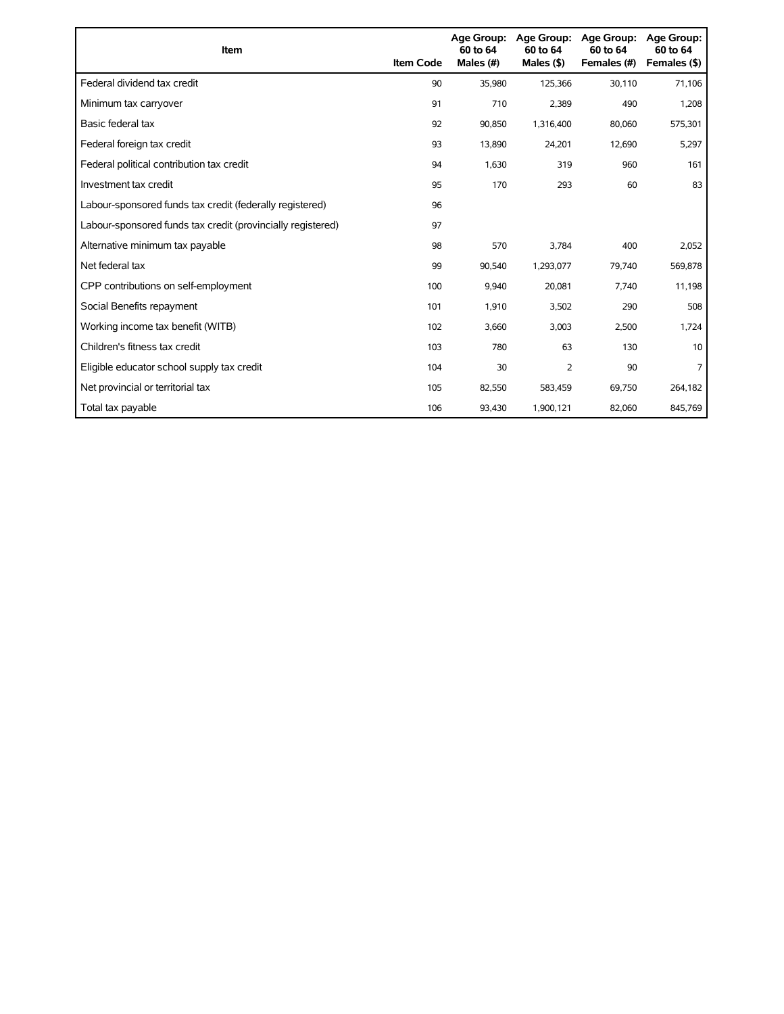| <b>Item</b>                                                 | <b>Item Code</b> | <b>Age Group:</b><br>60 to 64<br>Males (#) | Age Group:<br>60 to 64<br>Males $($ \$) | <b>Age Group:</b><br>60 to 64<br>Females (#) | <b>Age Group:</b><br>60 to 64<br>Females (\$) |
|-------------------------------------------------------------|------------------|--------------------------------------------|-----------------------------------------|----------------------------------------------|-----------------------------------------------|
| Federal dividend tax credit                                 | 90               | 35,980                                     | 125,366                                 | 30,110                                       | 71,106                                        |
| Minimum tax carryover                                       | 91               | 710                                        | 2,389                                   | 490                                          | 1,208                                         |
| Basic federal tax                                           | 92               | 90.850                                     | 1,316,400                               | 80,060                                       | 575,301                                       |
| Federal foreign tax credit                                  | 93               | 13,890                                     | 24,201                                  | 12,690                                       | 5,297                                         |
| Federal political contribution tax credit                   | 94               | 1,630                                      | 319                                     | 960                                          | 161                                           |
| Investment tax credit                                       | 95               | 170                                        | 293                                     | 60                                           | 83                                            |
| Labour-sponsored funds tax credit (federally registered)    | 96               |                                            |                                         |                                              |                                               |
| Labour-sponsored funds tax credit (provincially registered) | 97               |                                            |                                         |                                              |                                               |
| Alternative minimum tax payable                             | 98               | 570                                        | 3,784                                   | 400                                          | 2,052                                         |
| Net federal tax                                             | 99               | 90,540                                     | 1,293,077                               | 79,740                                       | 569,878                                       |
| CPP contributions on self-employment                        | 100              | 9,940                                      | 20,081                                  | 7,740                                        | 11,198                                        |
| Social Benefits repayment                                   | 101              | 1,910                                      | 3,502                                   | 290                                          | 508                                           |
| Working income tax benefit (WITB)                           | 102              | 3,660                                      | 3,003                                   | 2,500                                        | 1,724                                         |
| Children's fitness tax credit                               | 103              | 780                                        | 63                                      | 130                                          | 10                                            |
| Eligible educator school supply tax credit                  | 104              | 30                                         | 2                                       | 90                                           |                                               |
| Net provincial or territorial tax                           | 105              | 82,550                                     | 583,459                                 | 69,750                                       | 264,182                                       |
| Total tax payable                                           | 106              | 93,430                                     | 1,900,121                               | 82,060                                       | 845,769                                       |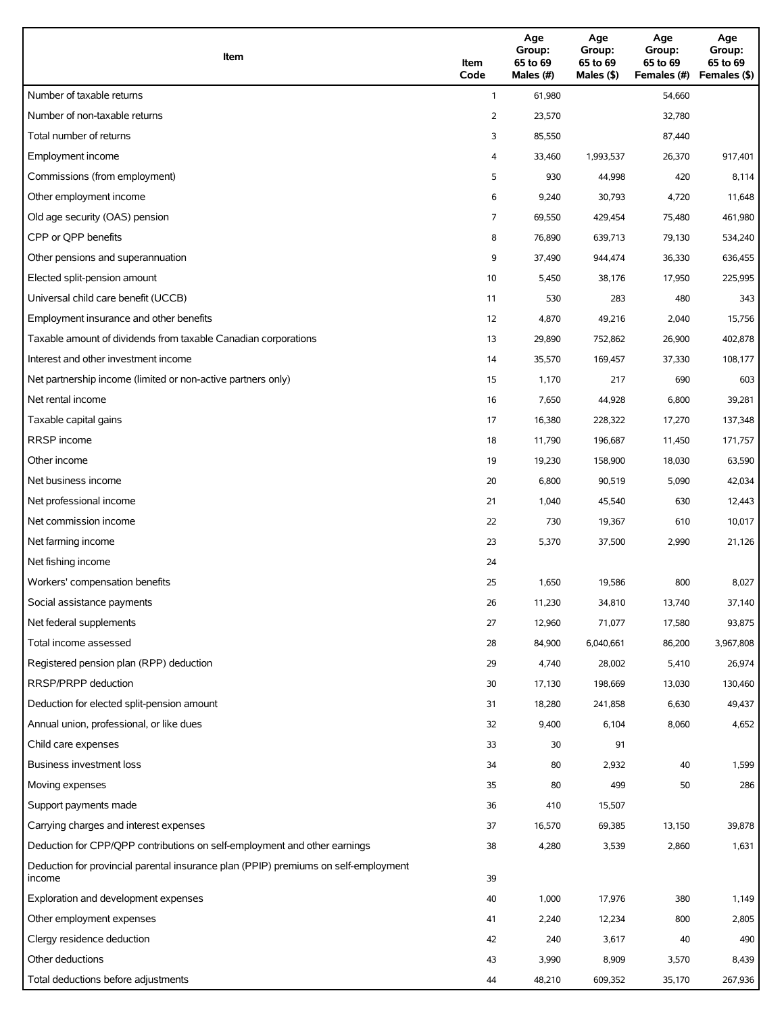| Item                                                                                          | Item<br>Code   | Age<br>Group:<br>65 to 69<br>Males (#) | Age<br>Group:<br>65 to 69<br>Males (\$) | Age<br>Group:<br>65 to 69<br>Females (#) | Age<br>Group:<br>65 to 69<br>Females (\$) |
|-----------------------------------------------------------------------------------------------|----------------|----------------------------------------|-----------------------------------------|------------------------------------------|-------------------------------------------|
| Number of taxable returns                                                                     | $\mathbf{1}$   | 61,980                                 |                                         | 54,660                                   |                                           |
| Number of non-taxable returns                                                                 | $\overline{2}$ | 23,570                                 |                                         | 32,780                                   |                                           |
| Total number of returns                                                                       | 3              | 85,550                                 |                                         | 87,440                                   |                                           |
| Employment income                                                                             | 4              | 33,460                                 | 1,993,537                               | 26,370                                   | 917,401                                   |
| Commissions (from employment)                                                                 | 5              | 930                                    | 44,998                                  | 420                                      | 8,114                                     |
| Other employment income                                                                       | 6              | 9,240                                  | 30,793                                  | 4,720                                    | 11,648                                    |
| Old age security (OAS) pension                                                                | 7              | 69,550                                 | 429,454                                 | 75,480                                   | 461,980                                   |
| CPP or QPP benefits                                                                           | 8              | 76,890                                 | 639,713                                 | 79,130                                   | 534,240                                   |
| Other pensions and superannuation                                                             | 9              | 37,490                                 | 944,474                                 | 36,330                                   | 636,455                                   |
| Elected split-pension amount                                                                  | 10             | 5,450                                  | 38,176                                  | 17,950                                   | 225,995                                   |
| Universal child care benefit (UCCB)                                                           | 11             | 530                                    | 283                                     | 480                                      | 343                                       |
| Employment insurance and other benefits                                                       | 12             | 4,870                                  | 49,216                                  | 2,040                                    | 15,756                                    |
| Taxable amount of dividends from taxable Canadian corporations                                | 13             | 29,890                                 | 752,862                                 | 26,900                                   | 402,878                                   |
| Interest and other investment income                                                          | 14             | 35,570                                 | 169,457                                 | 37,330                                   | 108,177                                   |
| Net partnership income (limited or non-active partners only)                                  | 15             | 1,170                                  | 217                                     | 690                                      | 603                                       |
| Net rental income                                                                             | 16             | 7,650                                  | 44,928                                  | 6,800                                    | 39,281                                    |
| Taxable capital gains                                                                         | 17             | 16,380                                 | 228,322                                 | 17,270                                   | 137,348                                   |
| <b>RRSP</b> income                                                                            | 18             | 11,790                                 | 196,687                                 | 11,450                                   | 171,757                                   |
| Other income                                                                                  | 19             | 19,230                                 | 158,900                                 | 18,030                                   | 63,590                                    |
| Net business income                                                                           | 20             | 6,800                                  | 90,519                                  | 5,090                                    | 42,034                                    |
| Net professional income                                                                       | 21             | 1,040                                  | 45,540                                  | 630                                      | 12,443                                    |
| Net commission income                                                                         | 22             | 730                                    | 19,367                                  | 610                                      | 10,017                                    |
| Net farming income                                                                            | 23             | 5,370                                  | 37,500                                  | 2,990                                    | 21,126                                    |
| Net fishing income                                                                            | 24             |                                        |                                         |                                          |                                           |
| Workers' compensation benefits                                                                | 25             | 1,650                                  | 19,586                                  | 800                                      | 8,027                                     |
| Social assistance payments                                                                    | 26             | 11,230                                 | 34,810                                  | 13,740                                   | 37,140                                    |
| Net federal supplements                                                                       | 27             | 12,960                                 | 71,077                                  | 17,580                                   | 93,875                                    |
| Total income assessed                                                                         | 28             | 84,900                                 | 6,040,661                               | 86,200                                   | 3,967,808                                 |
| Registered pension plan (RPP) deduction                                                       | 29             | 4,740                                  | 28,002                                  | 5,410                                    | 26,974                                    |
| RRSP/PRPP deduction                                                                           | 30             | 17,130                                 | 198,669                                 | 13,030                                   | 130,460                                   |
| Deduction for elected split-pension amount                                                    | 31             | 18,280                                 | 241,858                                 | 6,630                                    | 49,437                                    |
| Annual union, professional, or like dues                                                      | 32             | 9,400                                  | 6,104                                   | 8,060                                    | 4,652                                     |
| Child care expenses                                                                           | 33             | 30                                     | 91                                      |                                          |                                           |
| Business investment loss                                                                      | 34             | 80                                     | 2,932                                   | 40                                       | 1,599                                     |
| Moving expenses                                                                               | 35             | 80                                     | 499                                     | 50                                       | 286                                       |
| Support payments made                                                                         | 36             | 410                                    | 15,507                                  |                                          |                                           |
| Carrying charges and interest expenses                                                        | 37             | 16,570                                 | 69,385                                  | 13,150                                   | 39,878                                    |
| Deduction for CPP/QPP contributions on self-employment and other earnings                     | 38             | 4,280                                  | 3,539                                   | 2,860                                    | 1,631                                     |
| Deduction for provincial parental insurance plan (PPIP) premiums on self-employment<br>income | 39             |                                        |                                         |                                          |                                           |
| Exploration and development expenses                                                          | 40             | 1,000                                  | 17,976                                  | 380                                      | 1,149                                     |
| Other employment expenses                                                                     | 41             | 2,240                                  | 12,234                                  | 800                                      | 2,805                                     |
| Clergy residence deduction                                                                    | 42             | 240                                    | 3,617                                   | 40                                       | 490                                       |
| Other deductions                                                                              | 43             | 3,990                                  | 8,909                                   | 3,570                                    | 8,439                                     |
| Total deductions before adjustments                                                           | 44             | 48,210                                 | 609,352                                 | 35,170                                   | 267,936                                   |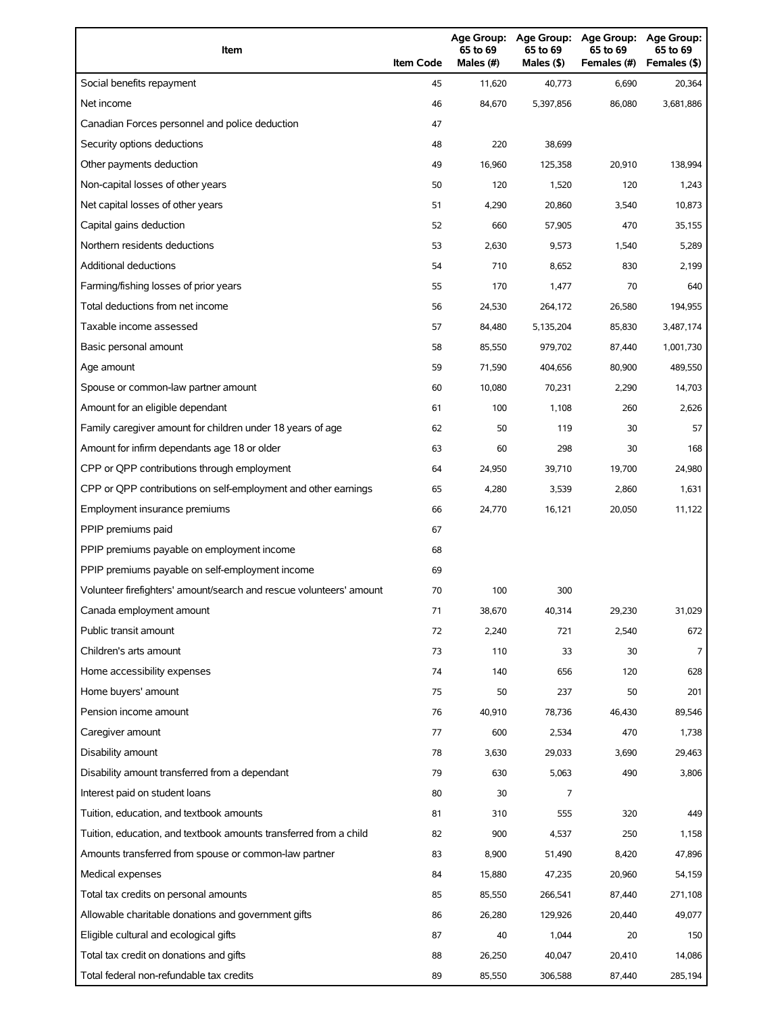| Item                                                                                | <b>Item Code</b> | 65 to 69<br>Males (#) | 65 to 69<br>Males (\$) | Age Group: Age Group: Age Group:<br>65 to 69<br>Females (#) | Age Group:<br>65 to 69<br>Females (\$) |
|-------------------------------------------------------------------------------------|------------------|-----------------------|------------------------|-------------------------------------------------------------|----------------------------------------|
| Social benefits repayment                                                           | 45               | 11,620                | 40,773                 | 6,690                                                       | 20,364                                 |
| Net income                                                                          | 46               | 84,670                | 5,397,856              | 86,080                                                      | 3,681,886                              |
| Canadian Forces personnel and police deduction                                      | 47               |                       |                        |                                                             |                                        |
| Security options deductions                                                         | 48               | 220                   | 38,699                 |                                                             |                                        |
| Other payments deduction                                                            | 49               | 16,960                | 125,358                | 20,910                                                      | 138,994                                |
| Non-capital losses of other years                                                   | 50               | 120                   | 1,520                  | 120                                                         | 1,243                                  |
| Net capital losses of other years                                                   | 51               | 4,290                 | 20,860                 | 3,540                                                       | 10,873                                 |
| Capital gains deduction                                                             | 52               | 660                   | 57,905                 | 470                                                         | 35,155                                 |
| Northern residents deductions                                                       | 53               | 2,630                 | 9,573                  | 1,540                                                       | 5,289                                  |
| Additional deductions                                                               | 54               | 710                   | 8,652                  | 830                                                         | 2,199                                  |
| Farming/fishing losses of prior years                                               | 55               | 170                   | 1,477                  | 70                                                          | 640                                    |
| Total deductions from net income                                                    | 56               | 24,530                | 264,172                | 26,580                                                      | 194,955                                |
| Taxable income assessed                                                             | 57               | 84,480                | 5,135,204              | 85,830                                                      | 3,487,174                              |
| Basic personal amount                                                               | 58               | 85,550                | 979,702                | 87,440                                                      | 1,001,730                              |
| Age amount                                                                          | 59               | 71,590                | 404,656                | 80,900                                                      | 489,550                                |
| Spouse or common-law partner amount                                                 | 60               | 10,080                | 70,231                 | 2,290                                                       | 14,703                                 |
| Amount for an eligible dependant                                                    | 61               | 100                   | 1,108                  | 260                                                         | 2,626                                  |
| Family caregiver amount for children under 18 years of age                          | 62               | 50                    | 119                    | 30                                                          | 57                                     |
| Amount for infirm dependants age 18 or older                                        | 63               | 60                    | 298                    | 30                                                          | 168                                    |
| CPP or QPP contributions through employment                                         | 64               | 24,950                | 39,710                 | 19,700                                                      | 24,980                                 |
| CPP or QPP contributions on self-employment and other earnings                      | 65               | 4,280                 | 3,539                  | 2,860                                                       | 1,631                                  |
| Employment insurance premiums                                                       | 66               | 24,770                | 16,121                 | 20,050                                                      | 11,122                                 |
| PPIP premiums paid                                                                  | 67               |                       |                        |                                                             |                                        |
| PPIP premiums payable on employment income                                          | 68               |                       |                        |                                                             |                                        |
| PPIP premiums payable on self-employment income                                     | 69               |                       |                        |                                                             |                                        |
| Volunteer firefighters' amount/search and rescue volunteers' amount                 | 70               | 100                   | 300                    |                                                             |                                        |
| Canada employment amount                                                            | 71               | 38,670                | 40,314                 | 29,230                                                      | 31,029                                 |
| Public transit amount                                                               | 72               | 2,240                 | 721                    | 2,540                                                       | 672                                    |
| Children's arts amount                                                              | 73               | 110                   | 33                     | 30                                                          | 7                                      |
| Home accessibility expenses                                                         | 74               | 140                   | 656                    | 120                                                         | 628                                    |
| Home buyers' amount                                                                 | 75               | 50                    | 237                    | 50                                                          | 201                                    |
| Pension income amount                                                               | 76               | 40,910                | 78,736                 | 46,430                                                      | 89,546                                 |
| Caregiver amount                                                                    | 77               | 600                   | 2,534                  | 470                                                         | 1,738                                  |
| Disability amount                                                                   | 78               | 3,630                 | 29,033                 | 3,690                                                       | 29,463                                 |
| Disability amount transferred from a dependant                                      | 79               | 630                   | 5,063                  | 490                                                         | 3,806                                  |
| Interest paid on student loans                                                      | 80               | 30                    | 7                      |                                                             |                                        |
| Tuition, education, and textbook amounts                                            | 81               | 310                   | 555                    | 320                                                         | 449                                    |
| Tuition, education, and textbook amounts transferred from a child                   | 82               | 900                   | 4,537                  | 250                                                         | 1,158                                  |
| Amounts transferred from spouse or common-law partner                               | 83               | 8,900                 | 51,490                 | 8,420                                                       | 47,896                                 |
| Medical expenses                                                                    | 84               | 15,880                | 47,235                 | 20,960                                                      | 54,159                                 |
| Total tax credits on personal amounts                                               | 85               | 85,550                | 266,541                | 87,440                                                      | 271,108                                |
| Allowable charitable donations and government gifts                                 | 86               | 26,280                | 129,926                | 20,440                                                      | 49,077                                 |
| Eligible cultural and ecological gifts                                              |                  | 40                    | 1,044                  | 20                                                          | 150                                    |
|                                                                                     | 87               |                       |                        |                                                             |                                        |
| Total tax credit on donations and gifts<br>Total federal non-refundable tax credits | 88<br>89         | 26,250<br>85,550      | 40,047<br>306,588      | 20,410<br>87,440                                            | 14,086<br>285,194                      |
|                                                                                     |                  |                       |                        |                                                             |                                        |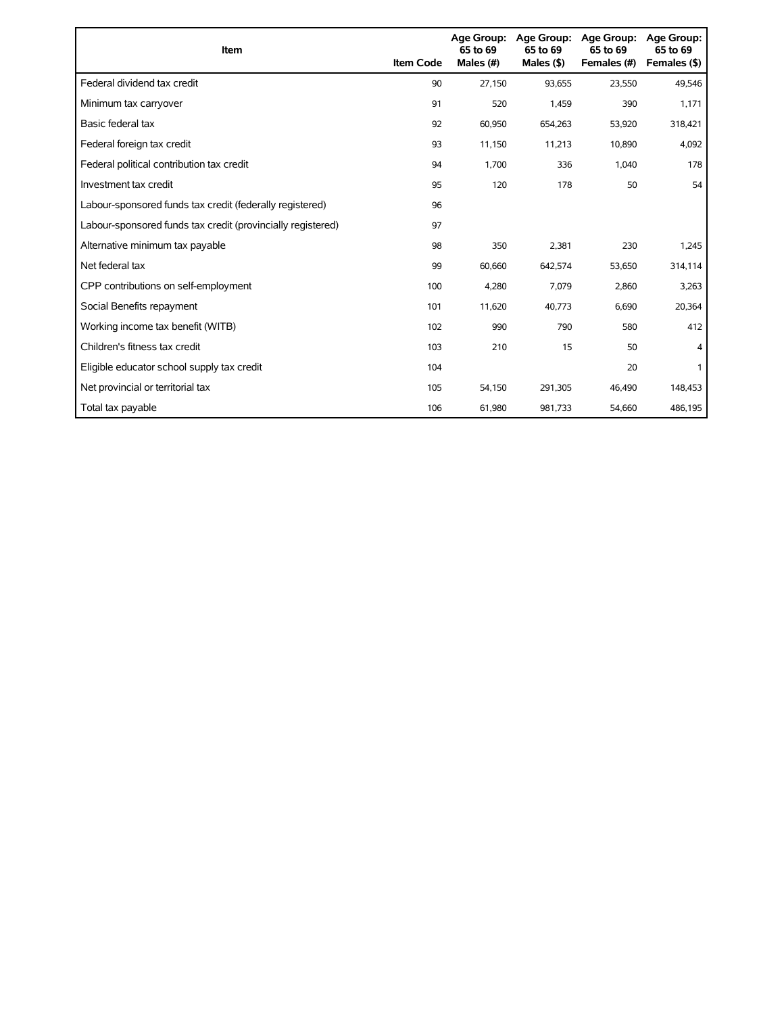| <b>Item</b>                                                 | <b>Item Code</b> | <b>Age Group:</b><br>65 to 69<br>Males (#) | <b>Age Group:</b><br>65 to 69<br>Males $($ \$) | <b>Age Group:</b><br>65 to 69<br>Females (#) | <b>Age Group:</b><br>65 to 69<br>Females (\$) |
|-------------------------------------------------------------|------------------|--------------------------------------------|------------------------------------------------|----------------------------------------------|-----------------------------------------------|
| Federal dividend tax credit                                 | 90               | 27,150                                     | 93,655                                         | 23,550                                       | 49,546                                        |
| Minimum tax carryover                                       | 91               | 520                                        | 1,459                                          | 390                                          | 1,171                                         |
| Basic federal tax                                           | 92               | 60,950                                     | 654,263                                        | 53,920                                       | 318,421                                       |
| Federal foreign tax credit                                  | 93               | 11,150                                     | 11,213                                         | 10,890                                       | 4,092                                         |
| Federal political contribution tax credit                   | 94               | 1,700                                      | 336                                            | 1,040                                        | 178                                           |
| Investment tax credit                                       | 95               | 120                                        | 178                                            | 50                                           | 54                                            |
| Labour-sponsored funds tax credit (federally registered)    | 96               |                                            |                                                |                                              |                                               |
| Labour-sponsored funds tax credit (provincially registered) | 97               |                                            |                                                |                                              |                                               |
| Alternative minimum tax payable                             | 98               | 350                                        | 2,381                                          | 230                                          | 1,245                                         |
| Net federal tax                                             | 99               | 60,660                                     | 642,574                                        | 53,650                                       | 314,114                                       |
| CPP contributions on self-employment                        | 100              | 4,280                                      | 7,079                                          | 2,860                                        | 3,263                                         |
| Social Benefits repayment                                   | 101              | 11,620                                     | 40,773                                         | 6,690                                        | 20,364                                        |
| Working income tax benefit (WITB)                           | 102              | 990                                        | 790                                            | 580                                          | 412                                           |
| Children's fitness tax credit                               | 103              | 210                                        | 15                                             | 50                                           |                                               |
| Eligible educator school supply tax credit                  | 104              |                                            |                                                | 20                                           |                                               |
| Net provincial or territorial tax                           | 105              | 54,150                                     | 291,305                                        | 46,490                                       | 148,453                                       |
| Total tax payable                                           | 106              | 61,980                                     | 981,733                                        | 54,660                                       | 486,195                                       |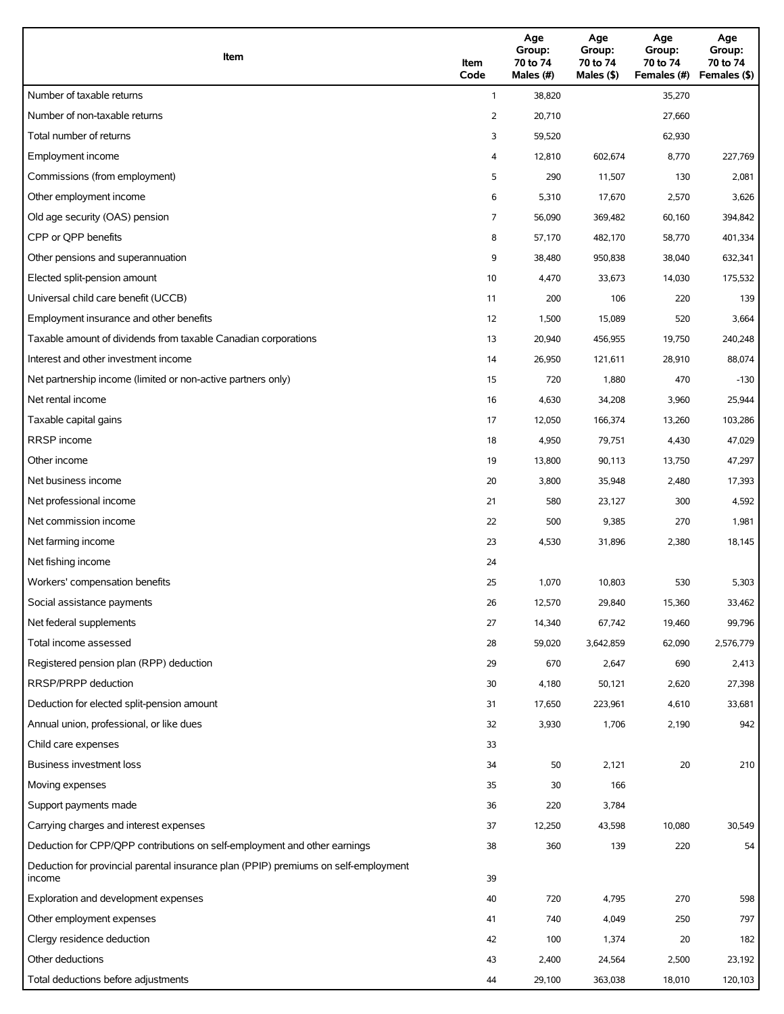| Item                                                                                          | Item<br>Code   | Age<br>Group:<br>70 to 74<br>Males (#) | Age<br>Group:<br>70 to 74<br>Males (\$) | Age<br>Group:<br>70 to 74<br>Females (#) | Age<br>Group:<br>70 to 74<br>Females (\$) |
|-----------------------------------------------------------------------------------------------|----------------|----------------------------------------|-----------------------------------------|------------------------------------------|-------------------------------------------|
| Number of taxable returns                                                                     | $\mathbf{1}$   | 38,820                                 |                                         | 35,270                                   |                                           |
| Number of non-taxable returns                                                                 | $\overline{2}$ | 20,710                                 |                                         | 27,660                                   |                                           |
| Total number of returns                                                                       | 3              | 59,520                                 |                                         | 62,930                                   |                                           |
| Employment income                                                                             | 4              | 12,810                                 | 602,674                                 | 8,770                                    | 227,769                                   |
| Commissions (from employment)                                                                 | 5              | 290                                    | 11,507                                  | 130                                      | 2,081                                     |
| Other employment income                                                                       | 6              | 5,310                                  | 17,670                                  | 2,570                                    | 3,626                                     |
| Old age security (OAS) pension                                                                | 7              | 56,090                                 | 369,482                                 | 60,160                                   | 394,842                                   |
| CPP or QPP benefits                                                                           | 8              | 57,170                                 | 482,170                                 | 58,770                                   | 401,334                                   |
| Other pensions and superannuation                                                             | 9              | 38,480                                 | 950,838                                 | 38,040                                   | 632,341                                   |
| Elected split-pension amount                                                                  | 10             | 4,470                                  | 33,673                                  | 14,030                                   | 175,532                                   |
| Universal child care benefit (UCCB)                                                           | 11             | 200                                    | 106                                     | 220                                      | 139                                       |
| Employment insurance and other benefits                                                       | 12             | 1,500                                  | 15,089                                  | 520                                      | 3,664                                     |
| Taxable amount of dividends from taxable Canadian corporations                                | 13             | 20,940                                 | 456,955                                 | 19,750                                   | 240,248                                   |
| Interest and other investment income                                                          | 14             | 26,950                                 | 121,611                                 | 28,910                                   | 88,074                                    |
| Net partnership income (limited or non-active partners only)                                  | 15             | 720                                    | 1,880                                   | 470                                      | $-130$                                    |
| Net rental income                                                                             | 16             | 4,630                                  | 34,208                                  | 3,960                                    | 25,944                                    |
| Taxable capital gains                                                                         | 17             | 12,050                                 | 166,374                                 | 13,260                                   | 103,286                                   |
| <b>RRSP</b> income                                                                            | 18             | 4,950                                  | 79,751                                  | 4,430                                    | 47,029                                    |
| Other income                                                                                  | 19             | 13,800                                 | 90,113                                  | 13,750                                   | 47,297                                    |
| Net business income                                                                           | 20             | 3,800                                  | 35,948                                  | 2,480                                    | 17,393                                    |
| Net professional income                                                                       | 21             | 580                                    | 23,127                                  | 300                                      | 4,592                                     |
| Net commission income                                                                         | 22             | 500                                    | 9,385                                   | 270                                      | 1,981                                     |
| Net farming income                                                                            | 23             | 4,530                                  | 31,896                                  | 2,380                                    | 18,145                                    |
| Net fishing income                                                                            | 24             |                                        |                                         |                                          |                                           |
| Workers' compensation benefits                                                                | 25             | 1,070                                  | 10,803                                  | 530                                      | 5,303                                     |
| Social assistance payments                                                                    | 26             | 12,570                                 | 29,840                                  | 15,360                                   | 33,462                                    |
| Net federal supplements                                                                       | 27             | 14,340                                 | 67,742                                  | 19,460                                   | 99,796                                    |
| Total income assessed                                                                         | 28             | 59,020                                 | 3,642,859                               | 62,090                                   | 2,576,779                                 |
| Registered pension plan (RPP) deduction                                                       | 29             | 670                                    | 2,647                                   | 690                                      | 2,413                                     |
| RRSP/PRPP deduction                                                                           | 30             | 4,180                                  | 50,121                                  | 2,620                                    | 27,398                                    |
| Deduction for elected split-pension amount                                                    | 31             | 17,650                                 | 223,961                                 | 4,610                                    | 33,681                                    |
| Annual union, professional, or like dues                                                      | 32             | 3,930                                  | 1,706                                   | 2,190                                    | 942                                       |
| Child care expenses                                                                           | 33             |                                        |                                         |                                          |                                           |
| Business investment loss                                                                      | 34             | 50                                     | 2,121                                   | 20                                       | 210                                       |
| Moving expenses                                                                               | 35             | 30                                     | 166                                     |                                          |                                           |
| Support payments made                                                                         | 36             | 220                                    | 3,784                                   |                                          |                                           |
| Carrying charges and interest expenses                                                        | 37             | 12,250                                 | 43,598                                  | 10,080                                   | 30,549                                    |
| Deduction for CPP/QPP contributions on self-employment and other earnings                     | 38             | 360                                    | 139                                     | 220                                      | 54                                        |
| Deduction for provincial parental insurance plan (PPIP) premiums on self-employment<br>income | 39             |                                        |                                         |                                          |                                           |
| Exploration and development expenses                                                          | 40             | 720                                    | 4,795                                   | 270                                      | 598                                       |
| Other employment expenses                                                                     | 41             | 740                                    | 4,049                                   | 250                                      | 797                                       |
| Clergy residence deduction                                                                    | 42             | 100                                    | 1,374                                   | 20                                       | 182                                       |
| Other deductions                                                                              | 43             | 2,400                                  | 24,564                                  | 2,500                                    | 23,192                                    |
| Total deductions before adjustments                                                           | 44             | 29,100                                 | 363,038                                 | 18,010                                   | 120,103                                   |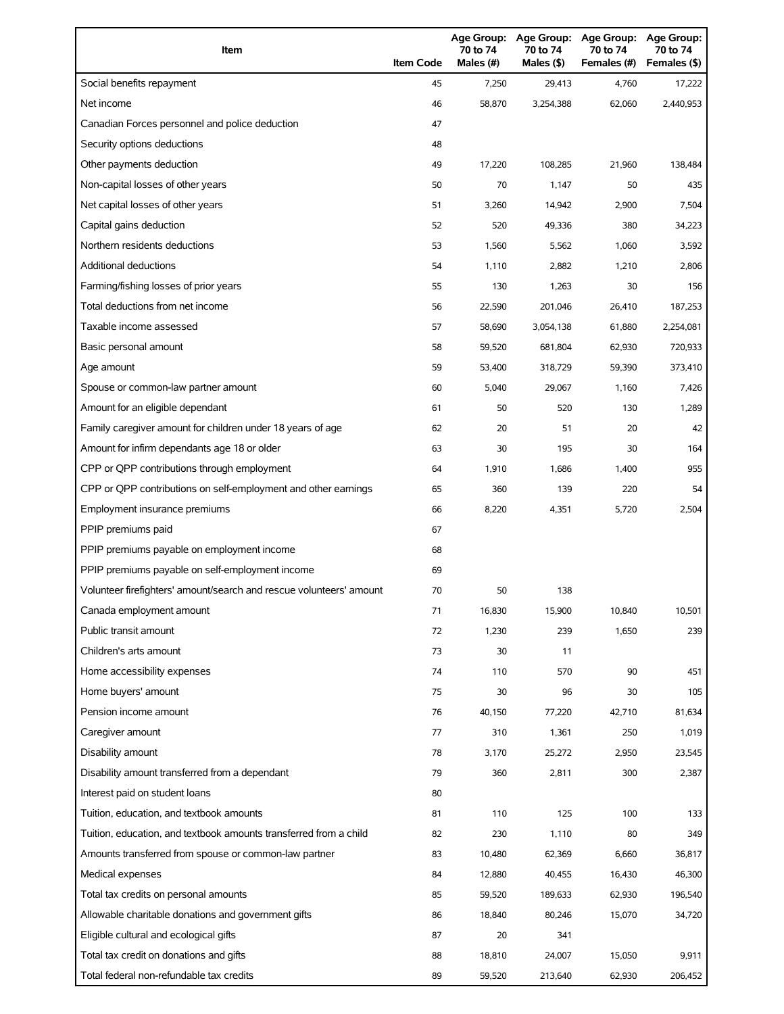| Item                                                                | <b>Item Code</b> | Age Group:<br>70 to 74<br>Males (#) | <b>Age Group:</b><br>70 to 74<br>Males (\$) | <b>Age Group:</b><br>70 to 74<br>Females (#) | <b>Age Group:</b><br>70 to 74<br>Females (\$) |
|---------------------------------------------------------------------|------------------|-------------------------------------|---------------------------------------------|----------------------------------------------|-----------------------------------------------|
| Social benefits repayment                                           | 45               | 7,250                               | 29,413                                      | 4,760                                        | 17,222                                        |
| Net income                                                          | 46               | 58,870                              | 3,254,388                                   | 62,060                                       | 2,440,953                                     |
| Canadian Forces personnel and police deduction                      | 47               |                                     |                                             |                                              |                                               |
| Security options deductions                                         | 48               |                                     |                                             |                                              |                                               |
| Other payments deduction                                            | 49               | 17,220                              | 108,285                                     | 21,960                                       | 138,484                                       |
| Non-capital losses of other years                                   | 50               | 70                                  | 1,147                                       | 50                                           | 435                                           |
| Net capital losses of other years                                   | 51               | 3,260                               | 14,942                                      | 2,900                                        | 7,504                                         |
| Capital gains deduction                                             | 52               | 520                                 | 49,336                                      | 380                                          | 34,223                                        |
| Northern residents deductions                                       | 53               | 1,560                               | 5,562                                       | 1,060                                        | 3,592                                         |
| Additional deductions                                               | 54               | 1,110                               | 2,882                                       | 1,210                                        | 2,806                                         |
| Farming/fishing losses of prior years                               | 55               | 130                                 | 1,263                                       | 30                                           | 156                                           |
| Total deductions from net income                                    | 56               | 22,590                              | 201,046                                     | 26,410                                       | 187,253                                       |
| Taxable income assessed                                             | 57               | 58,690                              | 3,054,138                                   | 61,880                                       | 2,254,081                                     |
| Basic personal amount                                               | 58               | 59,520                              | 681,804                                     | 62,930                                       | 720,933                                       |
| Age amount                                                          | 59               | 53,400                              | 318,729                                     | 59,390                                       | 373,410                                       |
| Spouse or common-law partner amount                                 | 60               | 5,040                               | 29,067                                      | 1,160                                        | 7,426                                         |
| Amount for an eligible dependant                                    | 61               | 50                                  | 520                                         | 130                                          | 1,289                                         |
| Family caregiver amount for children under 18 years of age          | 62               | 20                                  | 51                                          | 20                                           | 42                                            |
| Amount for infirm dependants age 18 or older                        | 63               | 30                                  | 195                                         | 30                                           | 164                                           |
| CPP or QPP contributions through employment                         | 64               | 1,910                               | 1,686                                       | 1,400                                        | 955                                           |
| CPP or QPP contributions on self-employment and other earnings      | 65               | 360                                 | 139                                         | 220                                          | 54                                            |
| Employment insurance premiums                                       | 66               | 8,220                               | 4,351                                       | 5,720                                        | 2,504                                         |
| PPIP premiums paid                                                  | 67               |                                     |                                             |                                              |                                               |
| PPIP premiums payable on employment income                          | 68               |                                     |                                             |                                              |                                               |
| PPIP premiums payable on self-employment income                     | 69               |                                     |                                             |                                              |                                               |
| Volunteer firefighters' amount/search and rescue volunteers' amount | 70               | 50                                  | 138                                         |                                              |                                               |
| Canada employment amount                                            | 71               | 16,830                              | 15,900                                      | 10,840                                       | 10,501                                        |
| Public transit amount                                               | 72               | 1,230                               | 239                                         | 1,650                                        | 239                                           |
| Children's arts amount                                              | 73               | 30                                  | 11                                          |                                              |                                               |
| Home accessibility expenses                                         | 74               | 110                                 | 570                                         | 90                                           | 451                                           |
| Home buyers' amount                                                 | 75               | 30                                  | 96                                          | 30                                           | 105                                           |
| Pension income amount                                               | 76               | 40,150                              | 77,220                                      | 42,710                                       | 81,634                                        |
| Caregiver amount                                                    | 77               | 310                                 | 1,361                                       | 250                                          | 1,019                                         |
| Disability amount                                                   | 78               | 3,170                               | 25,272                                      | 2,950                                        | 23,545                                        |
| Disability amount transferred from a dependant                      | 79               | 360                                 | 2,811                                       | 300                                          | 2,387                                         |
| Interest paid on student loans                                      | 80               |                                     |                                             |                                              |                                               |
| Tuition, education, and textbook amounts                            | 81               | 110                                 | 125                                         | 100                                          | 133                                           |
| Tuition, education, and textbook amounts transferred from a child   | 82               | 230                                 | 1,110                                       | 80                                           | 349                                           |
| Amounts transferred from spouse or common-law partner               | 83               | 10,480                              | 62,369                                      | 6,660                                        | 36,817                                        |
| Medical expenses                                                    | 84               | 12,880                              | 40,455                                      | 16,430                                       | 46,300                                        |
| Total tax credits on personal amounts                               | 85               | 59,520                              | 189,633                                     | 62,930                                       | 196,540                                       |
| Allowable charitable donations and government gifts                 | 86               | 18,840                              | 80,246                                      | 15,070                                       | 34,720                                        |
| Eligible cultural and ecological gifts                              | 87               | 20                                  | 341                                         |                                              |                                               |
| Total tax credit on donations and gifts                             | 88               | 18,810                              | 24,007                                      | 15,050                                       | 9,911                                         |
| Total federal non-refundable tax credits                            | 89               | 59,520                              | 213,640                                     | 62,930                                       | 206,452                                       |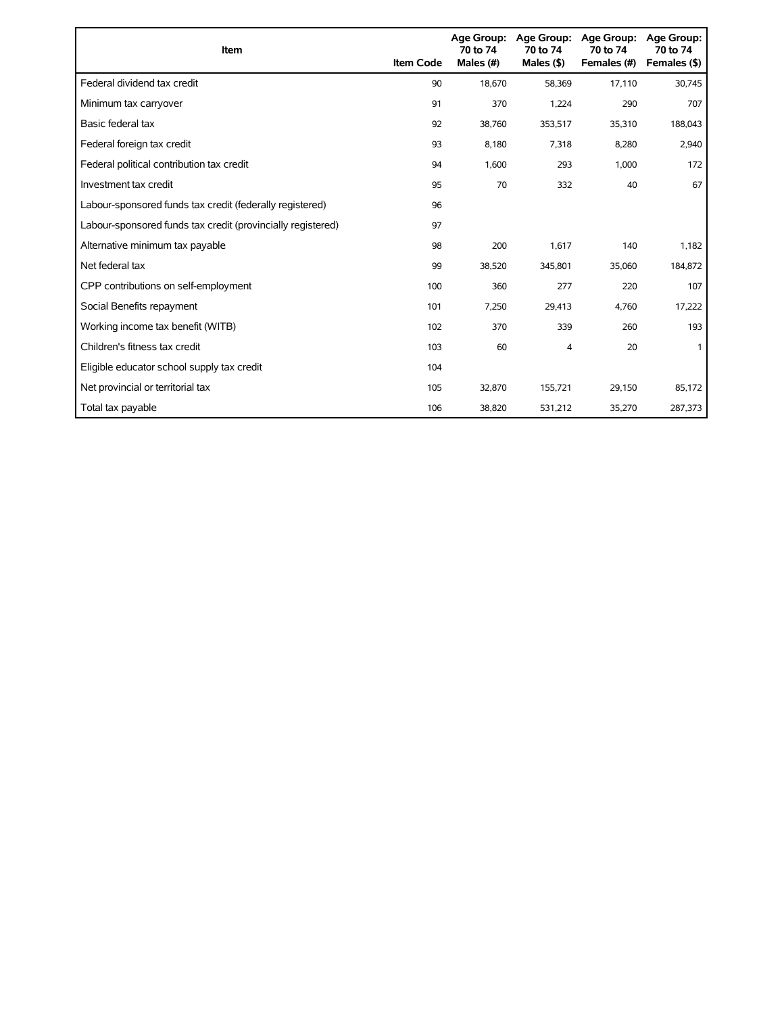| <b>Item</b>                                                 | <b>Item Code</b> | <b>Age Group:</b><br>70 to 74<br>Males (#) | <b>Age Group:</b><br>70 to 74<br>Males $($ \$) | Age Group:<br>70 to 74<br>Females (#) | <b>Age Group:</b><br>70 to 74<br>Females (\$) |
|-------------------------------------------------------------|------------------|--------------------------------------------|------------------------------------------------|---------------------------------------|-----------------------------------------------|
| Federal dividend tax credit                                 | 90               | 18.670                                     | 58,369                                         | 17,110                                | 30,745                                        |
| Minimum tax carryover                                       | 91               | 370                                        | 1.224                                          | 290                                   | 707                                           |
| Basic federal tax                                           | 92               | 38,760                                     | 353,517                                        | 35,310                                | 188,043                                       |
| Federal foreign tax credit                                  | 93               | 8,180                                      | 7,318                                          | 8,280                                 | 2,940                                         |
| Federal political contribution tax credit                   | 94               | 1,600                                      | 293                                            | 1,000                                 | 172                                           |
| Investment tax credit                                       | 95               | 70                                         | 332                                            | 40                                    | 67                                            |
| Labour-sponsored funds tax credit (federally registered)    | 96               |                                            |                                                |                                       |                                               |
| Labour-sponsored funds tax credit (provincially registered) | 97               |                                            |                                                |                                       |                                               |
| Alternative minimum tax payable                             | 98               | 200                                        | 1,617                                          | 140                                   | 1,182                                         |
| Net federal tax                                             | 99               | 38,520                                     | 345,801                                        | 35,060                                | 184,872                                       |
| CPP contributions on self-employment                        | 100              | 360                                        | 277                                            | 220                                   | 107                                           |
| Social Benefits repayment                                   | 101              | 7,250                                      | 29,413                                         | 4,760                                 | 17,222                                        |
| Working income tax benefit (WITB)                           | 102              | 370                                        | 339                                            | 260                                   | 193                                           |
| Children's fitness tax credit                               | 103              | 60                                         | 4                                              | 20                                    |                                               |
| Eligible educator school supply tax credit                  | 104              |                                            |                                                |                                       |                                               |
| Net provincial or territorial tax                           | 105              | 32,870                                     | 155,721                                        | 29,150                                | 85,172                                        |
| Total tax payable                                           | 106              | 38,820                                     | 531,212                                        | 35,270                                | 287,373                                       |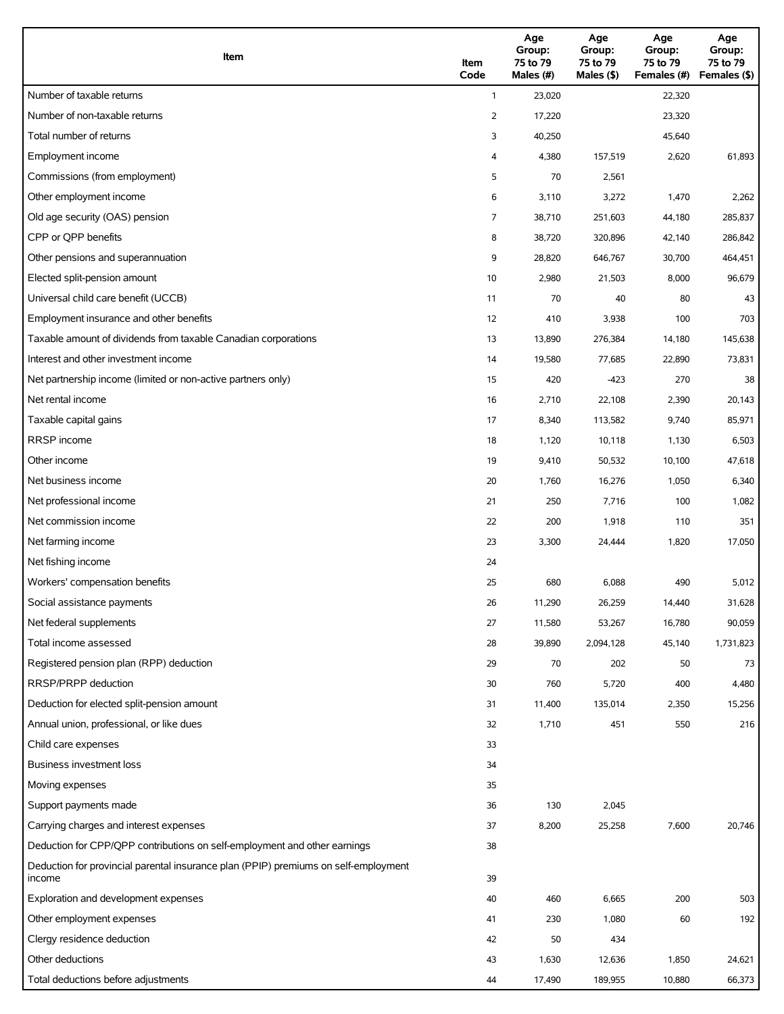| Item                                                                                          | Item<br>Code   | Age<br>Group:<br>75 to 79<br>Males (#) | Age<br>Group:<br>75 to 79<br>Males (\$) | Age<br>Group:<br>75 to 79<br>Females (#) | Age<br>Group:<br>75 to 79<br>Females (\$) |
|-----------------------------------------------------------------------------------------------|----------------|----------------------------------------|-----------------------------------------|------------------------------------------|-------------------------------------------|
| Number of taxable returns                                                                     | $\mathbf{1}$   | 23,020                                 |                                         | 22,320                                   |                                           |
| Number of non-taxable returns                                                                 | $\overline{2}$ | 17,220                                 |                                         | 23,320                                   |                                           |
| Total number of returns                                                                       | 3              | 40,250                                 |                                         | 45,640                                   |                                           |
| Employment income                                                                             | 4              | 4,380                                  | 157,519                                 | 2,620                                    | 61,893                                    |
| Commissions (from employment)                                                                 | 5              | 70                                     | 2,561                                   |                                          |                                           |
| Other employment income                                                                       | 6              | 3,110                                  | 3,272                                   | 1,470                                    | 2,262                                     |
| Old age security (OAS) pension                                                                | 7              | 38,710                                 | 251,603                                 | 44,180                                   | 285,837                                   |
| CPP or QPP benefits                                                                           | 8              | 38,720                                 | 320,896                                 | 42,140                                   | 286,842                                   |
| Other pensions and superannuation                                                             | 9              | 28,820                                 | 646,767                                 | 30,700                                   | 464,451                                   |
| Elected split-pension amount                                                                  | 10             | 2,980                                  | 21,503                                  | 8,000                                    | 96,679                                    |
| Universal child care benefit (UCCB)                                                           | 11             | 70                                     | 40                                      | 80                                       | 43                                        |
| Employment insurance and other benefits                                                       | 12             | 410                                    | 3,938                                   | 100                                      | 703                                       |
| Taxable amount of dividends from taxable Canadian corporations                                | 13             | 13,890                                 | 276,384                                 | 14,180                                   | 145,638                                   |
| Interest and other investment income                                                          | 14             | 19,580                                 | 77,685                                  | 22,890                                   | 73,831                                    |
| Net partnership income (limited or non-active partners only)                                  | 15             | 420                                    | $-423$                                  | 270                                      | 38                                        |
| Net rental income                                                                             | 16             | 2,710                                  | 22,108                                  | 2,390                                    | 20,143                                    |
| Taxable capital gains                                                                         | 17             | 8,340                                  | 113,582                                 | 9,740                                    | 85,971                                    |
| <b>RRSP</b> income                                                                            | 18             | 1,120                                  | 10,118                                  | 1,130                                    | 6,503                                     |
| Other income                                                                                  | 19             | 9,410                                  | 50,532                                  | 10,100                                   | 47,618                                    |
| Net business income                                                                           | 20             | 1,760                                  | 16,276                                  | 1,050                                    | 6,340                                     |
| Net professional income                                                                       | 21             | 250                                    | 7,716                                   | 100                                      | 1,082                                     |
| Net commission income                                                                         | 22             | 200                                    | 1,918                                   | 110                                      | 351                                       |
| Net farming income                                                                            | 23             | 3,300                                  | 24,444                                  | 1,820                                    | 17,050                                    |
| Net fishing income                                                                            | 24             |                                        |                                         |                                          |                                           |
| Workers' compensation benefits                                                                | 25             | 680                                    | 6,088                                   | 490                                      | 5,012                                     |
| Social assistance payments                                                                    | 26             | 11,290                                 | 26,259                                  | 14,440                                   | 31,628                                    |
| Net federal supplements                                                                       | 27             | 11,580                                 | 53,267                                  | 16,780                                   | 90,059                                    |
| Total income assessed                                                                         | 28             | 39,890                                 | 2,094,128                               | 45,140                                   | 1,731,823                                 |
| Registered pension plan (RPP) deduction                                                       | 29             | 70                                     | 202                                     | 50                                       | 73                                        |
| RRSP/PRPP deduction                                                                           | 30             | 760                                    | 5,720                                   | 400                                      | 4,480                                     |
| Deduction for elected split-pension amount                                                    | 31             | 11,400                                 | 135,014                                 | 2,350                                    | 15,256                                    |
| Annual union, professional, or like dues                                                      | 32             | 1,710                                  | 451                                     | 550                                      | 216                                       |
| Child care expenses                                                                           | 33             |                                        |                                         |                                          |                                           |
| Business investment loss                                                                      | 34             |                                        |                                         |                                          |                                           |
| Moving expenses                                                                               | 35             |                                        |                                         |                                          |                                           |
| Support payments made                                                                         | 36             | 130                                    | 2,045                                   |                                          |                                           |
| Carrying charges and interest expenses                                                        | 37             | 8,200                                  | 25,258                                  | 7,600                                    | 20,746                                    |
| Deduction for CPP/QPP contributions on self-employment and other earnings                     | 38             |                                        |                                         |                                          |                                           |
| Deduction for provincial parental insurance plan (PPIP) premiums on self-employment<br>income | 39             |                                        |                                         |                                          |                                           |
| Exploration and development expenses                                                          | 40             | 460                                    | 6,665                                   | 200                                      | 503                                       |
| Other employment expenses                                                                     | 41             | 230                                    | 1,080                                   | 60                                       | 192                                       |
| Clergy residence deduction                                                                    | 42             | 50                                     | 434                                     |                                          |                                           |
| Other deductions                                                                              | 43             | 1,630                                  | 12,636                                  | 1,850                                    | 24,621                                    |
| Total deductions before adjustments                                                           | 44             | 17,490                                 | 189,955                                 | 10,880                                   | 66,373                                    |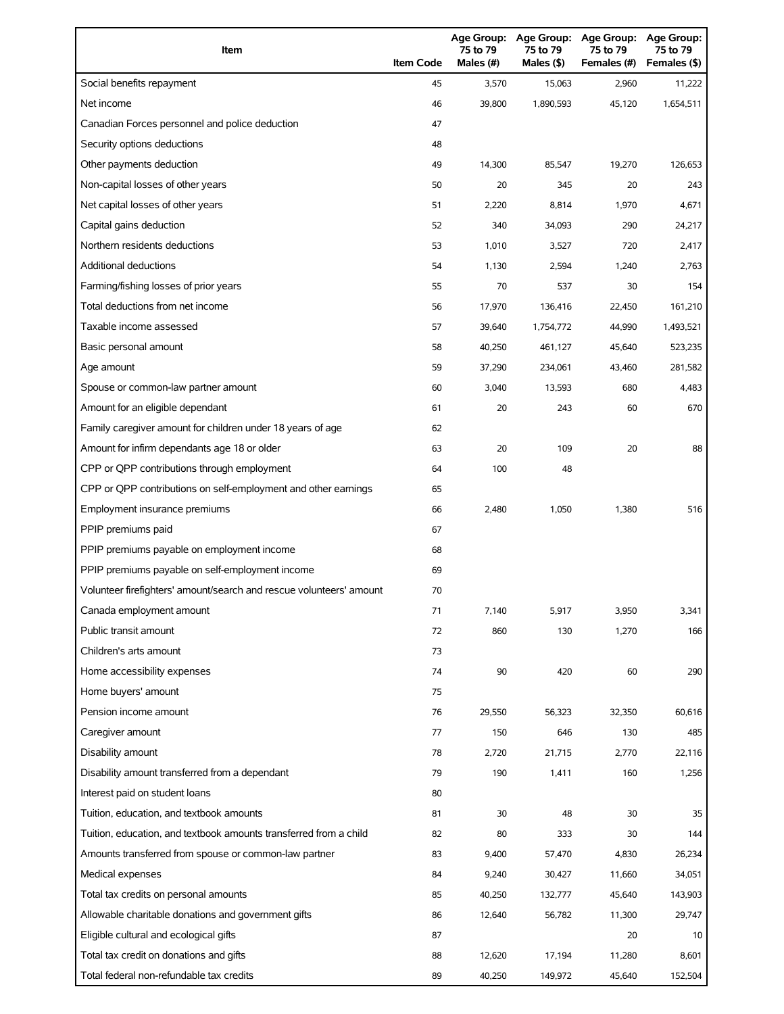| Item                                                                | <b>Item Code</b> | <b>Age Group:</b><br>75 to 79<br>Males $(H)$ | <b>Age Group:</b><br>75 to 79<br>Males (\$) | <b>Age Group:</b><br>75 to 79<br>Females (#) | <b>Age Group:</b><br>75 to 79<br>Females (\$) |
|---------------------------------------------------------------------|------------------|----------------------------------------------|---------------------------------------------|----------------------------------------------|-----------------------------------------------|
| Social benefits repayment                                           | 45               | 3,570                                        | 15,063                                      | 2,960                                        | 11,222                                        |
| Net income                                                          | 46               | 39,800                                       | 1,890,593                                   | 45,120                                       | 1,654,511                                     |
| Canadian Forces personnel and police deduction                      | 47               |                                              |                                             |                                              |                                               |
| Security options deductions                                         | 48               |                                              |                                             |                                              |                                               |
| Other payments deduction                                            | 49               | 14,300                                       | 85,547                                      | 19,270                                       | 126,653                                       |
| Non-capital losses of other years                                   | 50               | 20                                           | 345                                         | 20                                           | 243                                           |
| Net capital losses of other years                                   | 51               | 2,220                                        | 8,814                                       | 1,970                                        | 4,671                                         |
| Capital gains deduction                                             | 52               | 340                                          | 34,093                                      | 290                                          | 24,217                                        |
| Northern residents deductions                                       | 53               | 1,010                                        | 3,527                                       | 720                                          | 2,417                                         |
| Additional deductions                                               | 54               | 1,130                                        | 2,594                                       | 1,240                                        | 2,763                                         |
| Farming/fishing losses of prior years                               | 55               | 70                                           | 537                                         | 30                                           | 154                                           |
| Total deductions from net income                                    | 56               | 17,970                                       | 136,416                                     | 22,450                                       | 161,210                                       |
| Taxable income assessed                                             | 57               | 39,640                                       | 1,754,772                                   | 44,990                                       | 1,493,521                                     |
| Basic personal amount                                               | 58               | 40,250                                       | 461,127                                     | 45,640                                       | 523,235                                       |
| Age amount                                                          | 59               | 37,290                                       | 234,061                                     | 43,460                                       | 281,582                                       |
| Spouse or common-law partner amount                                 | 60               | 3,040                                        | 13,593                                      | 680                                          | 4,483                                         |
| Amount for an eligible dependant                                    | 61               | 20                                           | 243                                         | 60                                           | 670                                           |
| Family caregiver amount for children under 18 years of age          | 62               |                                              |                                             |                                              |                                               |
| Amount for infirm dependants age 18 or older                        | 63               | 20                                           | 109                                         | 20                                           | 88                                            |
| CPP or QPP contributions through employment                         | 64               | 100                                          | 48                                          |                                              |                                               |
| CPP or QPP contributions on self-employment and other earnings      | 65               |                                              |                                             |                                              |                                               |
| Employment insurance premiums                                       | 66               | 2,480                                        | 1,050                                       | 1,380                                        | 516                                           |
| PPIP premiums paid                                                  | 67               |                                              |                                             |                                              |                                               |
| PPIP premiums payable on employment income                          | 68               |                                              |                                             |                                              |                                               |
| PPIP premiums payable on self-employment income                     | 69               |                                              |                                             |                                              |                                               |
| Volunteer firefighters' amount/search and rescue volunteers' amount | 70               |                                              |                                             |                                              |                                               |
| Canada employment amount                                            | 71               | 7,140                                        | 5,917                                       | 3,950                                        | 3,341                                         |
| Public transit amount                                               | 72               | 860                                          | 130                                         | 1,270                                        | 166                                           |
| Children's arts amount                                              | 73               |                                              |                                             |                                              |                                               |
| Home accessibility expenses                                         | 74               | 90                                           | 420                                         | 60                                           | 290                                           |
| Home buyers' amount                                                 | 75               |                                              |                                             |                                              |                                               |
| Pension income amount                                               | 76               | 29,550                                       | 56,323                                      | 32,350                                       | 60,616                                        |
| Caregiver amount                                                    | 77               | 150                                          | 646                                         | 130                                          | 485                                           |
| Disability amount                                                   | 78               | 2,720                                        | 21,715                                      | 2,770                                        | 22,116                                        |
| Disability amount transferred from a dependant                      | 79               | 190                                          | 1,411                                       | 160                                          | 1,256                                         |
| Interest paid on student loans                                      | 80               |                                              |                                             |                                              |                                               |
| Tuition, education, and textbook amounts                            | 81               | 30                                           | 48                                          | 30                                           | 35                                            |
| Tuition, education, and textbook amounts transferred from a child   | 82               | 80                                           | 333                                         | 30                                           | 144                                           |
| Amounts transferred from spouse or common-law partner               | 83               | 9,400                                        | 57,470                                      | 4,830                                        | 26,234                                        |
| Medical expenses                                                    | 84               | 9,240                                        | 30,427                                      | 11,660                                       | 34,051                                        |
| Total tax credits on personal amounts                               | 85               | 40,250                                       | 132,777                                     | 45,640                                       | 143,903                                       |
| Allowable charitable donations and government gifts                 | 86               | 12,640                                       | 56,782                                      | 11,300                                       | 29,747                                        |
| Eligible cultural and ecological gifts                              | 87               |                                              |                                             | 20                                           | 10                                            |
| Total tax credit on donations and gifts                             | 88               | 12,620                                       | 17,194                                      | 11,280                                       | 8,601                                         |
| Total federal non-refundable tax credits                            | 89               | 40,250                                       | 149,972                                     | 45,640                                       | 152,504                                       |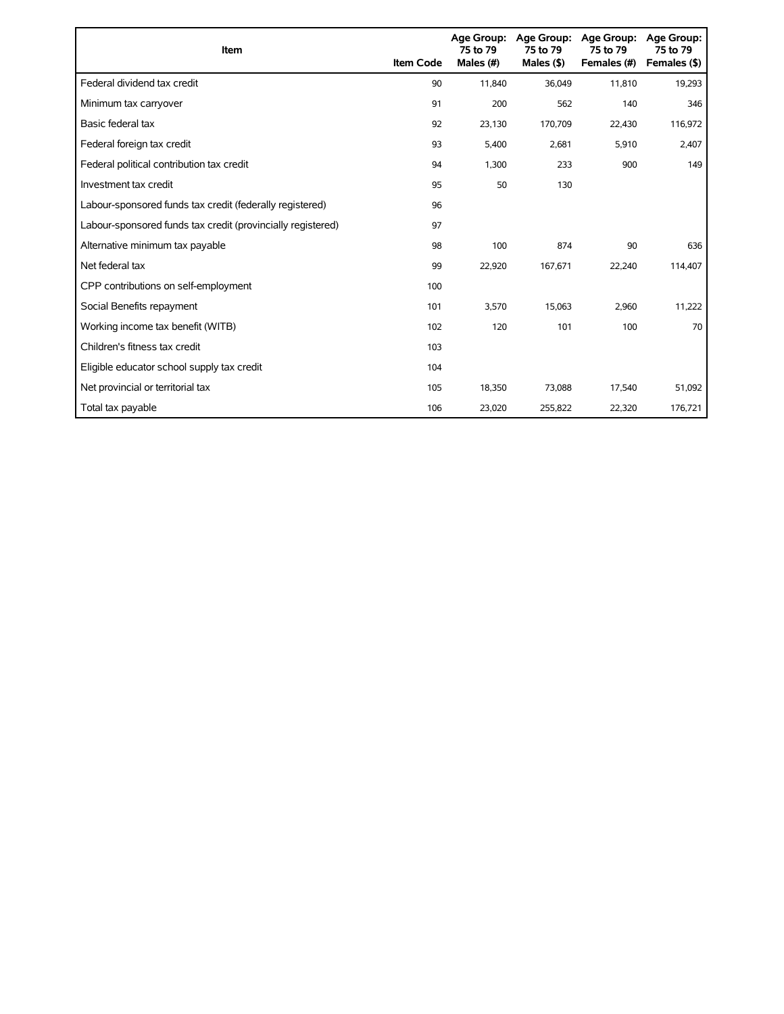| Item                                                        | <b>Item Code</b> | 75 to 79<br>Males (#) | Age Group: Age Group:<br>75 to 79<br>Males $(§)$ | <b>Age Group:</b><br>75 to 79<br>Females (#) | Age Group:<br>75 to 79<br>Females (\$) |
|-------------------------------------------------------------|------------------|-----------------------|--------------------------------------------------|----------------------------------------------|----------------------------------------|
| Federal dividend tax credit                                 | 90               | 11,840                | 36,049                                           | 11,810                                       | 19,293                                 |
| Minimum tax carryover                                       | 91               | 200                   | 562                                              | 140                                          | 346                                    |
| Basic federal tax                                           | 92               | 23,130                | 170,709                                          | 22,430                                       | 116,972                                |
| Federal foreign tax credit                                  | 93               | 5,400                 | 2,681                                            | 5,910                                        | 2,407                                  |
| Federal political contribution tax credit                   | 94               | 1,300                 | 233                                              | 900                                          | 149                                    |
| Investment tax credit                                       | 95               | 50                    | 130                                              |                                              |                                        |
| Labour-sponsored funds tax credit (federally registered)    | 96               |                       |                                                  |                                              |                                        |
| Labour-sponsored funds tax credit (provincially registered) | 97               |                       |                                                  |                                              |                                        |
| Alternative minimum tax payable                             | 98               | 100                   | 874                                              | 90                                           | 636                                    |
| Net federal tax                                             | 99               | 22,920                | 167,671                                          | 22,240                                       | 114,407                                |
| CPP contributions on self-employment                        | 100              |                       |                                                  |                                              |                                        |
| Social Benefits repayment                                   | 101              | 3,570                 | 15,063                                           | 2,960                                        | 11,222                                 |
| Working income tax benefit (WITB)                           | 102              | 120                   | 101                                              | 100                                          | 70                                     |
| Children's fitness tax credit                               | 103              |                       |                                                  |                                              |                                        |
| Eligible educator school supply tax credit                  | 104              |                       |                                                  |                                              |                                        |
| Net provincial or territorial tax                           | 105              | 18,350                | 73,088                                           | 17,540                                       | 51,092                                 |
| Total tax payable                                           | 106              | 23,020                | 255,822                                          | 22,320                                       | 176,721                                |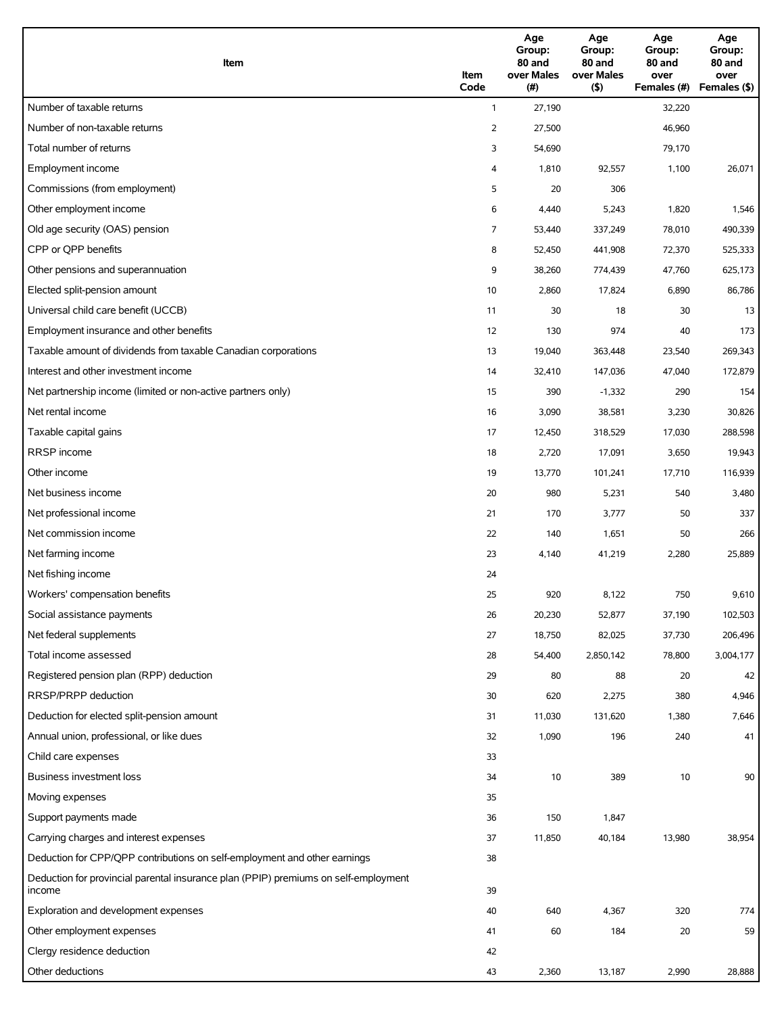| Item                                                                                          | Item<br>Code | Age<br>Group:<br>80 and<br>over Males<br>(# ) | Age<br>Group:<br>80 and<br>over Males<br>(5) | Age<br>Group:<br>80 and<br>over<br>Females (#) | Age<br>Group:<br>80 and<br>over<br>Females (\$) |
|-----------------------------------------------------------------------------------------------|--------------|-----------------------------------------------|----------------------------------------------|------------------------------------------------|-------------------------------------------------|
| Number of taxable returns                                                                     | $\mathbf{1}$ | 27,190                                        |                                              | 32,220                                         |                                                 |
| Number of non-taxable returns                                                                 | 2            | 27,500                                        |                                              | 46,960                                         |                                                 |
| Total number of returns                                                                       | 3            | 54,690                                        |                                              | 79,170                                         |                                                 |
| Employment income                                                                             | 4            | 1,810                                         | 92,557                                       | 1,100                                          | 26,071                                          |
| Commissions (from employment)                                                                 | 5            | 20                                            | 306                                          |                                                |                                                 |
| Other employment income                                                                       | 6            | 4,440                                         | 5,243                                        | 1,820                                          | 1,546                                           |
| Old age security (OAS) pension                                                                | 7            | 53,440                                        | 337,249                                      | 78,010                                         | 490,339                                         |
| CPP or QPP benefits                                                                           | 8            | 52,450                                        | 441,908                                      | 72,370                                         | 525,333                                         |
| Other pensions and superannuation                                                             | 9            | 38,260                                        | 774,439                                      | 47,760                                         | 625,173                                         |
| Elected split-pension amount                                                                  | 10           | 2,860                                         | 17,824                                       | 6,890                                          | 86,786                                          |
| Universal child care benefit (UCCB)                                                           | 11           | 30                                            | 18                                           | 30                                             | 13                                              |
| Employment insurance and other benefits                                                       | 12           | 130                                           | 974                                          | 40                                             | 173                                             |
| Taxable amount of dividends from taxable Canadian corporations                                | 13           | 19,040                                        | 363,448                                      | 23,540                                         | 269,343                                         |
| Interest and other investment income                                                          | 14           | 32,410                                        | 147,036                                      | 47,040                                         | 172,879                                         |
| Net partnership income (limited or non-active partners only)                                  | 15           | 390                                           | $-1,332$                                     | 290                                            | 154                                             |
| Net rental income                                                                             | 16           | 3,090                                         | 38,581                                       | 3,230                                          | 30,826                                          |
| Taxable capital gains                                                                         | 17           | 12,450                                        | 318,529                                      | 17,030                                         | 288,598                                         |
| RRSP income                                                                                   | 18           | 2,720                                         | 17,091                                       | 3,650                                          | 19,943                                          |
| Other income                                                                                  | 19           | 13,770                                        | 101,241                                      | 17,710                                         | 116,939                                         |
| Net business income                                                                           | 20           | 980                                           | 5,231                                        | 540                                            | 3,480                                           |
| Net professional income                                                                       | 21           | 170                                           | 3,777                                        | 50                                             | 337                                             |
| Net commission income                                                                         | 22           | 140                                           | 1,651                                        | 50                                             | 266                                             |
| Net farming income                                                                            | 23           | 4,140                                         | 41,219                                       | 2,280                                          | 25,889                                          |
| Net fishing income                                                                            | 24           |                                               |                                              |                                                |                                                 |
| Workers' compensation benefits                                                                | 25           | 920                                           | 8,122                                        | 750                                            | 9,610                                           |
| Social assistance payments                                                                    | 26           | 20,230                                        | 52,877                                       | 37,190                                         | 102,503                                         |
| Net federal supplements                                                                       | 27           | 18,750                                        | 82,025                                       | 37,730                                         | 206,496                                         |
| Total income assessed                                                                         | 28           | 54,400                                        | 2,850,142                                    | 78,800                                         | 3,004,177                                       |
| Registered pension plan (RPP) deduction                                                       | 29           | 80                                            | 88                                           | 20                                             | 42                                              |
| RRSP/PRPP deduction                                                                           | 30           | 620                                           | 2,275                                        | 380                                            | 4,946                                           |
| Deduction for elected split-pension amount                                                    | 31           | 11,030                                        | 131,620                                      | 1,380                                          | 7,646                                           |
| Annual union, professional, or like dues                                                      | 32           | 1,090                                         | 196                                          | 240                                            | 41                                              |
| Child care expenses                                                                           | 33           |                                               |                                              |                                                |                                                 |
| Business investment loss                                                                      | 34           | 10                                            | 389                                          | 10                                             | 90                                              |
| Moving expenses                                                                               | 35           |                                               |                                              |                                                |                                                 |
| Support payments made                                                                         | 36           | 150                                           | 1,847                                        |                                                |                                                 |
| Carrying charges and interest expenses                                                        | 37           | 11,850                                        | 40,184                                       | 13,980                                         | 38,954                                          |
| Deduction for CPP/QPP contributions on self-employment and other earnings                     | 38           |                                               |                                              |                                                |                                                 |
| Deduction for provincial parental insurance plan (PPIP) premiums on self-employment<br>income | 39           |                                               |                                              |                                                |                                                 |
| Exploration and development expenses                                                          | 40           | 640                                           | 4,367                                        | 320                                            | 774                                             |
| Other employment expenses                                                                     | 41           | 60                                            | 184                                          | 20                                             | 59                                              |
| Clergy residence deduction                                                                    | 42           |                                               |                                              |                                                |                                                 |
| Other deductions                                                                              | 43           | 2,360                                         | 13,187                                       | 2,990                                          | 28,888                                          |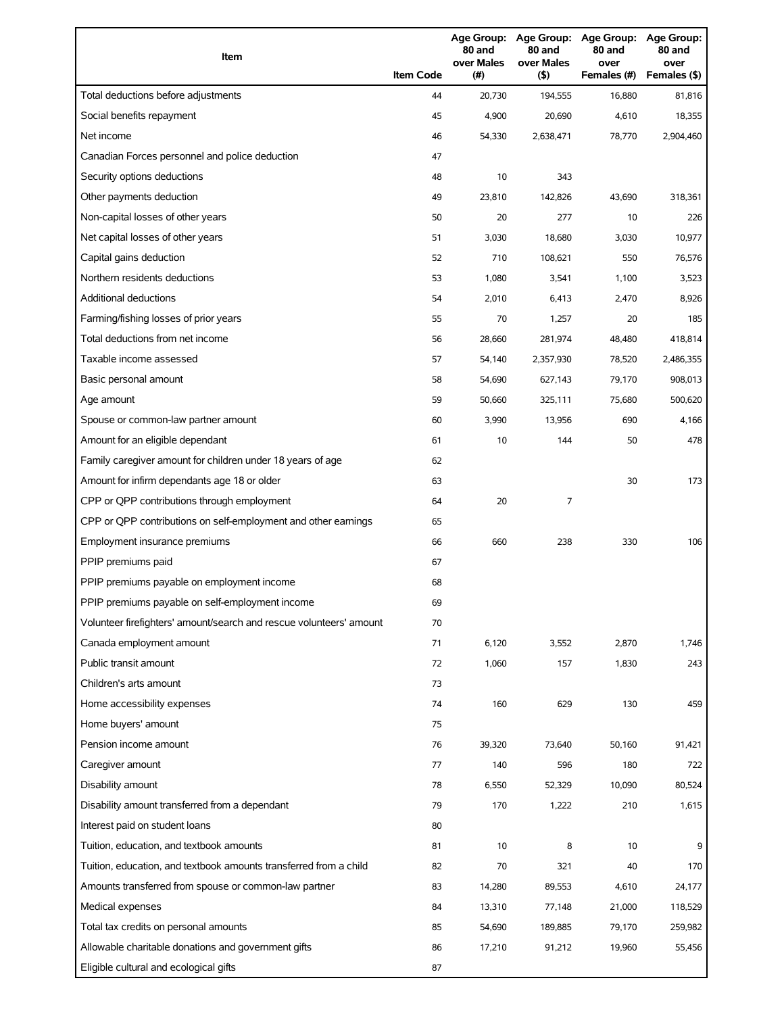| Item                                                                | <b>Item Code</b> | 80 and<br>over Males<br>(# ) | 80 and<br>over Males<br>(5) | Age Group: Age Group: Age Group: Age Group:<br>80 and<br>over<br>Females (#) | 80 and<br>over<br>Females (\$) |
|---------------------------------------------------------------------|------------------|------------------------------|-----------------------------|------------------------------------------------------------------------------|--------------------------------|
| Total deductions before adjustments                                 | 44               | 20.730                       | 194,555                     | 16.880                                                                       | 81.816                         |
| Social benefits repayment                                           | 45               | 4,900                        | 20,690                      | 4,610                                                                        | 18,355                         |
| Net income                                                          | 46               | 54,330                       | 2,638,471                   | 78,770                                                                       | 2,904,460                      |
| Canadian Forces personnel and police deduction                      | 47               |                              |                             |                                                                              |                                |
| Security options deductions                                         | 48               | 10                           | 343                         |                                                                              |                                |
| Other payments deduction                                            | 49               | 23,810                       | 142,826                     | 43,690                                                                       | 318,361                        |
| Non-capital losses of other years                                   | 50               | 20                           | 277                         | 10                                                                           | 226                            |
| Net capital losses of other years                                   | 51               | 3,030                        | 18,680                      | 3,030                                                                        | 10,977                         |
| Capital gains deduction                                             | 52               | 710                          | 108,621                     | 550                                                                          | 76,576                         |
| Northern residents deductions                                       | 53               | 1,080                        | 3,541                       | 1,100                                                                        | 3,523                          |
| Additional deductions                                               | 54               | 2,010                        | 6,413                       | 2,470                                                                        | 8,926                          |
| Farming/fishing losses of prior years                               | 55               | 70                           | 1,257                       | 20                                                                           | 185                            |
| Total deductions from net income                                    | 56               | 28,660                       | 281,974                     | 48,480                                                                       | 418,814                        |
| Taxable income assessed                                             | 57               | 54,140                       | 2,357,930                   | 78,520                                                                       | 2,486,355                      |
| Basic personal amount                                               | 58               | 54,690                       | 627,143                     | 79,170                                                                       | 908,013                        |
| Age amount                                                          | 59               | 50,660                       | 325,111                     | 75,680                                                                       | 500,620                        |
| Spouse or common-law partner amount                                 | 60               | 3,990                        | 13,956                      | 690                                                                          | 4,166                          |
| Amount for an eligible dependant                                    | 61               | 10                           | 144                         | 50                                                                           | 478                            |
| Family caregiver amount for children under 18 years of age          | 62               |                              |                             |                                                                              |                                |
| Amount for infirm dependants age 18 or older                        | 63               |                              |                             | 30                                                                           | 173                            |
| CPP or QPP contributions through employment                         | 64               | 20                           | 7                           |                                                                              |                                |
| CPP or QPP contributions on self-employment and other earnings      | 65               |                              |                             |                                                                              |                                |
| Employment insurance premiums                                       | 66               | 660                          | 238                         | 330                                                                          | 106                            |
| PPIP premiums paid                                                  | 67               |                              |                             |                                                                              |                                |
| PPIP premiums payable on employment income                          | 68               |                              |                             |                                                                              |                                |
| PPIP premiums payable on self-employment income                     | 69               |                              |                             |                                                                              |                                |
| Volunteer firefighters' amount/search and rescue volunteers' amount | 70               |                              |                             |                                                                              |                                |
| Canada employment amount                                            | 71               | 6,120                        | 3,552                       | 2,870                                                                        | 1,746                          |
| Public transit amount                                               | 72               | 1,060                        | 157                         | 1,830                                                                        | 243                            |
| Children's arts amount                                              | 73               |                              |                             |                                                                              |                                |
| Home accessibility expenses                                         | 74               | 160                          | 629                         | 130                                                                          | 459                            |
| Home buyers' amount                                                 | 75               |                              |                             |                                                                              |                                |
| Pension income amount                                               | 76               | 39,320                       | 73,640                      | 50,160                                                                       | 91,421                         |
| Caregiver amount                                                    | 77               | 140                          | 596                         | 180                                                                          | 722                            |
| Disability amount                                                   | 78               | 6,550                        | 52,329                      | 10,090                                                                       | 80,524                         |
| Disability amount transferred from a dependant                      | 79               | 170                          | 1,222                       | 210                                                                          | 1,615                          |
| Interest paid on student loans                                      | 80               |                              |                             |                                                                              |                                |
| Tuition, education, and textbook amounts                            | 81               | 10                           | 8                           | 10                                                                           | 9                              |
| Tuition, education, and textbook amounts transferred from a child   | 82               | 70                           | 321                         | 40                                                                           | 170                            |
| Amounts transferred from spouse or common-law partner               | 83               | 14,280                       | 89,553                      | 4,610                                                                        | 24,177                         |
| Medical expenses                                                    | 84               | 13,310                       | 77,148                      | 21,000                                                                       | 118,529                        |
| Total tax credits on personal amounts                               | 85               | 54,690                       | 189,885                     | 79,170                                                                       | 259,982                        |
| Allowable charitable donations and government gifts                 | 86               | 17,210                       | 91,212                      | 19,960                                                                       | 55,456                         |
| Eligible cultural and ecological gifts                              | 87               |                              |                             |                                                                              |                                |